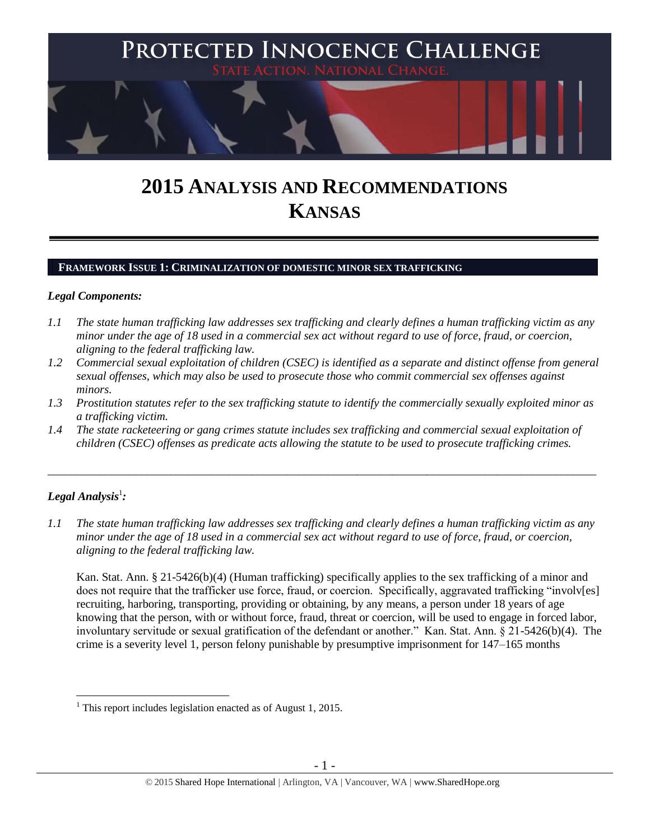

# **2015 ANALYSIS AND RECOMMENDATIONS KANSAS**

### **FRAMEWORK ISSUE 1: CRIMINALIZATION OF DOMESTIC MINOR SEX TRAFFICKING**

### *Legal Components:*

- *1.1 The state human trafficking law addresses sex trafficking and clearly defines a human trafficking victim as any minor under the age of 18 used in a commercial sex act without regard to use of force, fraud, or coercion, aligning to the federal trafficking law.*
- *1.2 Commercial sexual exploitation of children (CSEC) is identified as a separate and distinct offense from general sexual offenses, which may also be used to prosecute those who commit commercial sex offenses against minors.*
- *1.3 Prostitution statutes refer to the sex trafficking statute to identify the commercially sexually exploited minor as a trafficking victim.*

\_\_\_\_\_\_\_\_\_\_\_\_\_\_\_\_\_\_\_\_\_\_\_\_\_\_\_\_\_\_\_\_\_\_\_\_\_\_\_\_\_\_\_\_\_\_\_\_\_\_\_\_\_\_\_\_\_\_\_\_\_\_\_\_\_\_\_\_\_\_\_\_\_\_\_\_\_\_\_\_\_\_\_\_\_\_\_\_\_\_\_\_\_\_

*1.4 The state racketeering or gang crimes statute includes sex trafficking and commercial sexual exploitation of children (CSEC) offenses as predicate acts allowing the statute to be used to prosecute trafficking crimes.* 

# $\bm{L}$ egal Analysis $^1$ :

 $\overline{a}$ 

*1.1 The state human trafficking law addresses sex trafficking and clearly defines a human trafficking victim as any minor under the age of 18 used in a commercial sex act without regard to use of force, fraud, or coercion, aligning to the federal trafficking law.*

Kan. Stat. Ann. § 21-5426(b)(4) (Human trafficking) specifically applies to the sex trafficking of a minor and does not require that the trafficker use force, fraud, or coercion. Specifically, aggravated trafficking "involv[es] recruiting, harboring, transporting, providing or obtaining, by any means, a person under 18 years of age knowing that the person, with or without force, fraud, threat or coercion, will be used to engage in forced labor, involuntary servitude or sexual gratification of the defendant or another." Kan. Stat. Ann. § 21-5426(b)(4). The crime is a severity level 1, person felony punishable by presumptive imprisonment for 147–165 months

 $<sup>1</sup>$  This report includes legislation enacted as of August 1, 2015.</sup>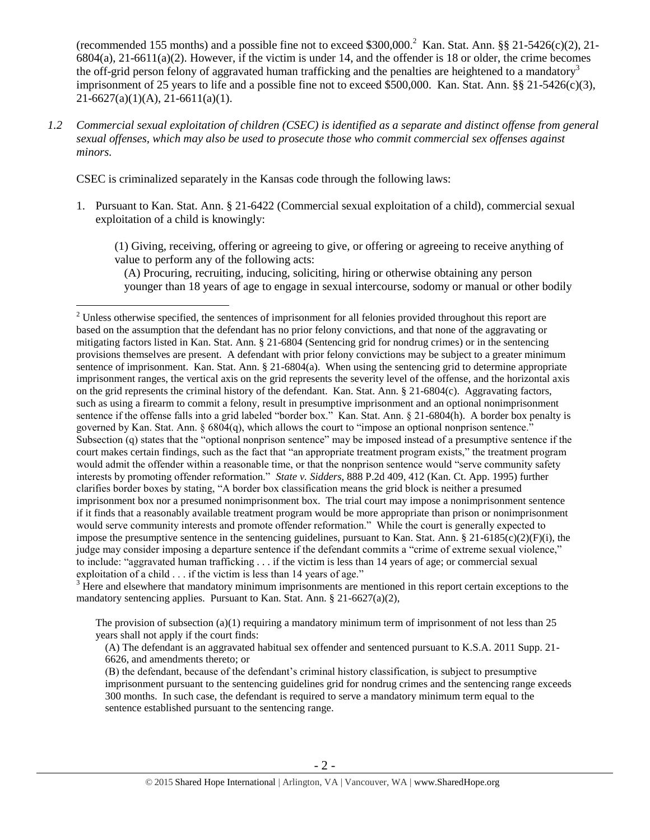(recommended 155 months) and a possible fine not to exceed \$300,000.<sup>2</sup> Kan. Stat. Ann. §§ 21-5426(c)(2), 21- $6804(a)$ ,  $21-6611(a)(2)$ . However, if the victim is under 14, and the offender is 18 or older, the crime becomes the off-grid person felony of aggravated human trafficking and the penalties are heightened to a mandatory<sup>3</sup> imprisonment of 25 years to life and a possible fine not to exceed \$500,000. Kan. Stat. Ann. §§ 21-5426(c)(3), 21-6627(a)(1)(A), 21-6611(a)(1).

*1.2 Commercial sexual exploitation of children (CSEC) is identified as a separate and distinct offense from general sexual offenses, which may also be used to prosecute those who commit commercial sex offenses against minors.*

CSEC is criminalized separately in the Kansas code through the following laws:

 $\overline{a}$ 

1. Pursuant to Kan. Stat. Ann. § 21-6422 (Commercial sexual exploitation of a child), commercial sexual exploitation of a child is knowingly:

<span id="page-1-0"></span>(1) Giving, receiving, offering or agreeing to give, or offering or agreeing to receive anything of value to perform any of the following acts:

(A) Procuring, recruiting, inducing, soliciting, hiring or otherwise obtaining any person younger than 18 years of age to engage in sexual intercourse, sodomy or manual or other bodily

<sup>3</sup> Here and elsewhere that mandatory minimum imprisonments are mentioned in this report certain exceptions to the mandatory sentencing applies. Pursuant to Kan. Stat. Ann. § 21-6627(a)(2),

The provision of subsection (a)(1) requiring a mandatory minimum term of imprisonment of not less than 25 years shall not apply if the court finds:

(A) The defendant is an aggravated habitual sex offender and sentenced pursuant to K.S.A. 2011 Supp. 21- 6626, and amendments thereto; or

(B) the defendant, because of the defendant's criminal history classification, is subject to presumptive imprisonment pursuant to the sentencing guidelines grid for nondrug crimes and the sentencing range exceeds 300 months. In such case, the defendant is required to serve a mandatory minimum term equal to the sentence established pursuant to the sentencing range.

<sup>&</sup>lt;sup>2</sup> Unless otherwise specified, the sentences of imprisonment for all felonies provided throughout this report are based on the assumption that the defendant has no prior felony convictions, and that none of the aggravating or mitigating factors listed in Kan. Stat. Ann. § 21-6804 (Sentencing grid for nondrug crimes) or in the sentencing provisions themselves are present. A defendant with prior felony convictions may be subject to a greater minimum sentence of imprisonment. Kan. Stat. Ann. § 21-6804(a). When using the sentencing grid to determine appropriate imprisonment ranges, the vertical axis on the grid represents the severity level of the offense, and the horizontal axis on the grid represents the criminal history of the defendant. Kan. Stat. Ann.  $\S$  21-6804(c). Aggravating factors, such as using a firearm to commit a felony, result in presumptive imprisonment and an optional nonimprisonment sentence if the offense falls into a grid labeled "border box." Kan. Stat. Ann. § 21-6804(h). A border box penalty is governed by Kan. Stat. Ann.  $\S 6804(q)$ , which allows the court to "impose an optional nonprison sentence." Subsection (q) states that the "optional nonprison sentence" may be imposed instead of a presumptive sentence if the court makes certain findings, such as the fact that "an appropriate treatment program exists," the treatment program would admit the offender within a reasonable time, or that the nonprison sentence would "serve community safety interests by promoting offender reformation." *State v. Sidders*, 888 P.2d 409, 412 (Kan. Ct. App. 1995) further clarifies border boxes by stating, "A border box classification means the grid block is neither a presumed imprisonment box nor a presumed nonimprisonment box. The trial court may impose a nonimprisonment sentence if it finds that a reasonably available treatment program would be more appropriate than prison or nonimprisonment would serve community interests and promote offender reformation." While the court is generally expected to impose the presumptive sentence in the sentencing guidelines, pursuant to Kan. Stat. Ann. § 21-6185(c)(2)(F)(i), the judge may consider imposing a departure sentence if the defendant commits a "crime of extreme sexual violence," to include: "aggravated human trafficking . . . if the victim is less than 14 years of age; or commercial sexual exploitation of a child . . . if the victim is less than 14 years of age."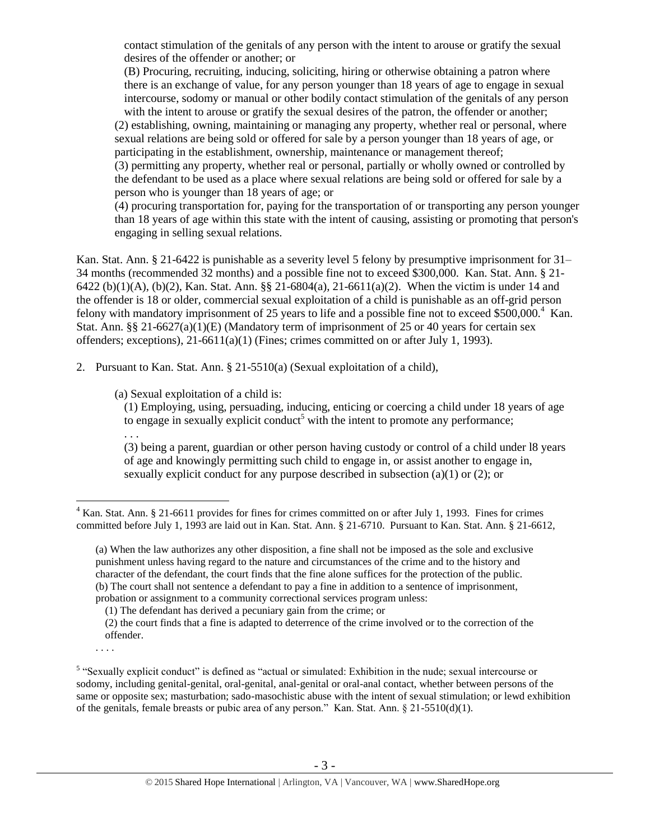contact stimulation of the genitals of any person with the intent to arouse or gratify the sexual desires of the offender or another; or

(B) Procuring, recruiting, inducing, soliciting, hiring or otherwise obtaining a patron where there is an exchange of value, for any person younger than 18 years of age to engage in sexual intercourse, sodomy or manual or other bodily contact stimulation of the genitals of any person with the intent to arouse or gratify the sexual desires of the patron, the offender or another;

(2) establishing, owning, maintaining or managing any property, whether real or personal, where sexual relations are being sold or offered for sale by a person younger than 18 years of age, or participating in the establishment, ownership, maintenance or management thereof;

(3) permitting any property, whether real or personal, partially or wholly owned or controlled by the defendant to be used as a place where sexual relations are being sold or offered for sale by a person who is younger than 18 years of age; or

(4) procuring transportation for, paying for the transportation of or transporting any person younger than 18 years of age within this state with the intent of causing, assisting or promoting that person's engaging in selling sexual relations.

Kan. Stat. Ann. § 21-6422 is punishable as a severity level 5 felony by presumptive imprisonment for 31– 34 months (recommended 32 months) and a possible fine not to exceed \$300,000. Kan. Stat. Ann. § 21- 6422 (b)(1)(A), (b)(2), Kan. Stat. Ann. §§ 21-6804(a), 21-6611(a)(2). When the victim is under 14 and the offender is 18 or older, commercial sexual exploitation of a child is punishable as an off-grid person felony with mandatory imprisonment of 25 years to life and a possible fine not to exceed \$500,000.<sup>4</sup> Kan. Stat. Ann. §§ 21-6627(a)(1)(E) (Mandatory term of imprisonment of 25 or 40 years for certain sex offenders; exceptions), 21-6611(a)(1) (Fines; crimes committed on or after July 1, 1993).

2. Pursuant to Kan. Stat. Ann. § 21-5510(a) (Sexual exploitation of a child),

(a) Sexual exploitation of a child is:

<span id="page-2-0"></span>(1) Employing, using, persuading, inducing, enticing or coercing a child under 18 years of age to engage in sexually explicit conduct<sup>5</sup> with the intent to promote any performance;

(3) being a parent, guardian or other person having custody or control of a child under l8 years of age and knowingly permitting such child to engage in, or assist another to engage in, sexually explicit conduct for any purpose described in subsection (a)(1) or (2); or

. . . .

. . .

 $\overline{a}$  $4$  Kan. Stat. Ann. § 21-6611 provides for fines for crimes committed on or after July 1, 1993. Fines for crimes committed before July 1, 1993 are laid out in Kan. Stat. Ann. § 21-6710. Pursuant to Kan. Stat. Ann. § 21-6612,

<sup>(</sup>a) When the law authorizes any other disposition, a fine shall not be imposed as the sole and exclusive punishment unless having regard to the nature and circumstances of the crime and to the history and character of the defendant, the court finds that the fine alone suffices for the protection of the public. (b) The court shall not sentence a defendant to pay a fine in addition to a sentence of imprisonment, probation or assignment to a community correctional services program unless:

<sup>(1)</sup> The defendant has derived a pecuniary gain from the crime; or

<sup>(2)</sup> the court finds that a fine is adapted to deterrence of the crime involved or to the correction of the offender.

<sup>&</sup>lt;sup>5</sup> "Sexually explicit conduct" is defined as "actual or simulated: Exhibition in the nude; sexual intercourse or sodomy, including genital-genital, oral-genital, anal-genital or oral-anal contact, whether between persons of the same or opposite sex; masturbation; sado-masochistic abuse with the intent of sexual stimulation; or lewd exhibition of the genitals, female breasts or pubic area of any person." Kan. Stat. Ann.  $\S$  21-5510(d)(1).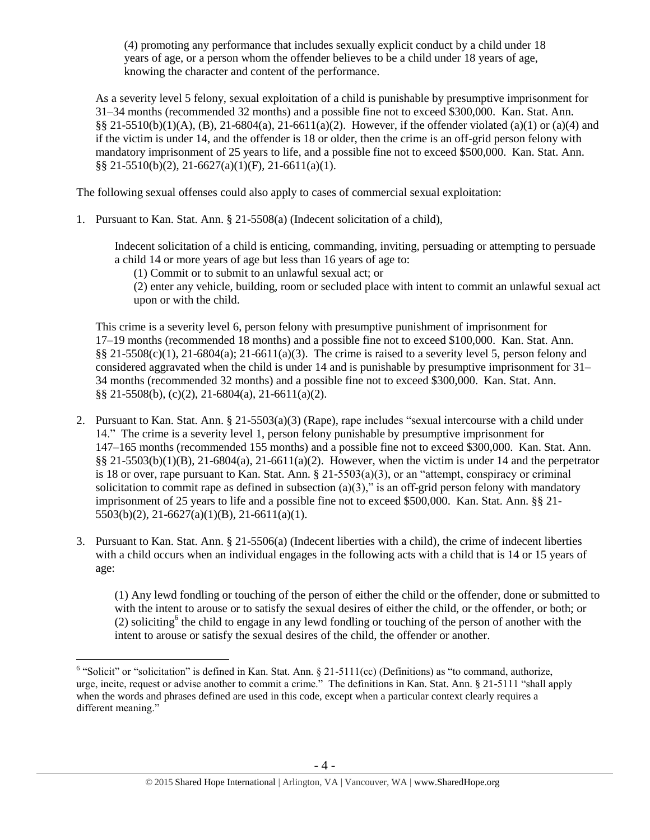(4) promoting any performance that includes sexually explicit conduct by a child under 18 years of age, or a person whom the offender believes to be a child under 18 years of age, knowing the character and content of the performance.

As a severity level 5 felony, sexual exploitation of a child is punishable by presumptive imprisonment for 31–34 months (recommended 32 months) and a possible fine not to exceed \$300,000. Kan. Stat. Ann. §§ 21-5510(b)(1)(A), (B), 21-6804(a), 21-6611(a)(2). However, if the offender violated (a)(1) or (a)(4) and if the victim is under 14, and the offender is 18 or older, then the crime is an off-grid person felony with mandatory imprisonment of 25 years to life, and a possible fine not to exceed \$500,000. Kan. Stat. Ann. §§ 21-5510(b)(2), 21-6627(a)(1)(F), 21-6611(a)(1).

The following sexual offenses could also apply to cases of commercial sexual exploitation:

1. Pursuant to Kan. Stat. Ann. § 21-5508(a) (Indecent solicitation of a child),

Indecent solicitation of a child is enticing, commanding, inviting, persuading or attempting to persuade a child 14 or more years of age but less than 16 years of age to:

(1) Commit or to submit to an unlawful sexual act; or

(2) enter any vehicle, building, room or secluded place with intent to commit an unlawful sexual act upon or with the child.

This crime is a severity level 6, person felony with presumptive punishment of imprisonment for 17–19 months (recommended 18 months) and a possible fine not to exceed \$100,000. Kan. Stat. Ann.  $\S$ § 21-5508(c)(1), 21-6804(a); 21-6611(a)(3). The crime is raised to a severity level 5, person felony and considered aggravated when the child is under 14 and is punishable by presumptive imprisonment for 31– 34 months (recommended 32 months) and a possible fine not to exceed \$300,000. Kan. Stat. Ann. §§ 21-5508(b), (c)(2), 21-6804(a), 21-6611(a)(2).

- 2. Pursuant to Kan. Stat. Ann. § 21-5503(a)(3) (Rape), rape includes "sexual intercourse with a child under 14." The crime is a severity level 1, person felony punishable by presumptive imprisonment for 147–165 months (recommended 155 months) and a possible fine not to exceed \$300,000. Kan. Stat. Ann.  $\S$ § 21-5503(b)(1)(B), 21-6804(a), 21-6611(a)(2). However, when the victim is under 14 and the perpetrator is 18 or over, rape pursuant to Kan. Stat. Ann.  $\S 21-5503(a)(3)$ , or an "attempt, conspiracy or criminal solicitation to commit rape as defined in subsection  $(a)(3)$ ," is an off-grid person felony with mandatory imprisonment of 25 years to life and a possible fine not to exceed \$500,000. Kan. Stat. Ann. §§ 21- 5503(b)(2), 21-6627(a)(1)(B), 21-6611(a)(1).
- 3. Pursuant to Kan. Stat. Ann. § 21-5506(a) (Indecent liberties with a child), the crime of indecent liberties with a child occurs when an individual engages in the following acts with a child that is 14 or 15 years of age:

<span id="page-3-0"></span>(1) Any lewd fondling or touching of the person of either the child or the offender, done or submitted to with the intent to arouse or to satisfy the sexual desires of either the child, or the offender, or both; or (2) soliciting<sup>6</sup> the child to engage in any lewd fondling or touching of the person of another with the intent to arouse or satisfy the sexual desires of the child, the offender or another.

<sup>&</sup>lt;sup>6</sup> "Solicit" or "solicitation" is defined in Kan. Stat. Ann. § 21-5111(cc) (Definitions) as "to command, authorize, urge, incite, request or advise another to commit a crime." The definitions in Kan. Stat. Ann. § 21-5111 "shall apply when the words and phrases defined are used in this code, except when a particular context clearly requires a different meaning."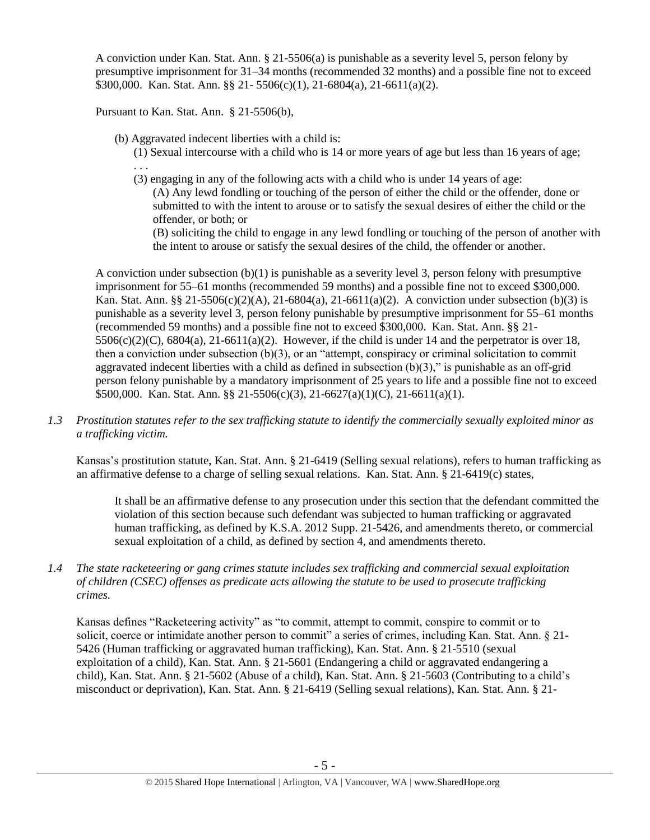A conviction under Kan. Stat. Ann. § 21-5506(a) is punishable as a severity level 5, person felony by presumptive imprisonment for 31–34 months (recommended 32 months) and a possible fine not to exceed \$300,000. Kan. Stat. Ann. §§ 21- 5506(c)(1), 21-6804(a), 21-6611(a)(2).

Pursuant to Kan. Stat. Ann. § 21-5506(b),

(b) Aggravated indecent liberties with a child is:

(1) Sexual intercourse with a child who is 14 or more years of age but less than 16 years of age; . . .

(3) engaging in any of the following acts with a child who is under 14 years of age:

(A) Any lewd fondling or touching of the person of either the child or the offender, done or submitted to with the intent to arouse or to satisfy the sexual desires of either the child or the offender, or both; or

(B) soliciting the child to engage in any lewd fondling or touching of the person of another with the intent to arouse or satisfy the sexual desires of the child, the offender or another.

A conviction under subsection (b)(1) is punishable as a severity level 3, person felony with presumptive imprisonment for 55–61 months (recommended 59 months) and a possible fine not to exceed \$300,000. Kan. Stat. Ann. §§ 21-5506(c)(2)(A), 21-6804(a), 21-6611(a)(2). A conviction under subsection (b)(3) is punishable as a severity level 3, person felony punishable by presumptive imprisonment for 55–61 months (recommended 59 months) and a possible fine not to exceed \$300,000. Kan. Stat. Ann. §§ 21-  $5506(c)(2)(C)$ ,  $6804(a)$ ,  $21-6611(a)(2)$ . However, if the child is under 14 and the perpetrator is over 18, then a conviction under subsection (b)(3), or an "attempt, conspiracy or criminal solicitation to commit aggravated indecent liberties with a child as defined in subsection  $(b)(3)$ ," is punishable as an off-grid person felony punishable by a mandatory imprisonment of 25 years to life and a possible fine not to exceed \$500,000. Kan. Stat. Ann. §§ 21-5506(c)(3), 21-6627(a)(1)(C), 21-6611(a)(1).

*1.3 Prostitution statutes refer to the sex trafficking statute to identify the commercially sexually exploited minor as a trafficking victim.* 

Kansas's prostitution statute, Kan. Stat. Ann. § 21-6419 (Selling sexual relations), refers to human trafficking as an affirmative defense to a charge of selling sexual relations. Kan. Stat. Ann. § 21-6419(c) states,

It shall be an affirmative defense to any prosecution under this section that the defendant committed the violation of this section because such defendant was subjected to human trafficking or aggravated human trafficking, as defined by K.S.A. 2012 Supp. 21-5426, and amendments thereto, or commercial sexual exploitation of a child, as defined by section 4, and amendments thereto.

*1.4 The state racketeering or gang crimes statute includes sex trafficking and commercial sexual exploitation of children (CSEC) offenses as predicate acts allowing the statute to be used to prosecute trafficking crimes.* 

Kansas defines "Racketeering activity" as "to commit, attempt to commit, conspire to commit or to solicit, coerce or intimidate another person to commit" a series of crimes, including Kan. Stat. Ann. § 21- 5426 (Human trafficking or aggravated human trafficking), Kan. Stat. Ann. § 21-5510 (sexual exploitation of a child), Kan. Stat. Ann. § 21-5601 (Endangering a child or aggravated endangering a child), Kan. Stat. Ann. § 21-5602 (Abuse of a child), Kan. Stat. Ann. § 21-5603 (Contributing to a child's misconduct or deprivation), Kan. Stat. Ann. § 21-6419 (Selling sexual relations), Kan. Stat. Ann. § 21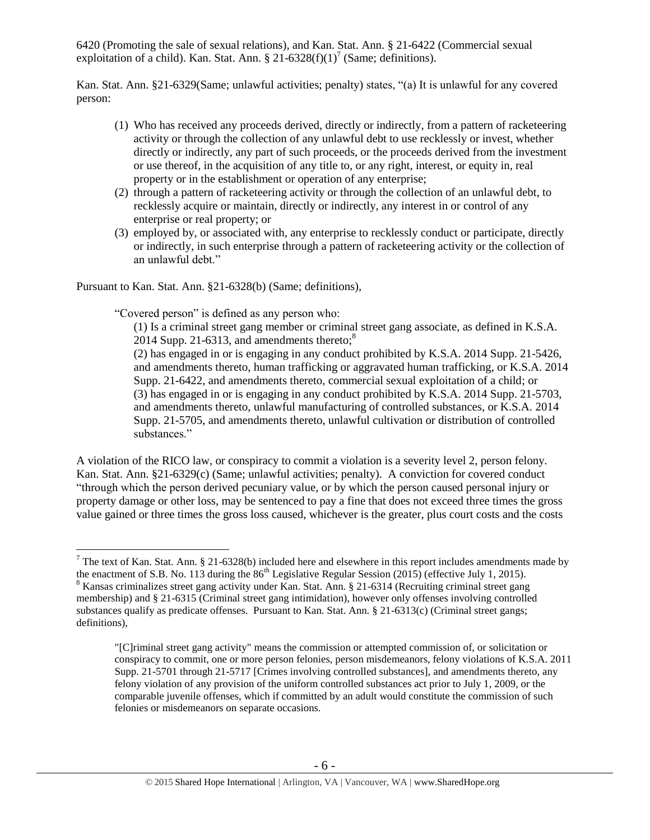6420 (Promoting the sale of sexual relations), and Kan. Stat. Ann. § 21-6422 (Commercial sexual exploitation of a child). Kan. Stat. Ann. § 21-6328(f)(1)<sup>7</sup> (Same; definitions).

Kan. Stat. Ann. §21-6329(Same; unlawful activities; penalty) states, "(a) It is unlawful for any covered person:

- (1) Who has received any proceeds derived, directly or indirectly, from a pattern of racketeering activity or through the collection of any unlawful debt to use recklessly or invest, whether directly or indirectly, any part of such proceeds, or the proceeds derived from the investment or use thereof, in the acquisition of any title to, or any right, interest, or equity in, real property or in the establishment or operation of any enterprise;
- (2) through a pattern of racketeering activity or through the collection of an unlawful debt, to recklessly acquire or maintain, directly or indirectly, any interest in or control of any enterprise or real property; or
- (3) employed by, or associated with, any enterprise to recklessly conduct or participate, directly or indirectly, in such enterprise through a pattern of racketeering activity or the collection of an unlawful debt."

Pursuant to Kan. Stat. Ann. §21-6328(b) (Same; definitions),

 $\overline{a}$ 

"Covered person" is defined as any person who:

(1) Is a criminal street gang member or criminal street gang associate, as defined in K.S.A. 2014 Supp. 21-6313, and amendments thereto; $8^8$ 

(2) has engaged in or is engaging in any conduct prohibited by K.S.A. 2014 Supp. 21-5426, and amendments thereto, human trafficking or aggravated human trafficking, or K.S.A. 2014 Supp. 21-6422, and amendments thereto, commercial sexual exploitation of a child; or (3) has engaged in or is engaging in any conduct prohibited by K.S.A. 2014 Supp. 21-5703, and amendments thereto, unlawful manufacturing of controlled substances, or K.S.A. 2014 Supp. 21-5705, and amendments thereto, unlawful cultivation or distribution of controlled substances."

A violation of the RICO law, or conspiracy to commit a violation is a severity level 2, person felony. Kan. Stat. Ann. §21-6329(c) (Same; unlawful activities; penalty). A conviction for covered conduct "through which the person derived pecuniary value, or by which the person caused personal injury or property damage or other loss, may be sentenced to pay a fine that does not exceed three times the gross value gained or three times the gross loss caused, whichever is the greater, plus court costs and the costs

 $<sup>7</sup>$  The text of Kan. Stat. Ann. § 21-6328(b) included here and elsewhere in this report includes amendments made by</sup>

the enactment of S.B. No. 113 during the  $86<sup>th</sup>$  Legislative Regular Session (2015) (effective July 1, 2015).  $8$  Kansas criminalizes street gang activity under Kan. Stat. Ann. § 21-6314 (Recruiting criminal street gang membership) and § 21-6315 (Criminal street gang intimidation), however only offenses involving controlled substances qualify as predicate offenses. Pursuant to Kan. Stat. Ann. § 21-6313(c) (Criminal street gangs; definitions),

<sup>&</sup>quot;[C]riminal street gang activity" means the commission or attempted commission of, or solicitation or conspiracy to commit, one or more person felonies, person misdemeanors, felony violations of K.S.A. 2011 Supp. 21-5701 through 21-5717 [Crimes involving controlled substances], and amendments thereto, any felony violation of any provision of the uniform controlled substances act prior to July 1, 2009, or the comparable juvenile offenses, which if committed by an adult would constitute the commission of such felonies or misdemeanors on separate occasions.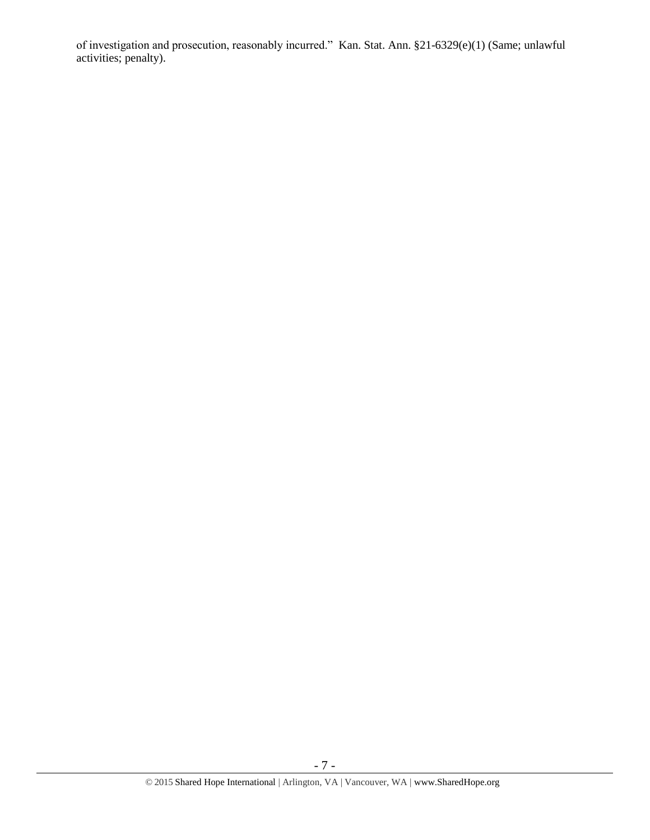of investigation and prosecution, reasonably incurred." Kan. Stat. Ann. §21-6329(e)(1) (Same; unlawful activities; penalty).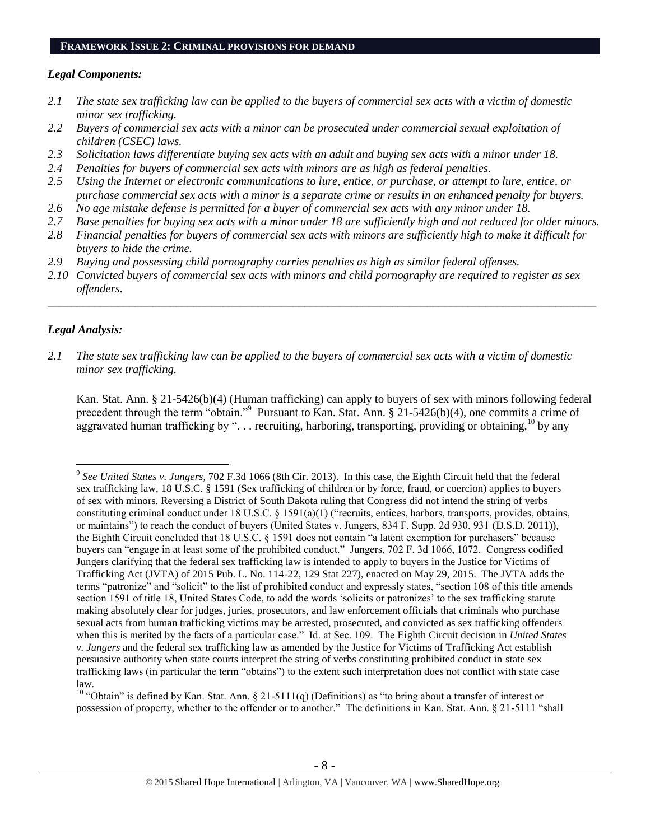### **FRAMEWORK ISSUE 2: CRIMINAL PROVISIONS FOR DEMAND**

### *Legal Components:*

- *2.1 The state sex trafficking law can be applied to the buyers of commercial sex acts with a victim of domestic minor sex trafficking.*
- *2.2 Buyers of commercial sex acts with a minor can be prosecuted under commercial sexual exploitation of children (CSEC) laws.*
- *2.3 Solicitation laws differentiate buying sex acts with an adult and buying sex acts with a minor under 18.*
- *2.4 Penalties for buyers of commercial sex acts with minors are as high as federal penalties.*
- *2.5 Using the Internet or electronic communications to lure, entice, or purchase, or attempt to lure, entice, or purchase commercial sex acts with a minor is a separate crime or results in an enhanced penalty for buyers.*
- *2.6 No age mistake defense is permitted for a buyer of commercial sex acts with any minor under 18.*
- *2.7 Base penalties for buying sex acts with a minor under 18 are sufficiently high and not reduced for older minors.*
- *2.8 Financial penalties for buyers of commercial sex acts with minors are sufficiently high to make it difficult for buyers to hide the crime.*
- *2.9 Buying and possessing child pornography carries penalties as high as similar federal offenses.*
- *2.10 Convicted buyers of commercial sex acts with minors and child pornography are required to register as sex offenders.*

\_\_\_\_\_\_\_\_\_\_\_\_\_\_\_\_\_\_\_\_\_\_\_\_\_\_\_\_\_\_\_\_\_\_\_\_\_\_\_\_\_\_\_\_\_\_\_\_\_\_\_\_\_\_\_\_\_\_\_\_\_\_\_\_\_\_\_\_\_\_\_\_\_\_\_\_\_\_\_\_\_\_\_\_\_\_\_\_\_\_\_\_\_\_

# *Legal Analysis:*

 $\overline{a}$ 

*2.1 The state sex trafficking law can be applied to the buyers of commercial sex acts with a victim of domestic minor sex trafficking.*

Kan. Stat. Ann. § 21-5426(b)(4) (Human trafficking) can apply to buyers of sex with minors following federal precedent through the term "obtain."<sup>9</sup> Pursuant to Kan. Stat. Ann. § 21-5426(b)(4), one commits a crime of aggravated human trafficking by "... recruiting, harboring, transporting, providing or obtaining,<sup>10</sup> by any

<sup>10</sup> "Obtain" is defined by Kan. Stat. Ann. § 21-5111(q) (Definitions) as "to bring about a transfer of interest or possession of property, whether to the offender or to another." The definitions in Kan. Stat. Ann. § 21-5111 "shall

<sup>9</sup> *See United States v. Jungers*, 702 F.3d 1066 (8th Cir. 2013). In this case, the Eighth Circuit held that the federal sex trafficking law, 18 U.S.C. § 1591 (Sex trafficking of children or by force, fraud, or coercion) applies to buyers of sex with minors. Reversing a District of South Dakota ruling that Congress did not intend the string of verbs constituting criminal conduct under 18 U.S.C. § 1591(a)(1) ("recruits, entices, harbors, transports, provides, obtains, or maintains") to reach the conduct of buyers (United States v. Jungers, 834 F. Supp. 2d 930, 931 (D.S.D. 2011)), the Eighth Circuit concluded that 18 U.S.C. § 1591 does not contain "a latent exemption for purchasers" because buyers can "engage in at least some of the prohibited conduct." Jungers, 702 F. 3d 1066, 1072. Congress codified Jungers clarifying that the federal sex trafficking law is intended to apply to buyers in the Justice for Victims of Trafficking Act (JVTA) of 2015 Pub. L. No. 114-22, 129 Stat 227), enacted on May 29, 2015. The JVTA adds the terms "patronize" and "solicit" to the list of prohibited conduct and expressly states, "section 108 of this title amends section 1591 of title 18, United States Code, to add the words 'solicits or patronizes' to the sex trafficking statute making absolutely clear for judges, juries, prosecutors, and law enforcement officials that criminals who purchase sexual acts from human trafficking victims may be arrested, prosecuted, and convicted as sex trafficking offenders when this is merited by the facts of a particular case." Id. at Sec. 109. The Eighth Circuit decision in *United States v. Jungers* and the federal sex trafficking law as amended by the Justice for Victims of Trafficking Act establish persuasive authority when state courts interpret the string of verbs constituting prohibited conduct in state sex trafficking laws (in particular the term "obtains") to the extent such interpretation does not conflict with state case law.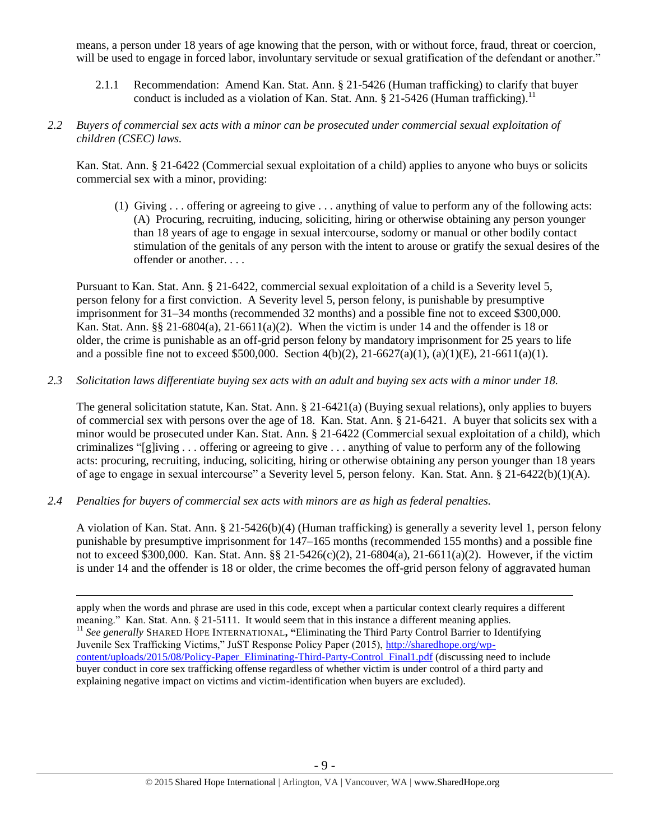means, a person under 18 years of age knowing that the person, with or without force, fraud, threat or coercion, will be used to engage in forced labor, involuntary servitude or sexual gratification of the defendant or another."

- 2.1.1 Recommendation: Amend Kan. Stat. Ann. § 21-5426 (Human trafficking) to clarify that buyer conduct is included as a violation of Kan. Stat. Ann.  $\S$  21-5426 (Human trafficking).<sup>11</sup>
- *2.2 Buyers of commercial sex acts with a minor can be prosecuted under commercial sexual exploitation of children (CSEC) laws.*

Kan. Stat. Ann. § 21-6422 (Commercial sexual exploitation of a child) applies to anyone who buys or solicits commercial sex with a minor, providing:

(1) Giving . . . offering or agreeing to give . . . anything of value to perform any of the following acts: (A) Procuring, recruiting, inducing, soliciting, hiring or otherwise obtaining any person younger than 18 years of age to engage in sexual intercourse, sodomy or manual or other bodily contact stimulation of the genitals of any person with the intent to arouse or gratify the sexual desires of the offender or another. . . .

Pursuant to Kan. Stat. Ann. § 21-6422, commercial sexual exploitation of a child is a Severity level 5, person felony for a first conviction. A Severity level 5, person felony, is punishable by presumptive imprisonment for 31–34 months (recommended 32 months) and a possible fine not to exceed \$300,000. Kan. Stat. Ann.  $\S\S 21-6804(a)$ , 21-6611(a)(2). When the victim is under 14 and the offender is 18 or older, the crime is punishable as an off-grid person felony by mandatory imprisonment for 25 years to life and a possible fine not to exceed \$500,000. Section 4(b)(2), 21-6627(a)(1), (a)(1)(E), 21-6611(a)(1).

*2.3 Solicitation laws differentiate buying sex acts with an adult and buying sex acts with a minor under 18.*

The general solicitation statute, Kan. Stat. Ann. § 21-6421(a) (Buying sexual relations), only applies to buyers of commercial sex with persons over the age of 18. Kan. Stat. Ann. § 21-6421. A buyer that solicits sex with a minor would be prosecuted under Kan. Stat. Ann. § 21-6422 (Commercial sexual exploitation of a child), which criminalizes "[g]iving . . . offering or agreeing to give . . . anything of value to perform any of the following acts: procuring, recruiting, inducing, soliciting, hiring or otherwise obtaining any person younger than 18 years of age to engage in sexual intercourse" a Severity level 5, person felony. Kan. Stat. Ann. § 21-6422(b)(1)(A).

*2.4 Penalties for buyers of commercial sex acts with minors are as high as federal penalties.*

 $\overline{a}$ 

A violation of Kan. Stat. Ann. § 21-5426(b)(4) (Human trafficking) is generally a severity level 1, person felony punishable by presumptive imprisonment for 147–165 months (recommended 155 months) and a possible fine not to exceed \$300,000. Kan. Stat. Ann. §§ 21-5426(c)(2), 21-6804(a), 21-6611(a)(2). However, if the victim is under 14 and the offender is 18 or older, the crime becomes the off-grid person felony of aggravated human

apply when the words and phrase are used in this code, except when a particular context clearly requires a different meaning." Kan. Stat. Ann. § 21-5111. It would seem that in this instance a different meaning applies. <sup>11</sup> *See generally* SHARED HOPE INTERNATIONAL**, "**Eliminating the Third Party Control Barrier to Identifying Juvenile Sex Trafficking Victims," JuST Response Policy Paper (2015), [http://sharedhope.org/wp](http://sharedhope.org/wp-content/uploads/2015/08/Policy-Paper_Eliminating-Third-Party-Control_Final1.pdf)[content/uploads/2015/08/Policy-Paper\\_Eliminating-Third-Party-Control\\_Final1.pdf](http://sharedhope.org/wp-content/uploads/2015/08/Policy-Paper_Eliminating-Third-Party-Control_Final1.pdf) (discussing need to include buyer conduct in core sex trafficking offense regardless of whether victim is under control of a third party and explaining negative impact on victims and victim-identification when buyers are excluded).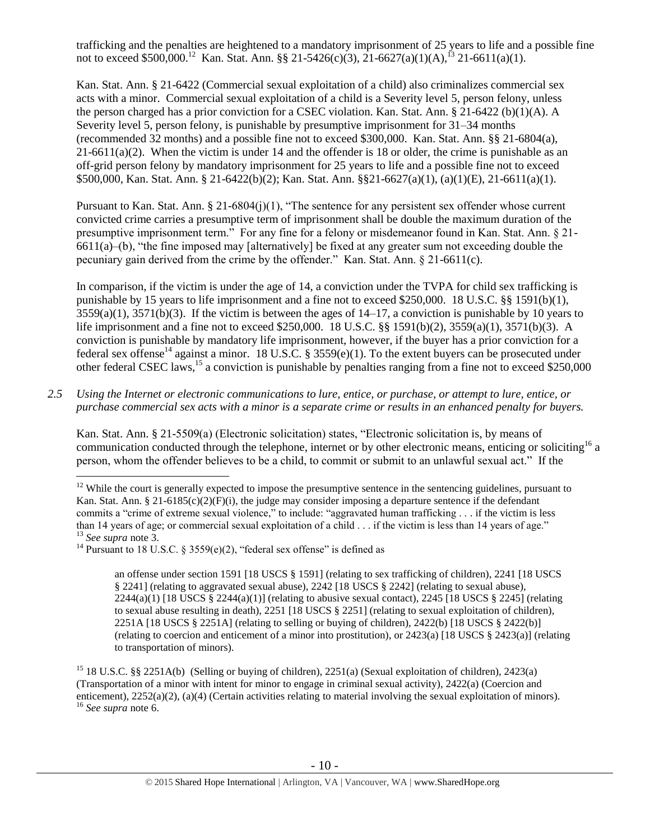trafficking and the penalties are heightened to a mandatory imprisonment of 25 years to life and a possible fine not to exceed \$500,000.<sup>12</sup> Kan. Stat. Ann. §§ 21-5426(c)(3), 21-6627(a)(1)(A),<sup>13</sup> 21-6611(a)(1).

Kan. Stat. Ann. § 21-6422 (Commercial sexual exploitation of a child) also criminalizes commercial sex acts with a minor. Commercial sexual exploitation of a child is a Severity level 5, person felony, unless the person charged has a prior conviction for a CSEC violation. Kan. Stat. Ann. § 21-6422 (b)(1)(A). A Severity level 5, person felony, is punishable by presumptive imprisonment for 31–34 months (recommended 32 months) and a possible fine not to exceed \$300,000. Kan. Stat. Ann. §§ 21-6804(a),  $21-6611(a)(2)$ . When the victim is under 14 and the offender is 18 or older, the crime is punishable as an off-grid person felony by mandatory imprisonment for 25 years to life and a possible fine not to exceed \$500,000, Kan. Stat. Ann. § 21-6422(b)(2); Kan. Stat. Ann. §§21-6627(a)(1), (a)(1)(E), 21-6611(a)(1).

Pursuant to Kan. Stat. Ann. § 21-6804(j)(1), "The sentence for any persistent sex offender whose current convicted crime carries a presumptive term of imprisonment shall be double the maximum duration of the presumptive imprisonment term." For any fine for a felony or misdemeanor found in Kan. Stat. Ann. § 21-  $6611(a)$ –(b), "the fine imposed may [alternatively] be fixed at any greater sum not exceeding double the pecuniary gain derived from the crime by the offender." Kan. Stat. Ann. § 21-6611(c).

<span id="page-9-0"></span>In comparison, if the victim is under the age of 14, a conviction under the TVPA for child sex trafficking is punishable by 15 years to life imprisonment and a fine not to exceed \$250,000. 18 U.S.C. §§ 1591(b)(1),  $3559(a)(1)$ ,  $3571(b)(3)$ . If the victim is between the ages of  $14-17$ , a conviction is punishable by 10 years to life imprisonment and a fine not to exceed \$250,000. 18 U.S.C. §§ 1591(b)(2), 3559(a)(1), 3571(b)(3). A conviction is punishable by mandatory life imprisonment, however, if the buyer has a prior conviction for a federal sex of tense<sup>14</sup> against a minor. 18 U.S.C. § 3559(e)(1). To the extent buyers can be prosecuted under other federal CSEC laws,<sup>15</sup> a conviction is punishable by penalties ranging from a fine not to exceed \$250,000

*2.5 Using the Internet or electronic communications to lure, entice, or purchase, or attempt to lure, entice, or purchase commercial sex acts with a minor is a separate crime or results in an enhanced penalty for buyers.*

Kan. Stat. Ann. § 21-5509(a) (Electronic solicitation) states, "Electronic solicitation is, by means of communication conducted through the telephone, internet or by other electronic means, enticing or soliciting<sup>16</sup> a person, whom the offender believes to be a child, to commit or submit to an unlawful sexual act." If the

 $\overline{a}$ 

an offense under section 1591 [18 USCS § 1591] (relating to sex trafficking of children), 2241 [18 USCS § 2241] (relating to aggravated sexual abuse), 2242 [18 USCS § 2242] (relating to sexual abuse), 2244(a)(1) [18 USCS § 2244(a)(1)] (relating to abusive sexual contact), 2245 [18 USCS § 2245] (relating to sexual abuse resulting in death), 2251 [18 USCS § 2251] (relating to sexual exploitation of children), 2251A [18 USCS § 2251A] (relating to selling or buying of children), 2422(b) [18 USCS § 2422(b)] (relating to coercion and enticement of a minor into prostitution), or 2423(a) [18 USCS § 2423(a)] (relating to transportation of minors).

 $12$  While the court is generally expected to impose the presumptive sentence in the sentencing guidelines, pursuant to Kan. Stat. Ann. § 21-6185(c)(2)(F)(i), the judge may consider imposing a departure sentence if the defendant commits a "crime of extreme sexual violence," to include: "aggravated human trafficking . . . if the victim is less than 14 years of age; or commercial sexual exploitation of a child . . . if the victim is less than 14 years of age." <sup>13</sup> *See supra* note [3.](#page-1-0)

<sup>&</sup>lt;sup>14</sup> Pursuant to 18 U.S.C. § 3559(e)(2), "federal sex offense" is defined as

<sup>&</sup>lt;sup>15</sup> 18 U.S.C. §§ 2251A(b) (Selling or buying of children), 2251(a) (Sexual exploitation of children), 2423(a) (Transportation of a minor with intent for minor to engage in criminal sexual activity), 2422(a) (Coercion and enticement), 2252(a)(2), (a)(4) (Certain activities relating to material involving the sexual exploitation of minors). <sup>16</sup> *See supra* note [6.](#page-3-0)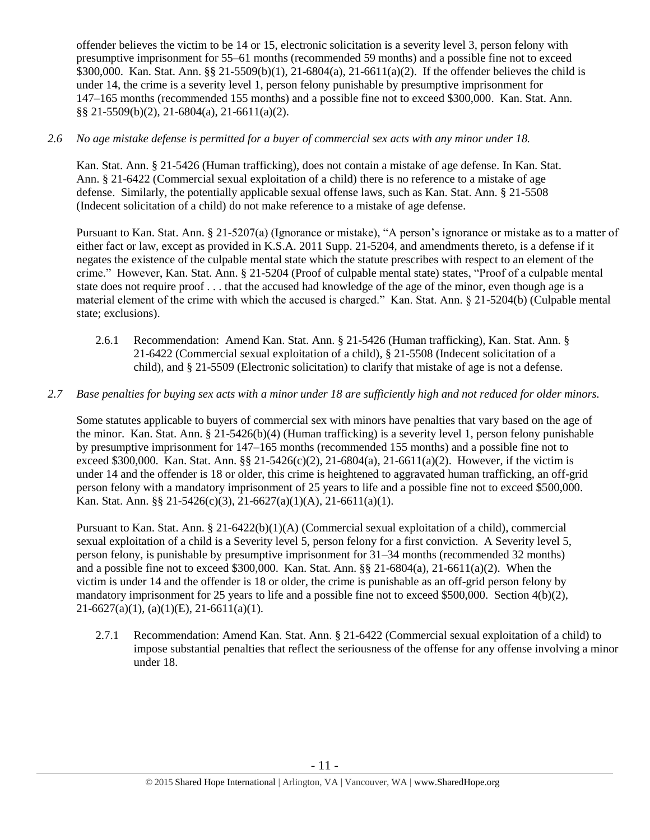offender believes the victim to be 14 or 15, electronic solicitation is a severity level 3, person felony with presumptive imprisonment for 55–61 months (recommended 59 months) and a possible fine not to exceed \$300,000. Kan. Stat. Ann. §§ 21-5509(b)(1), 21-6804(a), 21-6611(a)(2). If the offender believes the child is under 14, the crime is a severity level 1, person felony punishable by presumptive imprisonment for 147–165 months (recommended 155 months) and a possible fine not to exceed \$300,000. Kan. Stat. Ann. §§ 21-5509(b)(2), 21-6804(a), 21-6611(a)(2).

# *2.6 No age mistake defense is permitted for a buyer of commercial sex acts with any minor under 18.*

Kan. Stat. Ann. § 21-5426 (Human trafficking), does not contain a mistake of age defense. In Kan. Stat. Ann. § 21-6422 (Commercial sexual exploitation of a child) there is no reference to a mistake of age defense. Similarly, the potentially applicable sexual offense laws, such as Kan. Stat. Ann. § 21-5508 (Indecent solicitation of a child) do not make reference to a mistake of age defense.

Pursuant to Kan. Stat. Ann. § 21-5207(a) (Ignorance or mistake), "A person's ignorance or mistake as to a matter of either fact or law, except as provided in K.S.A. 2011 Supp. 21-5204, and amendments thereto, is a defense if it negates the existence of the culpable mental state which the statute prescribes with respect to an element of the crime." However, Kan. Stat. Ann. § 21-5204 (Proof of culpable mental state) states, "Proof of a culpable mental state does not require proof . . . that the accused had knowledge of the age of the minor, even though age is a material element of the crime with which the accused is charged." Kan. Stat. Ann. § 21-5204(b) (Culpable mental state; exclusions).

2.6.1 Recommendation: Amend Kan. Stat. Ann. § 21-5426 (Human trafficking), Kan. Stat. Ann. § 21-6422 (Commercial sexual exploitation of a child), § 21-5508 (Indecent solicitation of a child), and § 21-5509 (Electronic solicitation) to clarify that mistake of age is not a defense.

# *2.7 Base penalties for buying sex acts with a minor under 18 are sufficiently high and not reduced for older minors.*

Some statutes applicable to buyers of commercial sex with minors have penalties that vary based on the age of the minor. Kan. Stat. Ann. § 21-5426(b)(4) (Human trafficking) is a severity level 1, person felony punishable by presumptive imprisonment for 147–165 months (recommended 155 months) and a possible fine not to exceed \$300,000. Kan. Stat. Ann. §§ 21-5426(c)(2), 21-6804(a), 21-6611(a)(2). However, if the victim is under 14 and the offender is 18 or older, this crime is heightened to aggravated human trafficking, an off-grid person felony with a mandatory imprisonment of 25 years to life and a possible fine not to exceed \$500,000. Kan. Stat. Ann. §§ 21-5426(c)(3), 21-6627(a)(1)(A), 21-6611(a)(1).

Pursuant to Kan. Stat. Ann. § 21-6422(b)(1)(A) (Commercial sexual exploitation of a child), commercial sexual exploitation of a child is a Severity level 5, person felony for a first conviction. A Severity level 5, person felony, is punishable by presumptive imprisonment for 31–34 months (recommended 32 months) and a possible fine not to exceed \$300,000. Kan. Stat. Ann. §§ 21-6804(a), 21-6611(a)(2). When the victim is under 14 and the offender is 18 or older, the crime is punishable as an off-grid person felony by mandatory imprisonment for 25 years to life and a possible fine not to exceed \$500,000. Section 4(b)(2),  $21-6627(a)(1)$ ,  $(a)(1)(E)$ ,  $21-6611(a)(1)$ .

2.7.1 Recommendation: Amend Kan. Stat. Ann. § 21-6422 (Commercial sexual exploitation of a child) to impose substantial penalties that reflect the seriousness of the offense for any offense involving a minor under 18.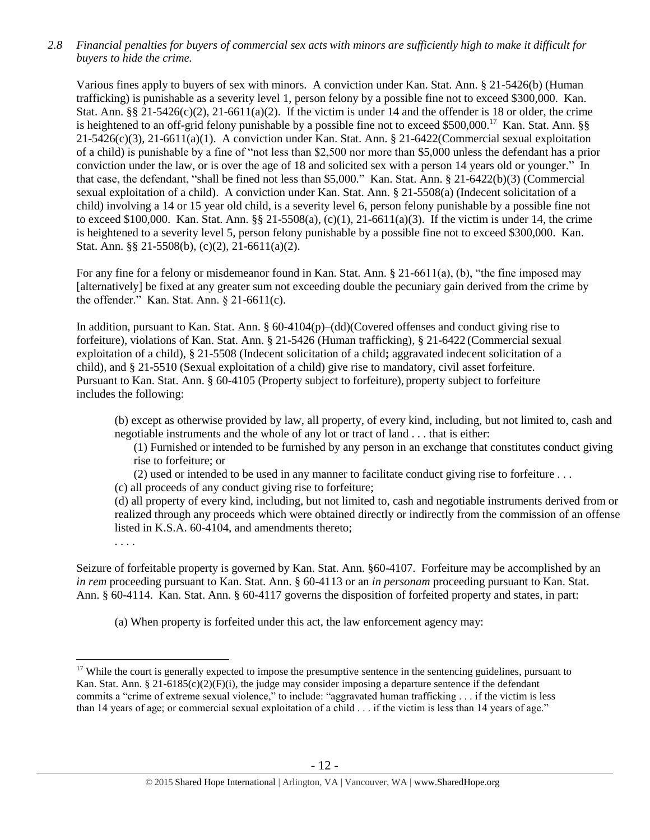*2.8 Financial penalties for buyers of commercial sex acts with minors are sufficiently high to make it difficult for buyers to hide the crime.* 

Various fines apply to buyers of sex with minors. A conviction under Kan. Stat. Ann. § 21-5426(b) (Human trafficking) is punishable as a severity level 1, person felony by a possible fine not to exceed \$300,000. Kan. Stat. Ann.  $\S$ § 21-5426(c)(2), 21-6611(a)(2). If the victim is under 14 and the offender is 18 or older, the crime is heightened to an off-grid felony punishable by a possible fine not to exceed \$500,000.<sup>17</sup> Kan. Stat. Ann. §§  $21-5426(c)(3)$ ,  $21-6611(a)(1)$ . A conviction under Kan. Stat. Ann. § 21-6422(Commercial sexual exploitation of a child) is punishable by a fine of "not less than \$2,500 nor more than \$5,000 unless the defendant has a prior conviction under the law, or is over the age of 18 and solicited sex with a person 14 years old or younger." In that case, the defendant, "shall be fined not less than \$5,000." Kan. Stat. Ann. § 21-6422(b)(3) (Commercial sexual exploitation of a child). A conviction under Kan. Stat. Ann. § 21-5508(a) (Indecent solicitation of a child) involving a 14 or 15 year old child, is a severity level 6, person felony punishable by a possible fine not to exceed \$100,000. Kan. Stat. Ann. §§ 21-5508(a), (c)(1), 21-6611(a)(3). If the victim is under 14, the crime is heightened to a severity level 5, person felony punishable by a possible fine not to exceed \$300,000. Kan. Stat. Ann. §§ 21-5508(b), (c)(2), 21-6611(a)(2).

For any fine for a felony or misdemeanor found in Kan. Stat. Ann. § 21-6611(a), (b), "the fine imposed may [alternatively] be fixed at any greater sum not exceeding double the pecuniary gain derived from the crime by the offender." Kan. Stat. Ann. § 21-6611(c).

In addition, pursuant to Kan. Stat. Ann. § 60-4104(p)–(dd)(Covered offenses and conduct giving rise to forfeiture), violations of Kan. Stat. Ann. § 21-5426 (Human trafficking), § 21-6422 (Commercial sexual exploitation of a child), § 21-5508 (Indecent solicitation of a child**;** aggravated indecent solicitation of a child), and § 21-5510 (Sexual exploitation of a child) give rise to mandatory, civil asset forfeiture. Pursuant to Kan. Stat. Ann. § 60-4105 (Property subject to forfeiture), property subject to forfeiture includes the following:

(b) except as otherwise provided by law, all property, of every kind, including, but not limited to, cash and negotiable instruments and the whole of any lot or tract of land . . . that is either:

(1) Furnished or intended to be furnished by any person in an exchange that constitutes conduct giving rise to forfeiture; or

(2) used or intended to be used in any manner to facilitate conduct giving rise to forfeiture . . .

(c) all proceeds of any conduct giving rise to forfeiture;

(d) all property of every kind, including, but not limited to, cash and negotiable instruments derived from or realized through any proceeds which were obtained directly or indirectly from the commission of an offense listed in K.S.A. 60-4104, and amendments thereto;

. . . .

 $\overline{a}$ 

Seizure of forfeitable property is governed by Kan. Stat. Ann. §60-4107. Forfeiture may be accomplished by an *in rem* proceeding pursuant to Kan. Stat. Ann. § 60-4113 or an *in personam* proceeding pursuant to Kan. Stat. Ann. § 60-4114. Kan. Stat. Ann. § 60-4117 governs the disposition of forfeited property and states, in part:

(a) When property is forfeited under this act, the law enforcement agency may:

 $17$  While the court is generally expected to impose the presumptive sentence in the sentencing guidelines, pursuant to Kan. Stat. Ann. § 21-6185(c)(2)(F)(i), the judge may consider imposing a departure sentence if the defendant commits a "crime of extreme sexual violence," to include: "aggravated human trafficking . . . if the victim is less than 14 years of age; or commercial sexual exploitation of a child . . . if the victim is less than 14 years of age."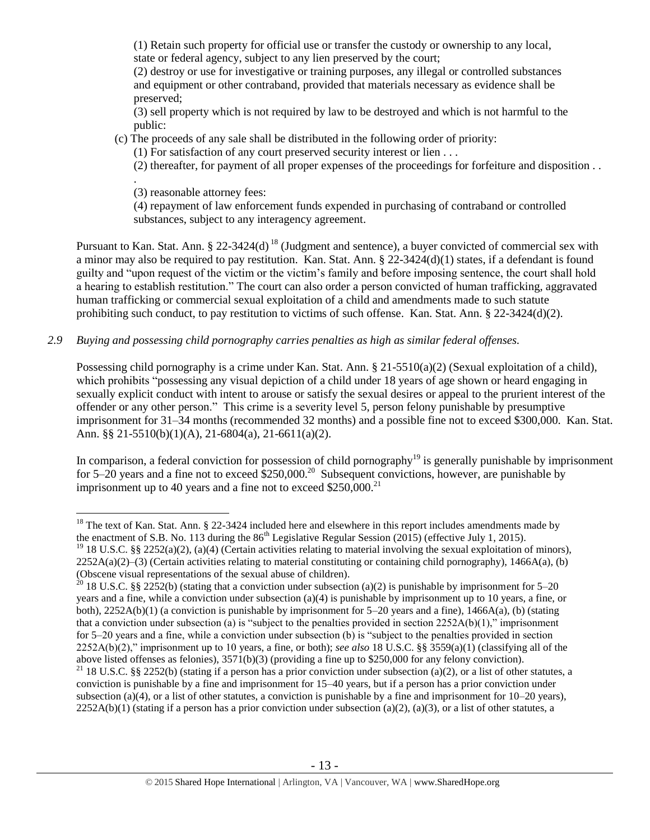(1) Retain such property for official use or transfer the custody or ownership to any local, state or federal agency, subject to any lien preserved by the court;

(2) destroy or use for investigative or training purposes, any illegal or controlled substances and equipment or other contraband, provided that materials necessary as evidence shall be preserved;

(3) sell property which is not required by law to be destroyed and which is not harmful to the public:

(c) The proceeds of any sale shall be distributed in the following order of priority:

(1) For satisfaction of any court preserved security interest or lien . . .

(2) thereafter, for payment of all proper expenses of the proceedings for forfeiture and disposition . .

. (3) reasonable attorney fees:

<span id="page-12-0"></span>(4) repayment of law enforcement funds expended in purchasing of contraband or controlled substances, subject to any interagency agreement.

Pursuant to Kan. Stat. Ann. § 22-3424(d)<sup>18</sup> (Judgment and sentence), a buyer convicted of commercial sex with a minor may also be required to pay restitution. Kan. Stat. Ann. § 22-3424(d)(1) states, if a defendant is found guilty and "upon request of the victim or the victim's family and before imposing sentence, the court shall hold a hearing to establish restitution." The court can also order a person convicted of human trafficking, aggravated human trafficking or commercial sexual exploitation of a child and amendments made to such statute prohibiting such conduct, to pay restitution to victims of such offense. Kan. Stat. Ann.  $\S$  22-3424(d)(2).

# *2.9 Buying and possessing child pornography carries penalties as high as similar federal offenses.*

Possessing child pornography is a crime under Kan. Stat. Ann. § 21-5510(a)(2) (Sexual exploitation of a child), which prohibits "possessing any visual depiction of a child under 18 years of age shown or heard engaging in sexually explicit conduct with intent to arouse or satisfy the sexual desires or appeal to the prurient interest of the offender or any other person." This crime is a severity level 5, person felony punishable by presumptive imprisonment for 31–34 months (recommended 32 months) and a possible fine not to exceed \$300,000. Kan. Stat. Ann. §§ 21-5510(b)(1)(A), 21-6804(a), 21-6611(a)(2).

In comparison, a federal conviction for possession of child pornography<sup>19</sup> is generally punishable by imprisonment for 5–20 years and a fine not to exceed  $$250,000.<sup>20</sup>$  Subsequent convictions, however, are punishable by imprisonment up to 40 years and a fine not to exceed  $$250,000.<sup>21</sup>$ 

 $\overline{a}$  $18$  The text of Kan. Stat. Ann. § 22-3424 included here and elsewhere in this report includes amendments made by the enactment of S.B. No. 113 during the  $86<sup>th</sup>$  Legislative Regular Session (2015) (effective July 1, 2015).

<sup>&</sup>lt;sup>19</sup> 18 U.S.C. §§ 2252(a)(2), (a)(4) (Certain activities relating to material involving the sexual exploitation of minors),  $2252A(a)(2)$ –(3) (Certain activities relating to material constituting or containing child pornography), 1466A(a), (b) (Obscene visual representations of the sexual abuse of children).

<sup>&</sup>lt;sup>20</sup> 18 U.S.C. §§ 2252(b) (stating that a conviction under subsection (a)(2) is punishable by imprisonment for 5–20 years and a fine, while a conviction under subsection (a)(4) is punishable by imprisonment up to 10 years, a fine, or both), 2252A(b)(1) (a conviction is punishable by imprisonment for 5–20 years and a fine), 1466A(a), (b) (stating that a conviction under subsection (a) is "subject to the penalties provided in section  $2252A(b)(1)$ ," imprisonment for 5–20 years and a fine, while a conviction under subsection (b) is "subject to the penalties provided in section 2252A(b)(2)," imprisonment up to 10 years, a fine, or both); *see also* 18 U.S.C. §§ 3559(a)(1) (classifying all of the above listed offenses as felonies), 3571(b)(3) (providing a fine up to \$250,000 for any felony conviction).

<sup>&</sup>lt;sup>21</sup> 18 U.S.C. §§ 2252(b) (stating if a person has a prior conviction under subsection (a)(2), or a list of other statutes, a conviction is punishable by a fine and imprisonment for 15–40 years, but if a person has a prior conviction under subsection (a)(4), or a list of other statutes, a conviction is punishable by a fine and imprisonment for  $10-20$  years),  $2252A(b)(1)$  (stating if a person has a prior conviction under subsection (a)(2), (a)(3), or a list of other statutes, a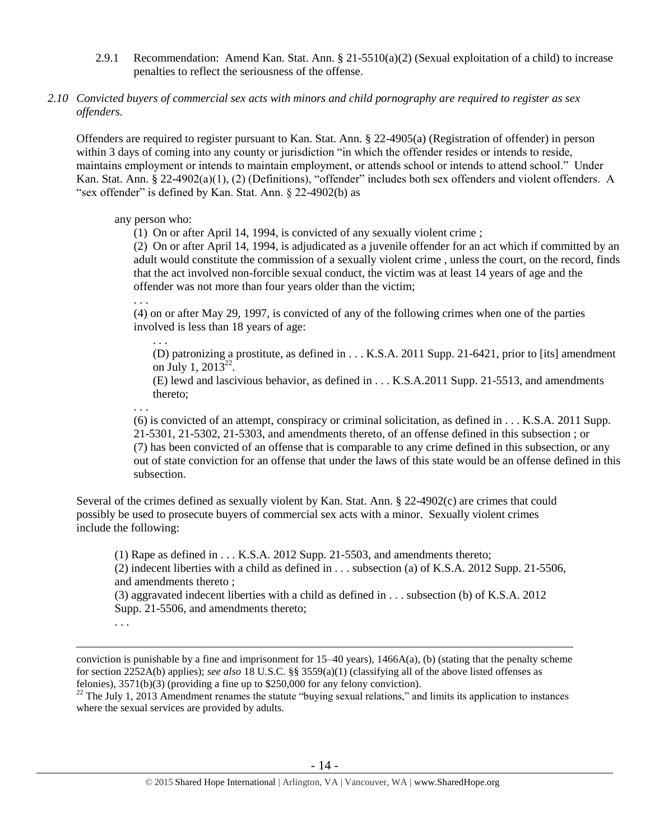- 2.9.1 Recommendation: Amend Kan. Stat. Ann.  $\S$  21-5510(a)(2) (Sexual exploitation of a child) to increase penalties to reflect the seriousness of the offense.
- *2.10 Convicted buyers of commercial sex acts with minors and child pornography are required to register as sex offenders.*

Offenders are required to register pursuant to Kan. Stat. Ann. § 22-4905(a) (Registration of offender) in person within 3 days of coming into any county or jurisdiction "in which the offender resides or intends to reside, maintains employment or intends to maintain employment, or attends school or intends to attend school." Under Kan. Stat. Ann. § 22-4902(a)(1), (2) (Definitions), "offender" includes both sex offenders and violent offenders. A "sex offender" is defined by Kan. Stat. Ann. § 22-4902(b) as

### any person who:

(1) On or after April 14, 1994, is convicted of any sexually violent crime ;

(2) On or after April 14, 1994, is adjudicated as a juvenile offender for an act which if committed by an adult would constitute the commission of a sexually violent crime , unless the court, on the record, finds that the act involved non-forcible sexual conduct, the victim was at least 14 years of age and the offender was not more than four years older than the victim;

. . .

. . .

(4) on or after May 29, 1997, is convicted of any of the following crimes when one of the parties involved is less than 18 years of age:

(D) patronizing a prostitute, as defined in . . . K.S.A. 2011 Supp. 21-6421, prior to [its] amendment on July 1, 2013<sup>22</sup>.

(E) lewd and lascivious behavior, as defined in . . . K.S.A.2011 Supp. 21-5513, and amendments thereto;

. . .

(6) is convicted of an attempt, conspiracy or criminal solicitation, as defined in . . . K.S.A. 2011 Supp. 21-5301, 21-5302, 21-5303, and amendments thereto, of an offense defined in this subsection ; or (7) has been convicted of an offense that is comparable to any crime defined in this subsection, or any out of state conviction for an offense that under the laws of this state would be an offense defined in this subsection.

Several of the crimes defined as sexually violent by Kan. Stat. Ann. § 22-4902(c) are crimes that could possibly be used to prosecute buyers of commercial sex acts with a minor. Sexually violent crimes include the following:

(1) Rape as defined in . . . K.S.A. 2012 Supp. 21-5503, and amendments thereto; (2) indecent liberties with a child as defined in . . . subsection (a) of K.S.A. 2012 Supp. 21-5506, and amendments thereto ; (3) aggravated indecent liberties with a child as defined in . . . subsection (b) of K.S.A. 2012

Supp. 21-5506, and amendments thereto;

. . .

conviction is punishable by a fine and imprisonment for  $15-40$  years),  $1466A(a)$ , (b) (stating that the penalty scheme for section 2252A(b) applies); *see also* 18 U.S.C. §§ 3559(a)(1) (classifying all of the above listed offenses as felonies), 3571(b)(3) (providing a fine up to \$250,000 for any felony conviction).

 $22$  The July 1, 2013 Amendment renames the statute "buying sexual relations," and limits its application to instances where the sexual services are provided by adults.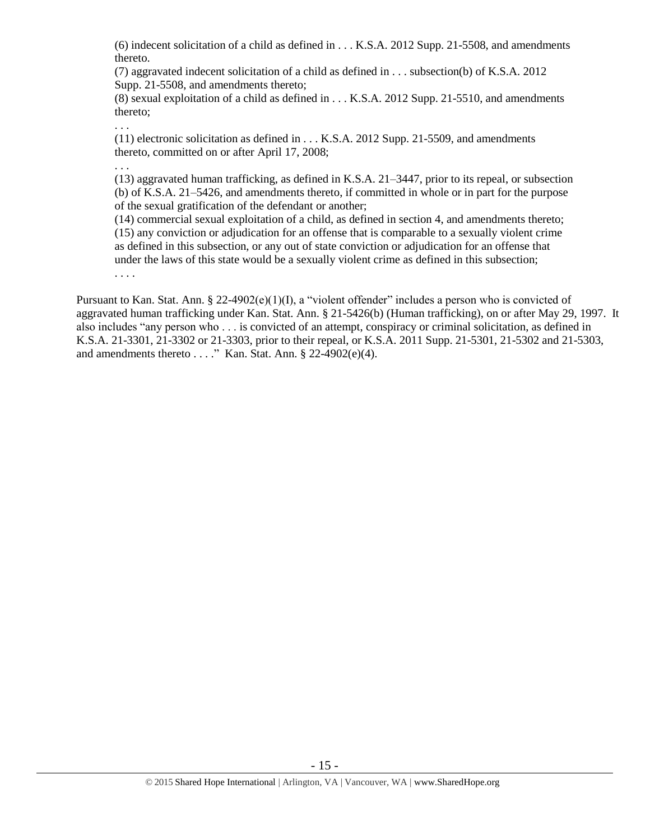(6) indecent solicitation of a child as defined in . . . K.S.A. 2012 Supp. 21-5508, and amendments thereto.

(7) aggravated indecent solicitation of a child as defined in . . . subsection(b) of K.S.A. 2012 Supp. 21-5508, and amendments thereto;

(8) sexual exploitation of a child as defined in . . . K.S.A. 2012 Supp. 21-5510, and amendments thereto;

. . .

(11) electronic solicitation as defined in . . . K.S.A. 2012 Supp. 21-5509, and amendments thereto, committed on or after April 17, 2008;

. . .

(13) aggravated human trafficking, as defined in K.S.A. 21–3447, prior to its repeal, or subsection (b) of K.S.A. 21–5426, and amendments thereto, if committed in whole or in part for the purpose of the sexual gratification of the defendant or another;

(14) commercial sexual exploitation of a child, as defined in section 4, and amendments thereto; (15) any conviction or adjudication for an offense that is comparable to a sexually violent crime as defined in this subsection, or any out of state conviction or adjudication for an offense that under the laws of this state would be a sexually violent crime as defined in this subsection;

. . . .

Pursuant to Kan. Stat. Ann. § 22-4902(e)(1)(I), a "violent offender" includes a person who is convicted of aggravated human trafficking under Kan. Stat. Ann. § 21-5426(b) (Human trafficking), on or after May 29, 1997. It also includes "any person who . . . is convicted of an attempt, conspiracy or criminal solicitation, as defined in K.S.A. 21-3301, 21-3302 or 21-3303, prior to their repeal, or K.S.A. 2011 Supp. 21-5301, 21-5302 and 21-5303, and amendments thereto  $\dots$ ." Kan. Stat. Ann. § 22-4902 $(e)(4)$ .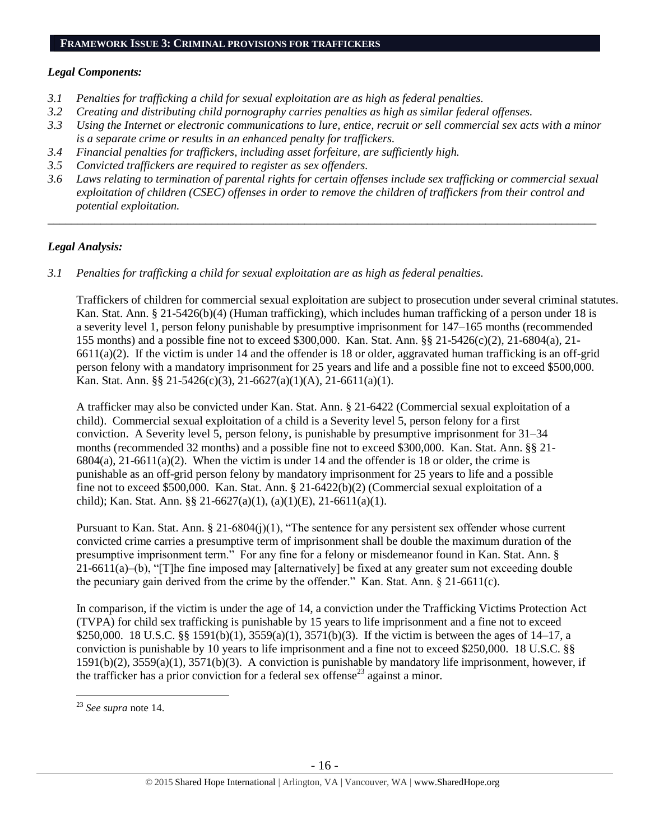# **FRAMEWORK ISSUE 3: CRIMINAL PROVISIONS FOR TRAFFICKERS**

# *Legal Components:*

- *3.1 Penalties for trafficking a child for sexual exploitation are as high as federal penalties.*
- *3.2 Creating and distributing child pornography carries penalties as high as similar federal offenses.*
- *3.3 Using the Internet or electronic communications to lure, entice, recruit or sell commercial sex acts with a minor is a separate crime or results in an enhanced penalty for traffickers.*
- *3.4 Financial penalties for traffickers, including asset forfeiture, are sufficiently high.*
- *3.5 Convicted traffickers are required to register as sex offenders.*
- *3.6 Laws relating to termination of parental rights for certain offenses include sex trafficking or commercial sexual exploitation of children (CSEC) offenses in order to remove the children of traffickers from their control and potential exploitation.*

*\_\_\_\_\_\_\_\_\_\_\_\_\_\_\_\_\_\_\_\_\_\_\_\_\_\_\_\_\_\_\_\_\_\_\_\_\_\_\_\_\_\_\_\_\_\_\_\_\_\_\_\_\_\_\_\_\_\_\_\_\_\_\_\_\_\_\_\_\_\_\_\_\_\_\_\_\_\_\_\_\_\_\_\_\_\_\_\_\_\_\_\_\_\_*

# *Legal Analysis:*

*3.1 Penalties for trafficking a child for sexual exploitation are as high as federal penalties.* 

Traffickers of children for commercial sexual exploitation are subject to prosecution under several criminal statutes. Kan. Stat. Ann. § 21-5426(b)(4) (Human trafficking), which includes human trafficking of a person under 18 is a severity level 1, person felony punishable by presumptive imprisonment for 147–165 months (recommended 155 months) and a possible fine not to exceed \$300,000. Kan. Stat. Ann. §§ 21-5426(c)(2), 21-6804(a), 21-  $6611(a)(2)$ . If the victim is under 14 and the offender is 18 or older, aggravated human trafficking is an off-grid person felony with a mandatory imprisonment for 25 years and life and a possible fine not to exceed \$500,000. Kan. Stat. Ann. §§ 21-5426(c)(3), 21-6627(a)(1)(A), 21-6611(a)(1).

A trafficker may also be convicted under Kan. Stat. Ann. § 21-6422 (Commercial sexual exploitation of a child). Commercial sexual exploitation of a child is a Severity level 5, person felony for a first conviction. A Severity level 5, person felony, is punishable by presumptive imprisonment for 31–34 months (recommended 32 months) and a possible fine not to exceed \$300,000. Kan. Stat. Ann. §§ 21-  $6804(a)$ ,  $21-6611(a)(2)$ . When the victim is under 14 and the offender is 18 or older, the crime is punishable as an off-grid person felony by mandatory imprisonment for 25 years to life and a possible fine not to exceed \$500,000. Kan. Stat. Ann. § 21-6422(b)(2) (Commercial sexual exploitation of a child); Kan. Stat. Ann. §§ 21-6627(a)(1), (a)(1)(E), 21-6611(a)(1).

Pursuant to Kan. Stat. Ann. § 21-6804(j)(1), "The sentence for any persistent sex offender whose current convicted crime carries a presumptive term of imprisonment shall be double the maximum duration of the presumptive imprisonment term.<sup>7</sup> For any fine for a felony or misdemeanor found in Kan. Stat. Ann. § 21-6611(a)–(b), "[T]he fine imposed may [alternatively] be fixed at any greater sum not exceeding double the pecuniary gain derived from the crime by the offender." Kan. Stat. Ann. § 21-6611(c).

In comparison, if the victim is under the age of 14, a conviction under the Trafficking Victims Protection Act (TVPA) for child sex trafficking is punishable by 15 years to life imprisonment and a fine not to exceed \$250,000. 18 U.S.C. §§ 1591(b)(1), 3559(a)(1), 3571(b)(3). If the victim is between the ages of 14–17, a conviction is punishable by 10 years to life imprisonment and a fine not to exceed \$250,000. 18 U.S.C. §§ 1591(b)(2), 3559(a)(1), 3571(b)(3). A conviction is punishable by mandatory life imprisonment, however, if the trafficker has a prior conviction for a federal sex offense<sup>23</sup> against a minor.

<sup>23</sup> *See supra* note [14.](#page-9-0)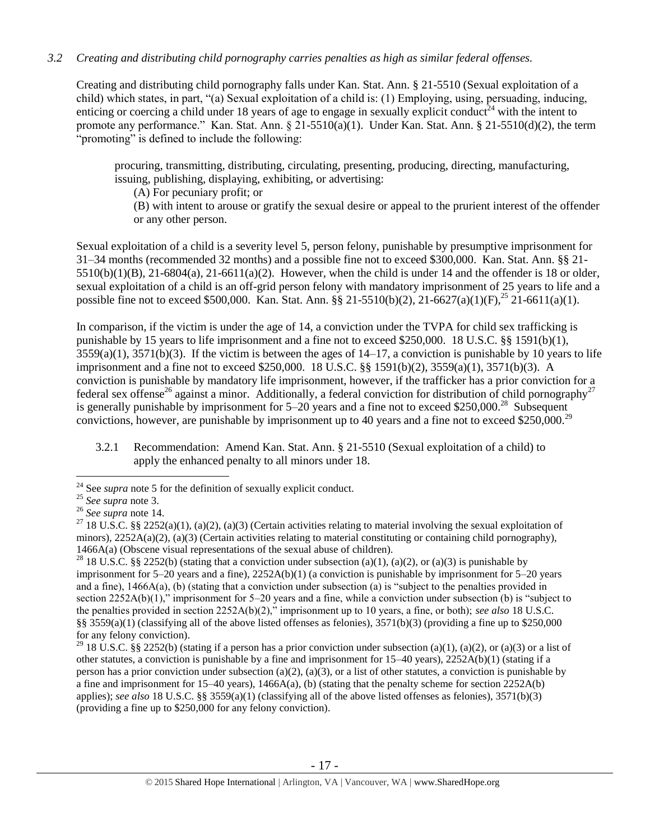# *3.2 Creating and distributing child pornography carries penalties as high as similar federal offenses.*

Creating and distributing child pornography falls under Kan. Stat. Ann. § 21-5510 (Sexual exploitation of a child) which states, in part, "(a) Sexual exploitation of a child is: (1) Employing, using, persuading, inducing, enticing or coercing a child under 18 years of age to engage in sexually explicit conduct<sup>24</sup> with the intent to promote any performance." Kan. Stat. Ann. § 21-5510(a)(1). Under Kan. Stat. Ann. § 21-5510(d)(2), the term "promoting" is defined to include the following:

procuring, transmitting, distributing, circulating, presenting, producing, directing, manufacturing, issuing, publishing, displaying, exhibiting, or advertising:

(A) For pecuniary profit; or

(B) with intent to arouse or gratify the sexual desire or appeal to the prurient interest of the offender or any other person.

Sexual exploitation of a child is a severity level 5, person felony, punishable by presumptive imprisonment for 31–34 months (recommended 32 months) and a possible fine not to exceed \$300,000. Kan. Stat. Ann. §§ 21-  $5510(b)(1)(B)$ ,  $21-6804(a)$ ,  $21-6611(a)(2)$ . However, when the child is under 14 and the offender is 18 or older, sexual exploitation of a child is an off-grid person felony with mandatory imprisonment of 25 years to life and a possible fine not to exceed \$500,000. Kan. Stat. Ann. §§ 21-5510(b)(2), 21-6627(a)(1)(F),<sup>25</sup> 21-6611(a)(1).

In comparison, if the victim is under the age of 14, a conviction under the TVPA for child sex trafficking is punishable by 15 years to life imprisonment and a fine not to exceed \$250,000. 18 U.S.C. §§ 1591(b)(1),  $3559(a)(1)$ ,  $3571(b)(3)$ . If the victim is between the ages of  $14-17$ , a conviction is punishable by 10 years to life imprisonment and a fine not to exceed \$250,000. 18 U.S.C. §§ 1591(b)(2), 3559(a)(1), 3571(b)(3). A conviction is punishable by mandatory life imprisonment, however, if the trafficker has a prior conviction for a federal sex offense<sup>26</sup> against a minor. Additionally, a federal conviction for distribution of child pornography<sup>27</sup> is generally punishable by imprisonment for  $5-20$  years and a fine not to exceed \$250,000.<sup>28</sup> Subsequent convictions, however, are punishable by imprisonment up to 40 years and a fine not to exceed \$250,000.<sup>29</sup>

3.2.1 Recommendation: Amend Kan. Stat. Ann. § 21-5510 (Sexual exploitation of a child) to apply the enhanced penalty to all minors under 18.

<sup>&</sup>lt;sup>24</sup> See *supra* note [5](#page-2-0) for the definition of sexually explicit conduct.

<sup>25</sup> *See supra* note [3.](#page-1-0)

<sup>26</sup> *See supra* note [14.](#page-9-0)

<sup>&</sup>lt;sup>27</sup> 18 U.S.C. §§ 2252(a)(1), (a)(2), (a)(3) (Certain activities relating to material involving the sexual exploitation of minors),  $2252A(a)(2)$ ,  $(a)(3)$  (Certain activities relating to material constituting or containing child pornography), 1466A(a) (Obscene visual representations of the sexual abuse of children).

<sup>&</sup>lt;sup>28</sup> 18 U.S.C. §§ 2252(b) (stating that a conviction under subsection (a)(1), (a)(2), or (a)(3) is punishable by imprisonment for 5–20 years and a fine), 2252A(b)(1) (a conviction is punishable by imprisonment for 5–20 years and a fine), 1466A(a), (b) (stating that a conviction under subsection (a) is "subject to the penalties provided in section 2252A(b)(1)," imprisonment for 5–20 years and a fine, while a conviction under subsection (b) is "subject to the penalties provided in section 2252A(b)(2)," imprisonment up to 10 years, a fine, or both); *see also* 18 U.S.C. §§ 3559(a)(1) (classifying all of the above listed offenses as felonies),  $3571(b)(3)$  (providing a fine up to \$250,000 for any felony conviction).

<sup>&</sup>lt;sup>29</sup> 18 U.S.C. §§ 2252(b) (stating if a person has a prior conviction under subsection (a)(1), (a)(2), or (a)(3) or a list of other statutes, a conviction is punishable by a fine and imprisonment for 15–40 years), 2252A(b)(1) (stating if a person has a prior conviction under subsection (a)(2), (a)(3), or a list of other statutes, a conviction is punishable by a fine and imprisonment for  $15-40$  years),  $1466A(a)$ , (b) (stating that the penalty scheme for section  $2252A(b)$ applies); *see also* 18 U.S.C. §§ 3559(a)(1) (classifying all of the above listed offenses as felonies), 3571(b)(3) (providing a fine up to \$250,000 for any felony conviction).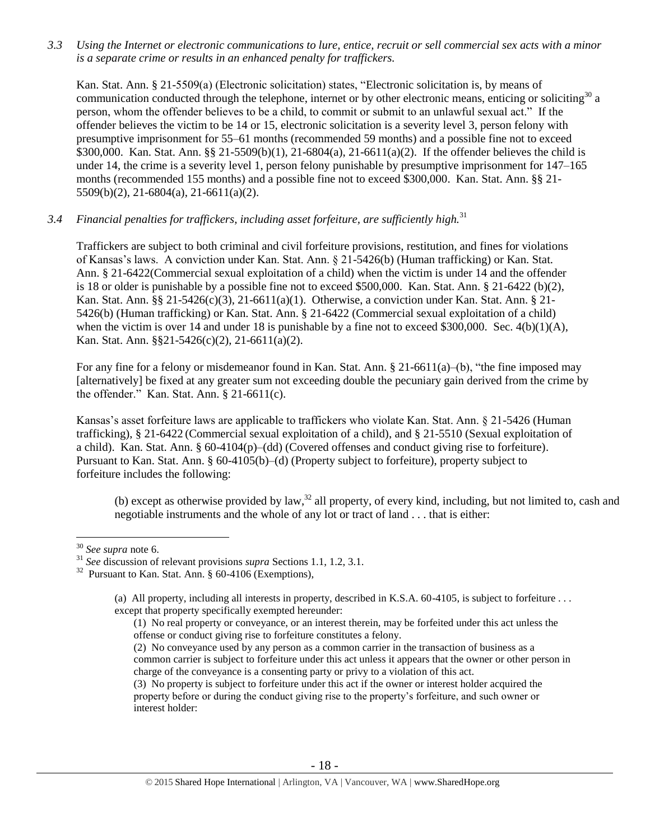*3.3 Using the Internet or electronic communications to lure, entice, recruit or sell commercial sex acts with a minor is a separate crime or results in an enhanced penalty for traffickers.*

Kan. Stat. Ann. § 21-5509(a) (Electronic solicitation) states, "Electronic solicitation is, by means of communication conducted through the telephone, internet or by other electronic means, enticing or soliciting<sup>30</sup> a person, whom the offender believes to be a child, to commit or submit to an unlawful sexual act." If the offender believes the victim to be 14 or 15, electronic solicitation is a severity level 3, person felony with presumptive imprisonment for 55–61 months (recommended 59 months) and a possible fine not to exceed \$300,000. Kan. Stat. Ann. §§ 21-5509(b)(1), 21-6804(a), 21-6611(a)(2). If the offender believes the child is under 14, the crime is a severity level 1, person felony punishable by presumptive imprisonment for 147–165 months (recommended 155 months) and a possible fine not to exceed \$300,000. Kan. Stat. Ann. §§ 21- 5509(b)(2), 21-6804(a), 21-6611(a)(2).

# *3.4 Financial penalties for traffickers, including asset forfeiture, are sufficiently high.*<sup>31</sup>

Traffickers are subject to both criminal and civil forfeiture provisions, restitution, and fines for violations of Kansas's laws. A conviction under Kan. Stat. Ann. § 21-5426(b) (Human trafficking) or Kan. Stat. Ann. § 21-6422(Commercial sexual exploitation of a child) when the victim is under 14 and the offender is 18 or older is punishable by a possible fine not to exceed \$500,000. Kan. Stat. Ann. § 21-6422 (b)(2), Kan. Stat. Ann. §§ 21-5426(c)(3), 21-6611(a)(1). Otherwise, a conviction under Kan. Stat. Ann. § 21- 5426(b) (Human trafficking) or Kan. Stat. Ann. § 21-6422 (Commercial sexual exploitation of a child) when the victim is over 14 and under 18 is punishable by a fine not to exceed \$300,000. Sec. 4(b)(1)(A), Kan. Stat. Ann. §§21-5426(c)(2), 21-6611(a)(2).

For any fine for a felony or misdemeanor found in Kan. Stat. Ann. § 21-6611(a)–(b), "the fine imposed may [alternatively] be fixed at any greater sum not exceeding double the pecuniary gain derived from the crime by the offender." Kan. Stat. Ann. § 21-6611(c).

Kansas's asset forfeiture laws are applicable to traffickers who violate Kan. Stat. Ann. § 21-5426 (Human trafficking), § 21-6422 (Commercial sexual exploitation of a child), and § 21-5510 (Sexual exploitation of a child). Kan. Stat. Ann. § 60-4104(p)–(dd) (Covered offenses and conduct giving rise to forfeiture). Pursuant to Kan. Stat. Ann. § 60-4105(b)–(d) (Property subject to forfeiture), property subject to forfeiture includes the following:

(b) except as otherwise provided by law,<sup>32</sup> all property, of every kind, including, but not limited to, cash and negotiable instruments and the whole of any lot or tract of land . . . that is either:

 $\overline{a}$ 

(2) No conveyance used by any person as a common carrier in the transaction of business as a common carrier is subject to forfeiture under this act unless it appears that the owner or other person in charge of the conveyance is a consenting party or privy to a violation of this act.

(3) No property is subject to forfeiture under this act if the owner or interest holder acquired the property before or during the conduct giving rise to the property's forfeiture, and such owner or interest holder:

<sup>30</sup> *See supra* note [6.](#page-3-0)

<sup>31</sup> *See* discussion of relevant provisions *supra* Sections 1.1, 1.2, 3.1.

<sup>&</sup>lt;sup>32</sup> Pursuant to Kan. Stat. Ann. § 60-4106 (Exemptions),

<sup>(</sup>a) All property, including all interests in property, described in K.S.A. 60-4105, is subject to forfeiture . . . except that property specifically exempted hereunder:

<sup>(1)</sup> No real property or conveyance, or an interest therein, may be forfeited under this act unless the offense or conduct giving rise to forfeiture constitutes a felony.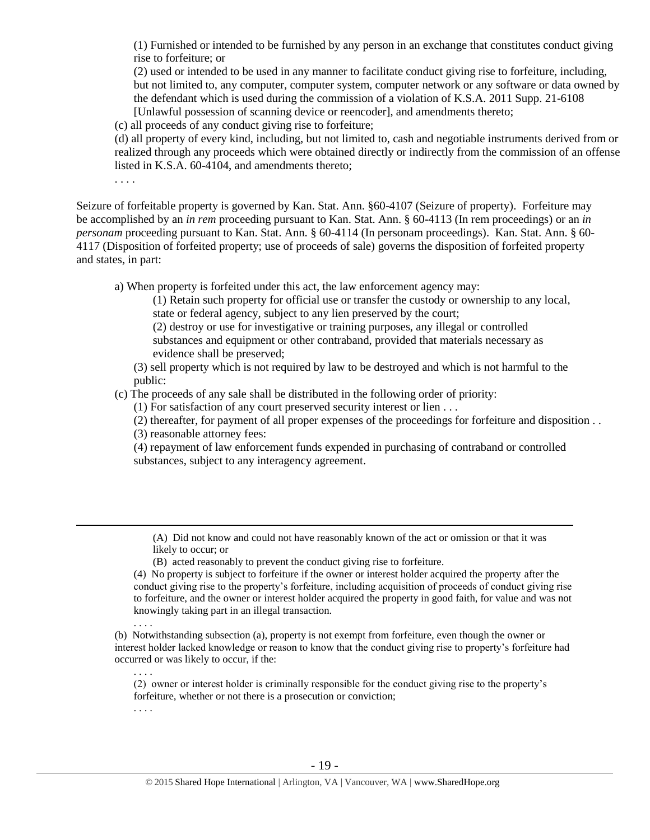(1) Furnished or intended to be furnished by any person in an exchange that constitutes conduct giving rise to forfeiture; or

(2) used or intended to be used in any manner to facilitate conduct giving rise to forfeiture, including, but not limited to, any computer, computer system, computer network or any software or data owned by the defendant which is used during the commission of a violation of K.S.A. 2011 Supp. 21-6108 [Unlawful possession of scanning device or reencoder], and amendments thereto;

(c) all proceeds of any conduct giving rise to forfeiture;

(d) all property of every kind, including, but not limited to, cash and negotiable instruments derived from or realized through any proceeds which were obtained directly or indirectly from the commission of an offense listed in K.S.A. 60-4104, and amendments thereto;

. . . .

Seizure of forfeitable property is governed by Kan. Stat. Ann. §60-4107 (Seizure of property). Forfeiture may be accomplished by an *in rem* proceeding pursuant to Kan. Stat. Ann. § 60-4113 (In rem proceedings) or an *in personam* proceeding pursuant to Kan. Stat. Ann. § 60-4114 (In personam proceedings). Kan. Stat. Ann. § 60- 4117 (Disposition of forfeited property; use of proceeds of sale) governs the disposition of forfeited property and states, in part:

a) When property is forfeited under this act, the law enforcement agency may:

(1) Retain such property for official use or transfer the custody or ownership to any local, state or federal agency, subject to any lien preserved by the court;

(2) destroy or use for investigative or training purposes, any illegal or controlled substances and equipment or other contraband, provided that materials necessary as evidence shall be preserved;

(3) sell property which is not required by law to be destroyed and which is not harmful to the public:

(c) The proceeds of any sale shall be distributed in the following order of priority:

(1) For satisfaction of any court preserved security interest or lien . . .

(2) thereafter, for payment of all proper expenses of the proceedings for forfeiture and disposition . . (3) reasonable attorney fees:

(4) repayment of law enforcement funds expended in purchasing of contraband or controlled substances, subject to any interagency agreement.

(A) Did not know and could not have reasonably known of the act or omission or that it was likely to occur; or

(B) acted reasonably to prevent the conduct giving rise to forfeiture.

(4) No property is subject to forfeiture if the owner or interest holder acquired the property after the conduct giving rise to the property's forfeiture, including acquisition of proceeds of conduct giving rise to forfeiture, and the owner or interest holder acquired the property in good faith, for value and was not knowingly taking part in an illegal transaction.

(b) Notwithstanding subsection (a), property is not exempt from forfeiture, even though the owner or interest holder lacked knowledge or reason to know that the conduct giving rise to property's forfeiture had occurred or was likely to occur, if the:

(2) owner or interest holder is criminally responsible for the conduct giving rise to the property's forfeiture, whether or not there is a prosecution or conviction;

. . . .

. . . .

. . . .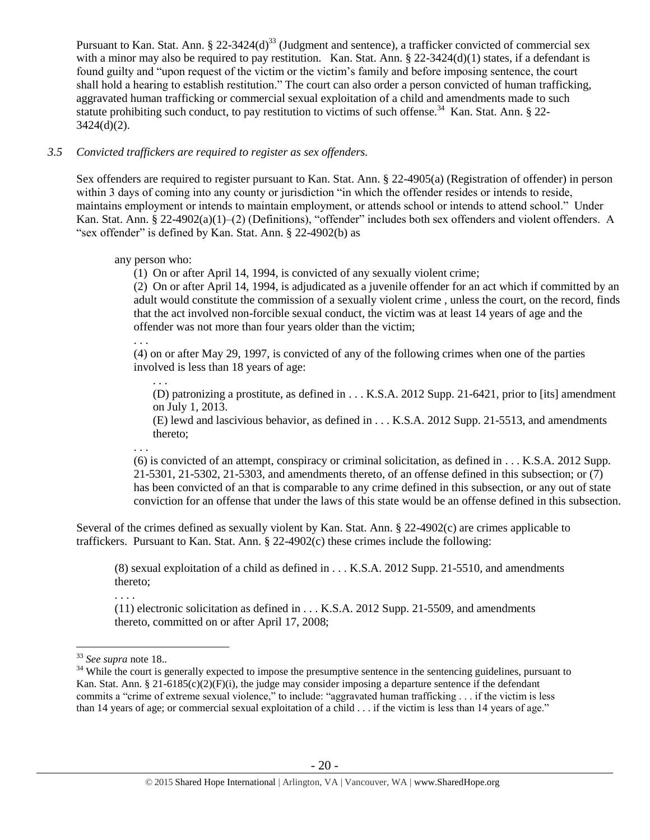Pursuant to Kan. Stat. Ann. § 22-3424(d)<sup>33</sup> (Judgment and sentence), a trafficker convicted of commercial sex with a minor may also be required to pay restitution. Kan. Stat. Ann.  $\S 22-3424(d)(1)$  states, if a defendant is found guilty and "upon request of the victim or the victim's family and before imposing sentence, the court shall hold a hearing to establish restitution." The court can also order a person convicted of human trafficking, aggravated human trafficking or commercial sexual exploitation of a child and amendments made to such statute prohibiting such conduct, to pay restitution to victims of such offense.<sup>34</sup> Kan. Stat. Ann. § 22- $3424(d)(2)$ .

# *3.5 Convicted traffickers are required to register as sex offenders.*

Sex offenders are required to register pursuant to Kan. Stat. Ann. § 22-4905(a) (Registration of offender) in person within 3 days of coming into any county or jurisdiction "in which the offender resides or intends to reside, maintains employment or intends to maintain employment, or attends school or intends to attend school." Under Kan. Stat. Ann. § 22-4902(a)(1)–(2) (Definitions), "offender" includes both sex offenders and violent offenders. A "sex offender" is defined by Kan. Stat. Ann. § 22-4902(b) as

any person who:

(1) On or after April 14, 1994, is convicted of any sexually violent crime;

(2) On or after April 14, 1994, is adjudicated as a juvenile offender for an act which if committed by an adult would constitute the commission of a sexually violent crime , unless the court, on the record, finds that the act involved non-forcible sexual conduct, the victim was at least 14 years of age and the offender was not more than four years older than the victim;

. . .

. . .

(4) on or after May 29, 1997, is convicted of any of the following crimes when one of the parties involved is less than 18 years of age:

(D) patronizing a prostitute, as defined in . . . K.S.A. 2012 Supp. 21-6421, prior to [its] amendment on July 1, 2013.

(E) lewd and lascivious behavior, as defined in . . . K.S.A. 2012 Supp. 21-5513, and amendments thereto;

. . .

(6) is convicted of an attempt, conspiracy or criminal solicitation, as defined in . . . K.S.A. 2012 Supp. 21-5301, 21-5302, 21-5303, and amendments thereto, of an offense defined in this subsection; or (7) has been convicted of an that is comparable to any crime defined in this subsection, or any out of state conviction for an offense that under the laws of this state would be an offense defined in this subsection.

Several of the crimes defined as sexually violent by Kan. Stat. Ann. § 22-4902(c) are crimes applicable to traffickers. Pursuant to Kan. Stat. Ann. § 22-4902(c) these crimes include the following:

(8) sexual exploitation of a child as defined in . . . K.S.A. 2012 Supp. 21-5510, and amendments thereto;

. . . .

(11) electronic solicitation as defined in . . . K.S.A. 2012 Supp. 21-5509, and amendments thereto, committed on or after April 17, 2008;

<sup>33</sup> *See supra* note [18..](#page-12-0)

 $34$  While the court is generally expected to impose the presumptive sentence in the sentencing guidelines, pursuant to Kan. Stat. Ann. § 21-6185(c)(2)(F)(i), the judge may consider imposing a departure sentence if the defendant commits a "crime of extreme sexual violence," to include: "aggravated human trafficking . . . if the victim is less than 14 years of age; or commercial sexual exploitation of a child . . . if the victim is less than 14 years of age."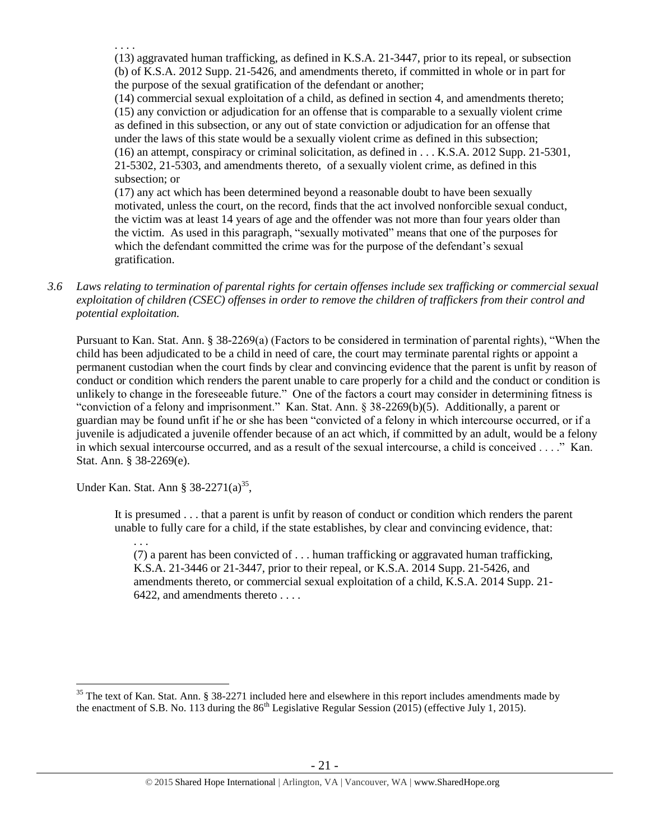(13) aggravated human trafficking, as defined in K.S.A. 21-3447, prior to its repeal, or subsection (b) of K.S.A. 2012 Supp. 21-5426, and amendments thereto, if committed in whole or in part for the purpose of the sexual gratification of the defendant or another;

(14) commercial sexual exploitation of a child, as defined in section 4, and amendments thereto; (15) any conviction or adjudication for an offense that is comparable to a sexually violent crime as defined in this subsection, or any out of state conviction or adjudication for an offense that under the laws of this state would be a sexually violent crime as defined in this subsection; (16) an attempt, conspiracy or criminal solicitation, as defined in . . . K.S.A. 2012 Supp. 21-5301, 21-5302, 21-5303, and amendments thereto, of a sexually violent crime, as defined in this subsection; or

(17) any act which has been determined beyond a reasonable doubt to have been sexually motivated, unless the court, on the record, finds that the act involved nonforcible sexual conduct, the victim was at least 14 years of age and the offender was not more than four years older than the victim. As used in this paragraph, "sexually motivated" means that one of the purposes for which the defendant committed the crime was for the purpose of the defendant's sexual gratification.

*3.6 Laws relating to termination of parental rights for certain offenses include sex trafficking or commercial sexual exploitation of children (CSEC) offenses in order to remove the children of traffickers from their control and potential exploitation.* 

Pursuant to Kan. Stat. Ann. § 38-2269(a) (Factors to be considered in termination of parental rights), "When the child has been adjudicated to be a child in need of care, the court may terminate parental rights or appoint a permanent custodian when the court finds by clear and convincing evidence that the parent is unfit by reason of conduct or condition which renders the parent unable to care properly for a child and the conduct or condition is unlikely to change in the foreseeable future." One of the factors a court may consider in determining fitness is "conviction of a felony and imprisonment." Kan. Stat. Ann. § 38-2269(b)(5). Additionally, a parent or guardian may be found unfit if he or she has been "convicted of a felony in which intercourse occurred, or if a juvenile is adjudicated a juvenile offender because of an act which, if committed by an adult, would be a felony in which sexual intercourse occurred, and as a result of the sexual intercourse, a child is conceived . . . ." Kan. Stat. Ann. § 38-2269(e).

Under Kan. Stat. Ann § 38-2271(a)<sup>35</sup>,

It is presumed . . . that a parent is unfit by reason of conduct or condition which renders the parent unable to fully care for a child, if the state establishes, by clear and convincing evidence, that:

. . .

 $\overline{a}$ 

. . . .

(7) a parent has been convicted of . . . human trafficking or aggravated human trafficking, K.S.A. 21-3446 or 21-3447, prior to their repeal, or K.S.A. 2014 Supp. 21-5426, and amendments thereto, or commercial sexual exploitation of a child, K.S.A. 2014 Supp. 21- 6422, and amendments thereto . . . .

 $35$  The text of Kan. Stat. Ann. § 38-2271 included here and elsewhere in this report includes amendments made by the enactment of S.B. No. 113 during the  $86<sup>th</sup>$  Legislative Regular Session (2015) (effective July 1, 2015).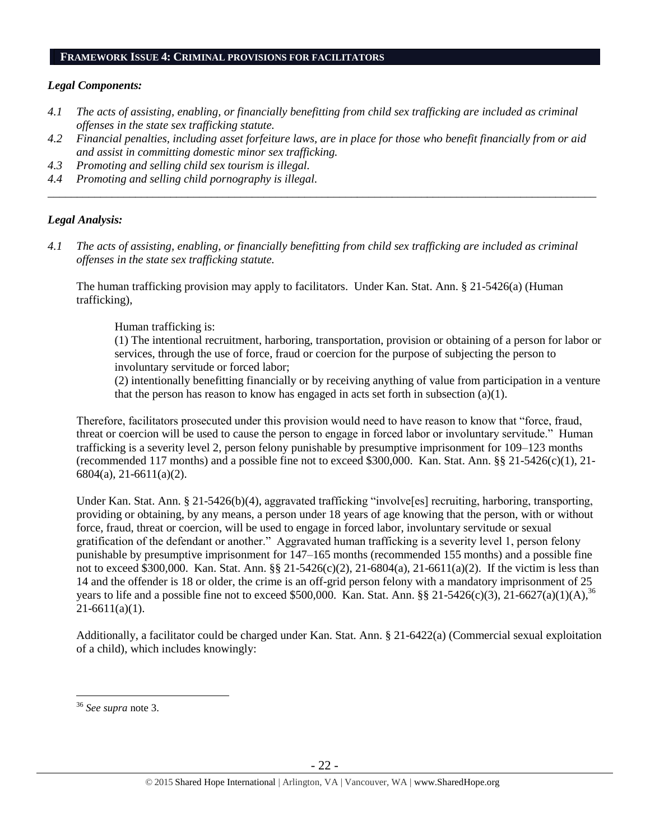### **FRAMEWORK ISSUE 4: CRIMINAL PROVISIONS FOR FACILITATORS**

### *Legal Components:*

- *4.1 The acts of assisting, enabling, or financially benefitting from child sex trafficking are included as criminal offenses in the state sex trafficking statute.*
- *4.2 Financial penalties, including asset forfeiture laws, are in place for those who benefit financially from or aid and assist in committing domestic minor sex trafficking.*

*\_\_\_\_\_\_\_\_\_\_\_\_\_\_\_\_\_\_\_\_\_\_\_\_\_\_\_\_\_\_\_\_\_\_\_\_\_\_\_\_\_\_\_\_\_\_\_\_\_\_\_\_\_\_\_\_\_\_\_\_\_\_\_\_\_\_\_\_\_\_\_\_\_\_\_\_\_\_\_\_\_\_\_\_\_\_\_\_\_\_\_\_\_\_*

- *4.3 Promoting and selling child sex tourism is illegal.*
- *4.4 Promoting and selling child pornography is illegal.*

# *Legal Analysis:*

*4.1 The acts of assisting, enabling, or financially benefitting from child sex trafficking are included as criminal offenses in the state sex trafficking statute.*

The human trafficking provision may apply to facilitators. Under Kan. Stat. Ann. § 21-5426(a) (Human trafficking),

Human trafficking is:

(1) The intentional recruitment, harboring, transportation, provision or obtaining of a person for labor or services, through the use of force, fraud or coercion for the purpose of subjecting the person to involuntary servitude or forced labor;

(2) intentionally benefitting financially or by receiving anything of value from participation in a venture that the person has reason to know has engaged in acts set forth in subsection (a)(1).

Therefore, facilitators prosecuted under this provision would need to have reason to know that "force, fraud, threat or coercion will be used to cause the person to engage in forced labor or involuntary servitude." Human trafficking is a severity level 2, person felony punishable by presumptive imprisonment for 109–123 months (recommended 117 months) and a possible fine not to exceed \$300,000. Kan. Stat. Ann. §§ 21-5426(c)(1), 21- 6804(a), 21-6611(a)(2).

Under Kan. Stat. Ann. § 21-5426(b)(4), aggravated trafficking "involve[es] recruiting, harboring, transporting, providing or obtaining, by any means, a person under 18 years of age knowing that the person, with or without force, fraud, threat or coercion, will be used to engage in forced labor, involuntary servitude or sexual gratification of the defendant or another." Aggravated human trafficking is a severity level 1, person felony punishable by presumptive imprisonment for 147–165 months (recommended 155 months) and a possible fine not to exceed \$300,000. Kan. Stat. Ann. §§ 21-5426(c)(2), 21-6804(a), 21-6611(a)(2). If the victim is less than 14 and the offender is 18 or older, the crime is an off-grid person felony with a mandatory imprisonment of 25 years to life and a possible fine not to exceed \$500,000. Kan. Stat. Ann. §§ 21-5426(c)(3), 21-6627(a)(1)(A),<sup>36</sup>  $21-6611(a)(1)$ .

Additionally, a facilitator could be charged under Kan. Stat. Ann. § 21-6422(a) (Commercial sexual exploitation of a child), which includes knowingly:

<sup>36</sup> *See supra* note [3.](#page-1-0)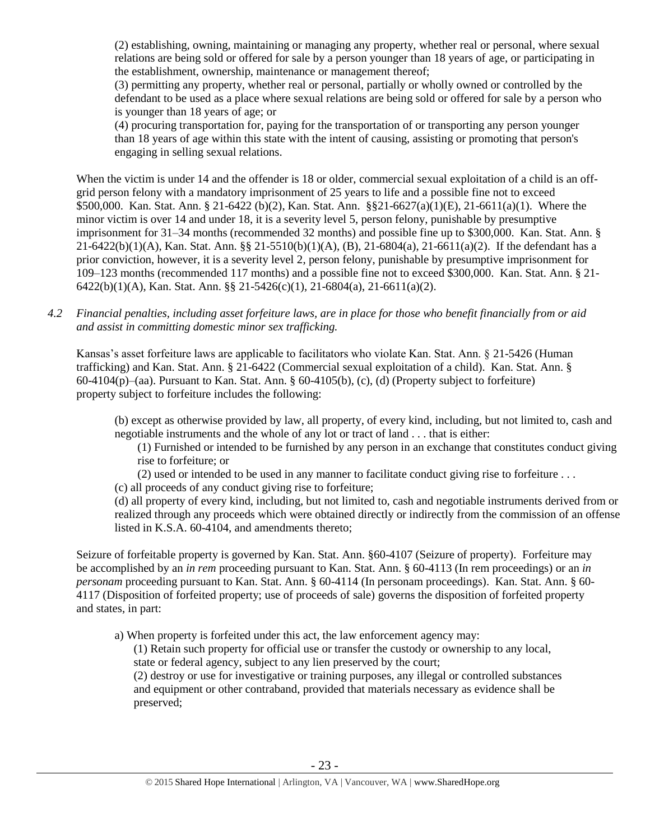(2) establishing, owning, maintaining or managing any property, whether real or personal, where sexual relations are being sold or offered for sale by a person younger than 18 years of age, or participating in the establishment, ownership, maintenance or management thereof;

(3) permitting any property, whether real or personal, partially or wholly owned or controlled by the defendant to be used as a place where sexual relations are being sold or offered for sale by a person who is younger than 18 years of age; or

(4) procuring transportation for, paying for the transportation of or transporting any person younger than 18 years of age within this state with the intent of causing, assisting or promoting that person's engaging in selling sexual relations.

When the victim is under 14 and the offender is 18 or older, commercial sexual exploitation of a child is an offgrid person felony with a mandatory imprisonment of 25 years to life and a possible fine not to exceed \$500,000. Kan. Stat. Ann. § 21-6422 (b)(2), Kan. Stat. Ann. §§21-6627(a)(1)(E), 21-6611(a)(1). Where the minor victim is over 14 and under 18, it is a severity level 5, person felony, punishable by presumptive imprisonment for 31–34 months (recommended 32 months) and possible fine up to \$300,000. Kan. Stat. Ann. § 21-6422(b)(1)(A), Kan. Stat. Ann. §§ 21-5510(b)(1)(A), (B), 21-6804(a), 21-6611(a)(2). If the defendant has a prior conviction, however, it is a severity level 2, person felony, punishable by presumptive imprisonment for 109–123 months (recommended 117 months) and a possible fine not to exceed \$300,000. Kan. Stat. Ann. § 21- 6422(b)(1)(A), Kan. Stat. Ann. §§ 21-5426(c)(1), 21-6804(a), 21-6611(a)(2).

*4.2 Financial penalties, including asset forfeiture laws, are in place for those who benefit financially from or aid and assist in committing domestic minor sex trafficking.*

Kansas's asset forfeiture laws are applicable to facilitators who violate Kan. Stat. Ann. § 21-5426 (Human trafficking) and Kan. Stat. Ann. § 21-6422 (Commercial sexual exploitation of a child). Kan. Stat. Ann. § 60-4104(p)–(aa). Pursuant to Kan. Stat. Ann. § 60-4105(b), (c), (d) (Property subject to forfeiture) property subject to forfeiture includes the following:

(b) except as otherwise provided by law, all property, of every kind, including, but not limited to, cash and negotiable instruments and the whole of any lot or tract of land . . . that is either:

(1) Furnished or intended to be furnished by any person in an exchange that constitutes conduct giving rise to forfeiture; or

(2) used or intended to be used in any manner to facilitate conduct giving rise to forfeiture . . .

(c) all proceeds of any conduct giving rise to forfeiture;

(d) all property of every kind, including, but not limited to, cash and negotiable instruments derived from or realized through any proceeds which were obtained directly or indirectly from the commission of an offense listed in K.S.A. 60-4104, and amendments thereto;

Seizure of forfeitable property is governed by Kan. Stat. Ann. §60-4107 (Seizure of property). Forfeiture may be accomplished by an *in rem* proceeding pursuant to Kan. Stat. Ann. § 60-4113 (In rem proceedings) or an *in personam* proceeding pursuant to Kan. Stat. Ann. § 60-4114 (In personam proceedings). Kan. Stat. Ann. § 60- 4117 (Disposition of forfeited property; use of proceeds of sale) governs the disposition of forfeited property and states, in part:

a) When property is forfeited under this act, the law enforcement agency may:

(1) Retain such property for official use or transfer the custody or ownership to any local, state or federal agency, subject to any lien preserved by the court;

(2) destroy or use for investigative or training purposes, any illegal or controlled substances and equipment or other contraband, provided that materials necessary as evidence shall be preserved;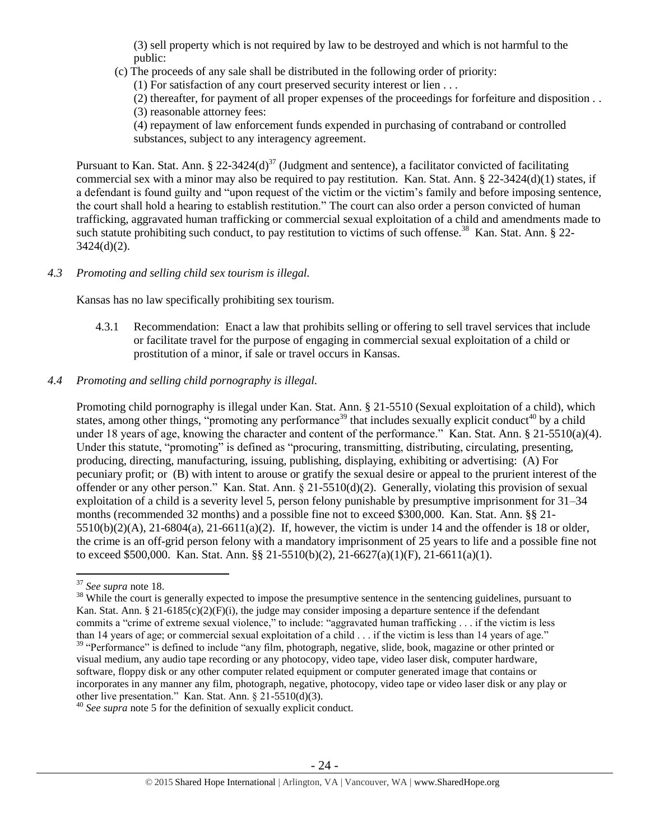(3) sell property which is not required by law to be destroyed and which is not harmful to the public:

(c) The proceeds of any sale shall be distributed in the following order of priority:

(1) For satisfaction of any court preserved security interest or lien . . .

(2) thereafter, for payment of all proper expenses of the proceedings for forfeiture and disposition . . (3) reasonable attorney fees:

(4) repayment of law enforcement funds expended in purchasing of contraband or controlled substances, subject to any interagency agreement.

Pursuant to Kan. Stat. Ann. § 22-3424(d)<sup>37</sup> (Judgment and sentence), a facilitator convicted of facilitating commercial sex with a minor may also be required to pay restitution. Kan. Stat. Ann. § 22-3424(d)(1) states, if a defendant is found guilty and "upon request of the victim or the victim's family and before imposing sentence, the court shall hold a hearing to establish restitution." The court can also order a person convicted of human trafficking, aggravated human trafficking or commercial sexual exploitation of a child and amendments made to such statute prohibiting such conduct, to pay restitution to victims of such offense.<sup>38</sup> Kan. Stat. Ann. § 22- $3424(d)(2)$ .

*4.3 Promoting and selling child sex tourism is illegal.*

Kansas has no law specifically prohibiting sex tourism.

4.3.1 Recommendation: Enact a law that prohibits selling or offering to sell travel services that include or facilitate travel for the purpose of engaging in commercial sexual exploitation of a child or prostitution of a minor, if sale or travel occurs in Kansas.

# *4.4 Promoting and selling child pornography is illegal.*

Promoting child pornography is illegal under Kan. Stat. Ann. § 21-5510 (Sexual exploitation of a child), which states, among other things, "promoting any performance<sup>39</sup> that includes sexually explicit conduct<sup>40</sup> by a child under 18 years of age, knowing the character and content of the performance." Kan. Stat. Ann. § 21-5510(a)(4). Under this statute, "promoting" is defined as "procuring, transmitting, distributing, circulating, presenting, producing, directing, manufacturing, issuing, publishing, displaying, exhibiting or advertising: (A) For pecuniary profit; or (B) with intent to arouse or gratify the sexual desire or appeal to the prurient interest of the offender or any other person." Kan. Stat. Ann. § 21-5510(d)(2). Generally, violating this provision of sexual exploitation of a child is a severity level 5, person felony punishable by presumptive imprisonment for 31–34 months (recommended 32 months) and a possible fine not to exceed \$300,000. Kan. Stat. Ann. §§ 21-  $5510(b)(2)(A)$ ,  $21-6804(a)$ ,  $21-6611(a)(2)$ . If, however, the victim is under 14 and the offender is 18 or older, the crime is an off-grid person felony with a mandatory imprisonment of 25 years to life and a possible fine not to exceed \$500,000. Kan. Stat. Ann. §§ 21-5510(b)(2), 21-6627(a)(1)(F), 21-6611(a)(1).

<sup>37</sup> *See supra* note [18.](#page-12-0)

<sup>&</sup>lt;sup>38</sup> While the court is generally expected to impose the presumptive sentence in the sentencing guidelines, pursuant to Kan. Stat. Ann. § 21-6185(c)(2)(F)(i), the judge may consider imposing a departure sentence if the defendant commits a "crime of extreme sexual violence," to include: "aggravated human trafficking . . . if the victim is less than 14 years of age; or commercial sexual exploitation of a child . . . if the victim is less than 14 years of age." <sup>39</sup> "Performance" is defined to include "any film, photograph, negative, slide, book, magazine or other printed or visual medium, any audio tape recording or any photocopy, video tape, video laser disk, computer hardware, software, floppy disk or any other computer related equipment or computer generated image that contains or incorporates in any manner any film, photograph, negative, photocopy, video tape or video laser disk or any play or other live presentation." Kan. Stat. Ann. § 21-5510(d)(3).

<sup>40</sup> *See supra* note [5](#page-2-0) for the definition of sexually explicit conduct.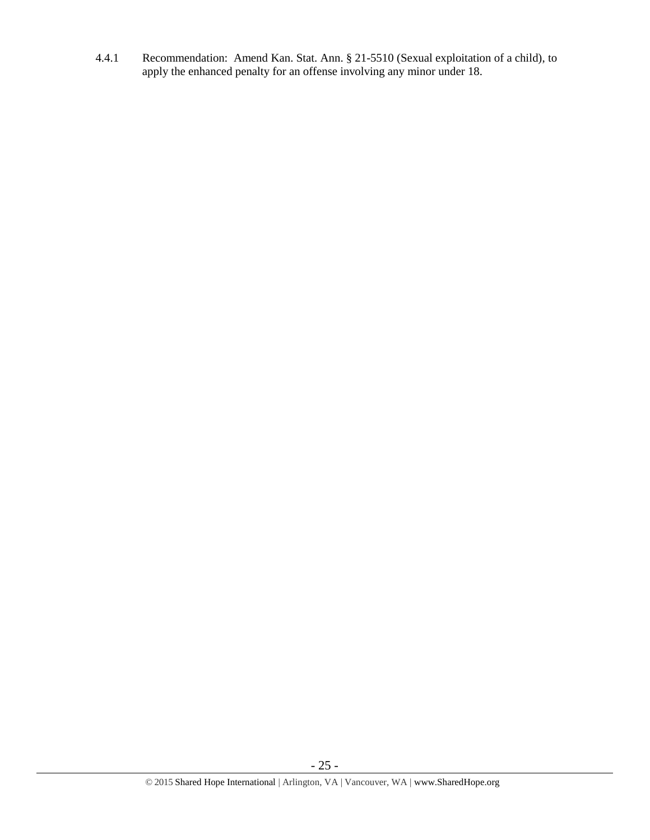4.4.1 Recommendation: Amend Kan. Stat. Ann. § 21-5510 (Sexual exploitation of a child), to apply the enhanced penalty for an offense involving any minor under 18.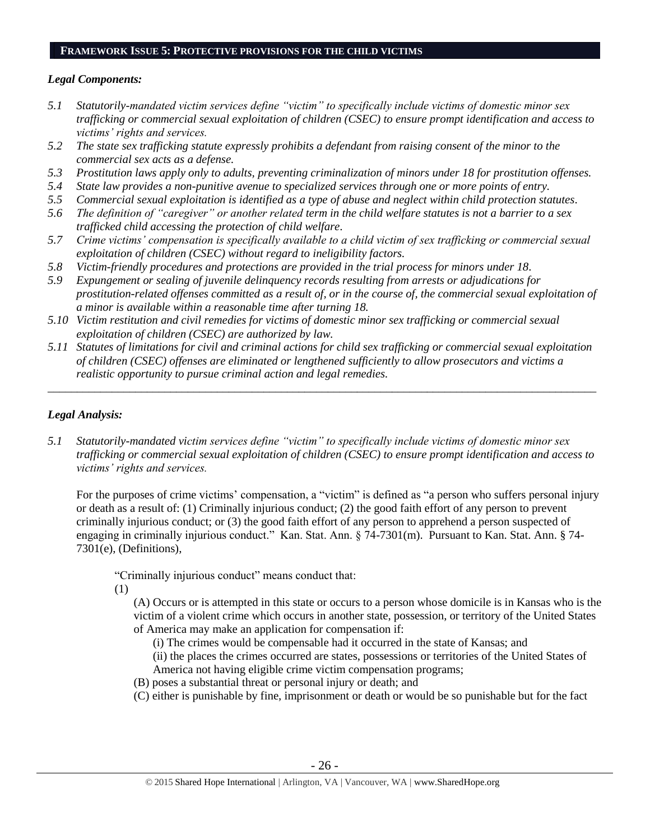#### **FRAMEWORK ISSUE 5: PROTECTIVE PROVISIONS FOR THE CHILD VICTIMS**

# *Legal Components:*

- *5.1 Statutorily-mandated victim services define "victim" to specifically include victims of domestic minor sex trafficking or commercial sexual exploitation of children (CSEC) to ensure prompt identification and access to victims' rights and services.*
- *5.2 The state sex trafficking statute expressly prohibits a defendant from raising consent of the minor to the commercial sex acts as a defense.*
- *5.3 Prostitution laws apply only to adults, preventing criminalization of minors under 18 for prostitution offenses.*
- *5.4 State law provides a non-punitive avenue to specialized services through one or more points of entry.*
- *5.5 Commercial sexual exploitation is identified as a type of abuse and neglect within child protection statutes.*
- *5.6 The definition of "caregiver" or another related term in the child welfare statutes is not a barrier to a sex trafficked child accessing the protection of child welfare.*
- *5.7 Crime victims' compensation is specifically available to a child victim of sex trafficking or commercial sexual exploitation of children (CSEC) without regard to ineligibility factors.*
- *5.8 Victim-friendly procedures and protections are provided in the trial process for minors under 18.*
- *5.9 Expungement or sealing of juvenile delinquency records resulting from arrests or adjudications for prostitution-related offenses committed as a result of, or in the course of, the commercial sexual exploitation of a minor is available within a reasonable time after turning 18.*
- *5.10 Victim restitution and civil remedies for victims of domestic minor sex trafficking or commercial sexual exploitation of children (CSEC) are authorized by law.*
- *5.11 Statutes of limitations for civil and criminal actions for child sex trafficking or commercial sexual exploitation of children (CSEC) offenses are eliminated or lengthened sufficiently to allow prosecutors and victims a realistic opportunity to pursue criminal action and legal remedies.*

*\_\_\_\_\_\_\_\_\_\_\_\_\_\_\_\_\_\_\_\_\_\_\_\_\_\_\_\_\_\_\_\_\_\_\_\_\_\_\_\_\_\_\_\_\_\_\_\_\_\_\_\_\_\_\_\_\_\_\_\_\_\_\_\_\_\_\_\_\_\_\_\_\_\_\_\_\_\_\_\_\_\_\_\_\_\_\_\_\_\_\_\_\_\_*

# *Legal Analysis:*

*5.1 Statutorily-mandated victim services define "victim" to specifically include victims of domestic minor sex trafficking or commercial sexual exploitation of children (CSEC) to ensure prompt identification and access to victims' rights and services.* 

For the purposes of crime victims' compensation, a "victim" is defined as "a person who suffers personal injury or death as a result of: (1) Criminally injurious conduct; (2) the good faith effort of any person to prevent criminally injurious conduct; or (3) the good faith effort of any person to apprehend a person suspected of engaging in criminally injurious conduct." Kan. Stat. Ann. § 74-7301(m). Pursuant to Kan. Stat. Ann. § 74- 7301(e), (Definitions),

"Criminally injurious conduct" means conduct that:

(1)

(A) Occurs or is attempted in this state or occurs to a person whose domicile is in Kansas who is the victim of a violent crime which occurs in another state, possession, or territory of the United States of America may make an application for compensation if:

- (i) The crimes would be compensable had it occurred in the state of Kansas; and
- (ii) the places the crimes occurred are states, possessions or territories of the United States of America not having eligible crime victim compensation programs;
- (B) poses a substantial threat or personal injury or death; and
- (C) either is punishable by fine, imprisonment or death or would be so punishable but for the fact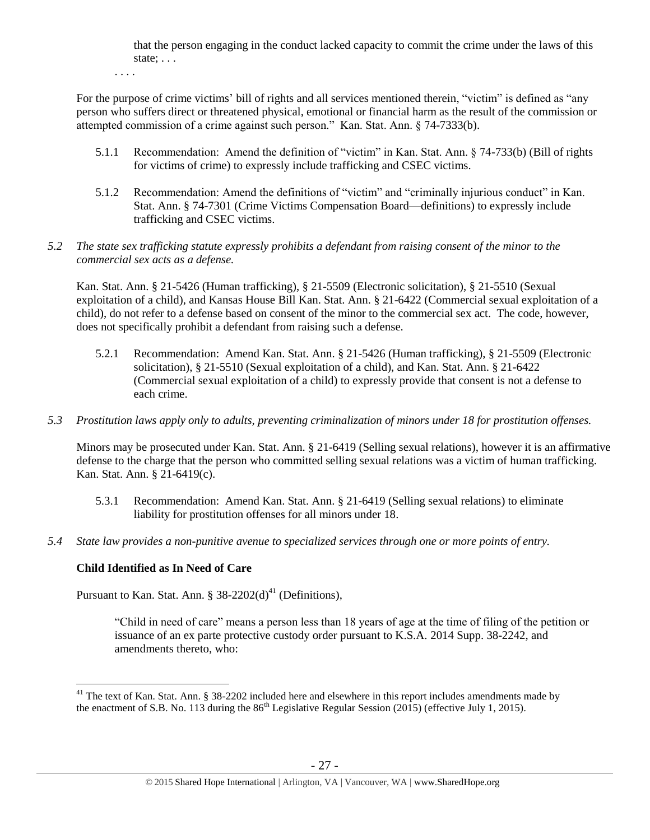that the person engaging in the conduct lacked capacity to commit the crime under the laws of this state; . . .

. . . .

For the purpose of crime victims' bill of rights and all services mentioned therein, "victim" is defined as "any person who suffers direct or threatened physical, emotional or financial harm as the result of the commission or attempted commission of a crime against such person." Kan. Stat. Ann. § 74-7333(b).

- 5.1.1 Recommendation: Amend the definition of "victim" in Kan. Stat. Ann. § 74-733(b) (Bill of rights for victims of crime) to expressly include trafficking and CSEC victims.
- 5.1.2 Recommendation: Amend the definitions of "victim" and "criminally injurious conduct" in Kan. Stat. Ann. § 74-7301 (Crime Victims Compensation Board—definitions) to expressly include trafficking and CSEC victims.

# *5.2 The state sex trafficking statute expressly prohibits a defendant from raising consent of the minor to the commercial sex acts as a defense.*

Kan. Stat. Ann. § 21-5426 (Human trafficking), § 21-5509 (Electronic solicitation), § 21-5510 (Sexual exploitation of a child), and Kansas House Bill Kan. Stat. Ann. § 21-6422 (Commercial sexual exploitation of a child), do not refer to a defense based on consent of the minor to the commercial sex act. The code, however, does not specifically prohibit a defendant from raising such a defense.

- 5.2.1 Recommendation: Amend Kan. Stat. Ann. § 21-5426 (Human trafficking), § 21-5509 (Electronic solicitation), § 21-5510 (Sexual exploitation of a child), and Kan. Stat. Ann. § 21-6422 (Commercial sexual exploitation of a child) to expressly provide that consent is not a defense to each crime.
- *5.3 Prostitution laws apply only to adults, preventing criminalization of minors under 18 for prostitution offenses.*

Minors may be prosecuted under Kan. Stat. Ann. § 21-6419 (Selling sexual relations), however it is an affirmative defense to the charge that the person who committed selling sexual relations was a victim of human trafficking. Kan. Stat. Ann. § 21-6419(c).

- 5.3.1 Recommendation: Amend Kan. Stat. Ann. § 21-6419 (Selling sexual relations) to eliminate liability for prostitution offenses for all minors under 18.
- *5.4 State law provides a non-punitive avenue to specialized services through one or more points of entry.*

# **Child Identified as In Need of Care**

 $\overline{a}$ 

Pursuant to Kan. Stat. Ann. §  $38-2202(d)^{41}$  (Definitions),

<span id="page-26-0"></span>"Child in need of care" means a person less than 18 years of age at the time of filing of the petition or issuance of an ex parte protective custody order pursuant to K.S.A. 2014 Supp. 38-2242, and amendments thereto, who:

 $41$  The text of Kan. Stat. Ann. § 38-2202 included here and elsewhere in this report includes amendments made by the enactment of S.B. No. 113 during the  $86<sup>th</sup>$  Legislative Regular Session (2015) (effective July 1, 2015).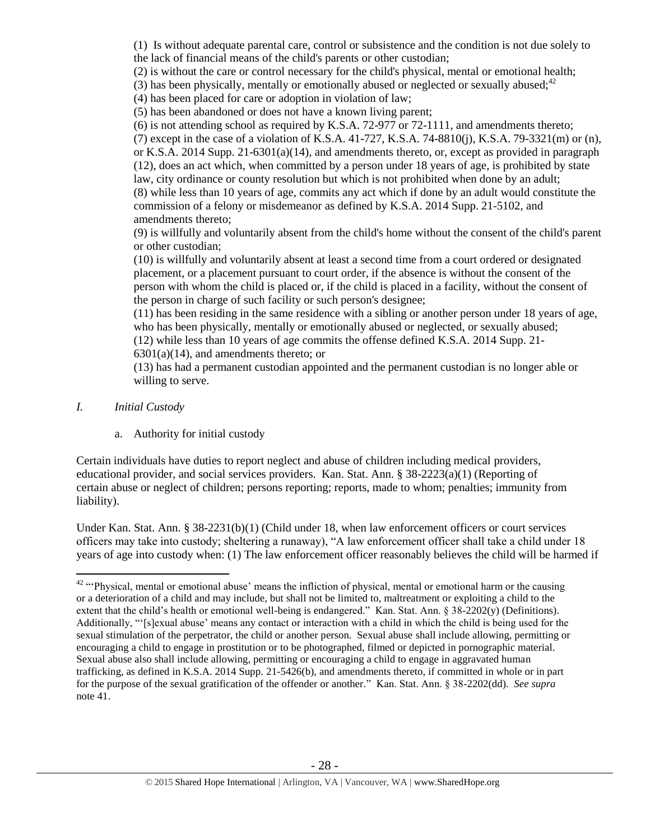(1) Is without adequate parental care, control or subsistence and the condition is not due solely to the lack of financial means of the child's parents or other custodian;

(2) is without the care or control necessary for the child's physical, mental or emotional health;

(3) has been physically, mentally or emotionally abused or neglected or sexually abused;<sup>42</sup>

(4) has been placed for care or adoption in violation of law;

(5) has been abandoned or does not have a known living parent;

(6) is not attending school as required by K.S.A. 72-977 or 72-1111, and amendments thereto; (7) except in the case of a violation of K.S.A. 41-727, K.S.A. 74-8810(j), K.S.A. 79-3321(m) or (n), or K.S.A. 2014 Supp. 21-6301(a)(14), and amendments thereto, or, except as provided in paragraph (12), does an act which, when committed by a person under 18 years of age, is prohibited by state law, city ordinance or county resolution but which is not prohibited when done by an adult; (8) while less than 10 years of age, commits any act which if done by an adult would constitute the commission of a felony or misdemeanor as defined by K.S.A. 2014 Supp. 21-5102, and amendments thereto;

(9) is willfully and voluntarily absent from the child's home without the consent of the child's parent or other custodian;

(10) is willfully and voluntarily absent at least a second time from a court ordered or designated placement, or a placement pursuant to court order, if the absence is without the consent of the person with whom the child is placed or, if the child is placed in a facility, without the consent of the person in charge of such facility or such person's designee;

(11) has been residing in the same residence with a sibling or another person under 18 years of age, who has been physically, mentally or emotionally abused or neglected, or sexually abused;

(12) while less than 10 years of age commits the offense defined K.S.A. 2014 Supp. 21-  $6301(a)(14)$ , and amendments thereto; or

(13) has had a permanent custodian appointed and the permanent custodian is no longer able or willing to serve.

- *I. Initial Custody*
	- a. Authority for initial custody

Certain individuals have duties to report neglect and abuse of children including medical providers, educational provider, and social services providers. Kan. Stat. Ann. § 38-2223(a)(1) (Reporting of certain abuse or neglect of children; persons reporting; reports, made to whom; penalties; immunity from liability).

Under Kan. Stat. Ann. § 38-2231(b)(1) (Child under 18, when law enforcement officers or court services officers may take into custody; sheltering a runaway), "A law enforcement officer shall take a child under 18 years of age into custody when: (1) The law enforcement officer reasonably believes the child will be harmed if

 $\overline{a}$ <sup>42</sup> "Physical, mental or emotional abuse' means the infliction of physical, mental or emotional harm or the causing or a deterioration of a child and may include, but shall not be limited to, maltreatment or exploiting a child to the extent that the child's health or emotional well-being is endangered." Kan. Stat. Ann. § 38-2202(y) (Definitions). Additionally, "'[s]exual abuse' means any contact or interaction with a child in which the child is being used for the sexual stimulation of the perpetrator, the child or another person. Sexual abuse shall include allowing, permitting or encouraging a child to engage in prostitution or to be photographed, filmed or depicted in pornographic material. Sexual abuse also shall include allowing, permitting or encouraging a child to engage in aggravated human trafficking, as defined in K.S.A. 2014 Supp. 21-5426(b), and amendments thereto, if committed in whole or in part for the purpose of the sexual gratification of the offender or another*.*" Kan. Stat. Ann. § 38-2202(dd). *See supra* not[e 41.](#page-26-0)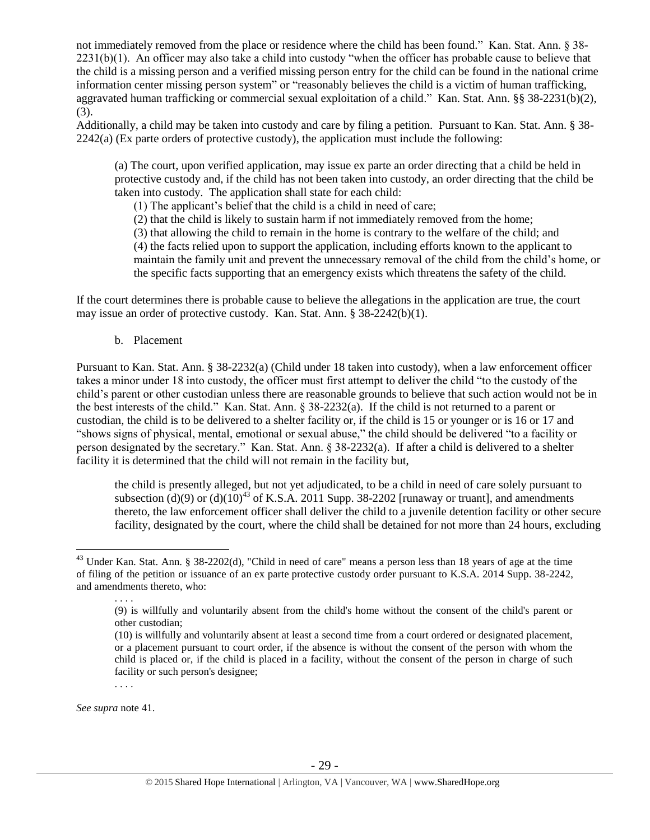not immediately removed from the place or residence where the child has been found." Kan. Stat. Ann. § 38- 2231(b)(1). An officer may also take a child into custody "when the officer has probable cause to believe that the child is a missing person and a verified missing person entry for the child can be found in the national crime information center missing person system" or "reasonably believes the child is a victim of human trafficking, aggravated human trafficking or commercial sexual exploitation of a child." Kan. Stat. Ann. §§ 38-2231(b)(2), (3).

Additionally, a child may be taken into custody and care by filing a petition. Pursuant to Kan. Stat. Ann. § 38-  $2242(a)$  (Ex parte orders of protective custody), the application must include the following:

(a) The court, upon verified application, may issue ex parte an order directing that a child be held in protective custody and, if the child has not been taken into custody, an order directing that the child be taken into custody. The application shall state for each child:

(1) The applicant's belief that the child is a child in need of care;

(2) that the child is likely to sustain harm if not immediately removed from the home;

(3) that allowing the child to remain in the home is contrary to the welfare of the child; and

(4) the facts relied upon to support the application, including efforts known to the applicant to

maintain the family unit and prevent the unnecessary removal of the child from the child's home, or the specific facts supporting that an emergency exists which threatens the safety of the child.

If the court determines there is probable cause to believe the allegations in the application are true, the court may issue an order of protective custody. Kan. Stat. Ann. § 38-2242(b)(1).

b. Placement

Pursuant to Kan. Stat. Ann. § 38-2232(a) (Child under 18 taken into custody), when a law enforcement officer takes a minor under 18 into custody, the officer must first attempt to deliver the child "to the custody of the child's parent or other custodian unless there are reasonable grounds to believe that such action would not be in the best interests of the child." Kan. Stat. Ann. § 38-2232(a). If the child is not returned to a parent or custodian, the child is to be delivered to a shelter facility or, if the child is 15 or younger or is 16 or 17 and "shows signs of physical, mental, emotional or sexual abuse," the child should be delivered "to a facility or person designated by the secretary." Kan. Stat. Ann. § 38-2232(a). If after a child is delivered to a shelter facility it is determined that the child will not remain in the facility but,

the child is presently alleged, but not yet adjudicated, to be a child in need of care solely pursuant to subsection  $(d)(9)$  or  $(d)(10)^{43}$  of K.S.A. 2011 Supp. 38-2202 [runaway or truant], and amendments thereto, the law enforcement officer shall deliver the child to a juvenile detention facility or other secure facility, designated by the court, where the child shall be detained for not more than 24 hours, excluding

. . . .

*See supra* note [41.](#page-26-0)

 $43$  Under Kan. Stat. Ann. § 38-2202(d), "Child in need of care" means a person less than 18 years of age at the time of filing of the petition or issuance of an ex parte protective custody order pursuant to K.S.A. 2014 Supp. 38-2242, and amendments thereto, who:

<sup>(9)</sup> is willfully and voluntarily absent from the child's home without the consent of the child's parent or other custodian;

<sup>(10)</sup> is willfully and voluntarily absent at least a second time from a court ordered or designated placement, or a placement pursuant to court order, if the absence is without the consent of the person with whom the child is placed or, if the child is placed in a facility, without the consent of the person in charge of such facility or such person's designee;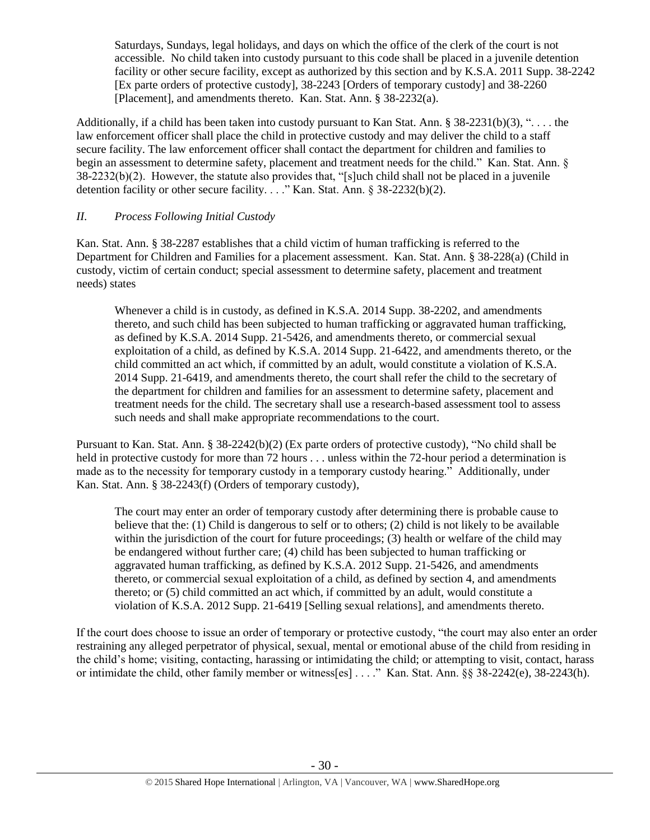Saturdays, Sundays, legal holidays, and days on which the office of the clerk of the court is not accessible. No child taken into custody pursuant to this code shall be placed in a juvenile detention facility or other secure facility, except as authorized by this section and by K.S.A. 2011 Supp. 38-2242 [Ex parte orders of protective custody], 38-2243 [Orders of temporary custody] and 38-2260 [Placement], and amendments thereto. Kan. Stat. Ann. § 38-2232(a).

Additionally, if a child has been taken into custody pursuant to Kan Stat. Ann.  $\S 38-2231(b)(3)$ , "... the law enforcement officer shall place the child in protective custody and may deliver the child to a staff secure facility. The law enforcement officer shall contact the department for children and families to begin an assessment to determine safety, placement and treatment needs for the child." Kan. Stat. Ann. § 38-2232(b)(2). However, the statute also provides that, "[s]uch child shall not be placed in a juvenile detention facility or other secure facility. . . . " Kan. Stat. Ann. § 38-2232(b)(2).

# *II. Process Following Initial Custody*

Kan. Stat. Ann. § 38-2287 establishes that a child victim of human trafficking is referred to the Department for Children and Families for a placement assessment. Kan. Stat. Ann. § 38-228(a) (Child in custody, victim of certain conduct; special assessment to determine safety, placement and treatment needs) states

Whenever a child is in custody, as defined in K.S.A. 2014 Supp. 38-2202, and amendments thereto, and such child has been subjected to human trafficking or aggravated human trafficking, as defined by K.S.A. 2014 Supp. 21-5426, and amendments thereto, or commercial sexual exploitation of a child, as defined by K.S.A. 2014 Supp. 21-6422, and amendments thereto, or the child committed an act which, if committed by an adult, would constitute a violation of K.S.A. 2014 Supp. 21-6419, and amendments thereto, the court shall refer the child to the secretary of the department for children and families for an assessment to determine safety, placement and treatment needs for the child. The secretary shall use a research-based assessment tool to assess such needs and shall make appropriate recommendations to the court.

Pursuant to Kan. Stat. Ann. § 38-2242(b)(2) (Ex parte orders of protective custody), "No child shall be held in protective custody for more than 72 hours . . . unless within the 72-hour period a determination is made as to the necessity for temporary custody in a temporary custody hearing." Additionally, under Kan. Stat. Ann. § 38-2243(f) (Orders of temporary custody),

The court may enter an order of temporary custody after determining there is probable cause to believe that the: (1) Child is dangerous to self or to others; (2) child is not likely to be available within the jurisdiction of the court for future proceedings; (3) health or welfare of the child may be endangered without further care; (4) child has been subjected to human trafficking or aggravated human trafficking, as defined by K.S.A. 2012 Supp. 21-5426, and amendments thereto, or commercial sexual exploitation of a child, as defined by section 4, and amendments thereto; or (5) child committed an act which, if committed by an adult, would constitute a violation of K.S.A. 2012 Supp. 21-6419 [Selling sexual relations], and amendments thereto.

If the court does choose to issue an order of temporary or protective custody, "the court may also enter an order restraining any alleged perpetrator of physical, sexual, mental or emotional abuse of the child from residing in the child's home; visiting, contacting, harassing or intimidating the child; or attempting to visit, contact, harass or intimidate the child, other family member or witness[es] . . . ." Kan. Stat. Ann. §§ 38-2242(e), 38-2243(h).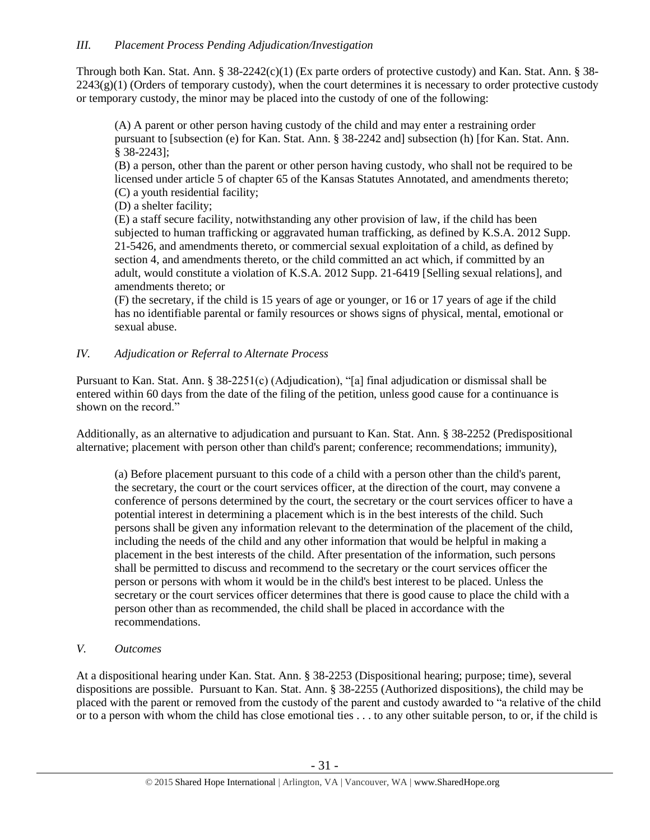Through both Kan. Stat. Ann. § 38-2242(c)(1) (Ex parte orders of protective custody) and Kan. Stat. Ann. § 38-  $2243(g)(1)$  (Orders of temporary custody), when the court determines it is necessary to order protective custody or temporary custody, the minor may be placed into the custody of one of the following:

(A) A parent or other person having custody of the child and may enter a restraining order pursuant to [subsection (e) for Kan. Stat. Ann. § 38-2242 and] subsection (h) [for Kan. Stat. Ann. § 38-2243];

(B) a person, other than the parent or other person having custody, who shall not be required to be licensed under article 5 of chapter 65 of the Kansas Statutes Annotated, and amendments thereto; (C) a youth residential facility;

(D) a shelter facility;

(E) a staff secure facility, notwithstanding any other provision of law, if the child has been subjected to human trafficking or aggravated human trafficking, as defined by K.S.A. 2012 Supp. 21-5426, and amendments thereto, or commercial sexual exploitation of a child, as defined by section 4, and amendments thereto, or the child committed an act which, if committed by an adult, would constitute a violation of K.S.A. 2012 Supp. 21-6419 [Selling sexual relations], and amendments thereto; or

(F) the secretary, if the child is 15 years of age or younger, or 16 or 17 years of age if the child has no identifiable parental or family resources or shows signs of physical, mental, emotional or sexual abuse.

# *IV. Adjudication or Referral to Alternate Process*

Pursuant to Kan. Stat. Ann. § 38-2251(c) (Adjudication), "[a] final adjudication or dismissal shall be entered within 60 days from the date of the filing of the petition, unless good cause for a continuance is shown on the record."

Additionally, as an alternative to adjudication and pursuant to Kan. Stat. Ann. § 38-2252 (Predispositional alternative; placement with person other than child's parent; conference; recommendations; immunity),

(a) Before placement pursuant to this code of a child with a person other than the child's parent, the secretary, the court or the court services officer, at the direction of the court, may convene a conference of persons determined by the court, the secretary or the court services officer to have a potential interest in determining a placement which is in the best interests of the child. Such persons shall be given any information relevant to the determination of the placement of the child, including the needs of the child and any other information that would be helpful in making a placement in the best interests of the child. After presentation of the information, such persons shall be permitted to discuss and recommend to the secretary or the court services officer the person or persons with whom it would be in the child's best interest to be placed. Unless the secretary or the court services officer determines that there is good cause to place the child with a person other than as recommended, the child shall be placed in accordance with the recommendations.

# *V. Outcomes*

At a dispositional hearing under Kan. Stat. Ann. § 38-2253 (Dispositional hearing; purpose; time), several dispositions are possible. Pursuant to Kan. Stat. Ann. § 38-2255 (Authorized dispositions), the child may be placed with the parent or removed from the custody of the parent and custody awarded to "a relative of the child or to a person with whom the child has close emotional ties . . . to any other suitable person, to or, if the child is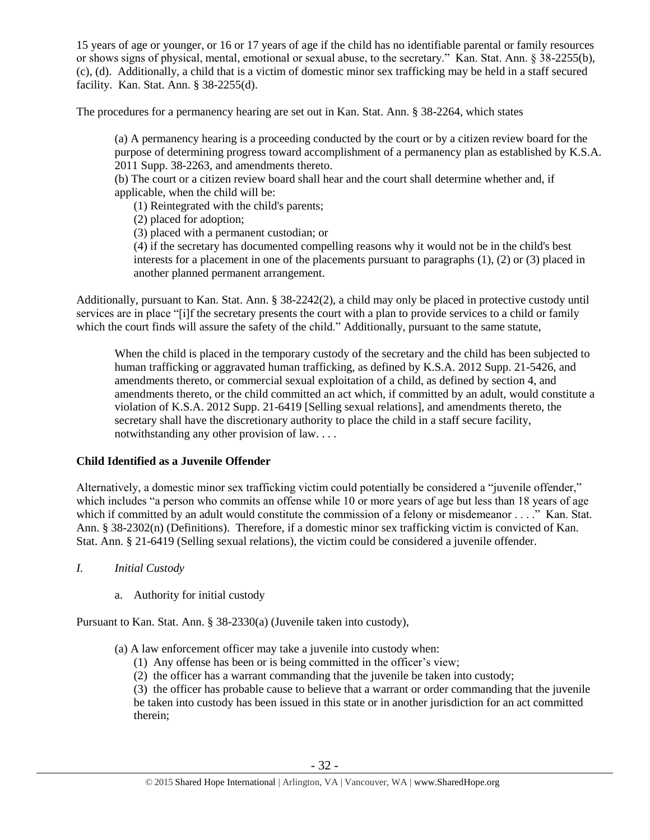15 years of age or younger, or 16 or 17 years of age if the child has no identifiable parental or family resources or shows signs of physical, mental, emotional or sexual abuse, to the secretary." Kan. Stat. Ann. § 38-2255(b), (c), (d). Additionally, a child that is a victim of domestic minor sex trafficking may be held in a staff secured facility. Kan. Stat. Ann. § 38-2255(d).

The procedures for a permanency hearing are set out in Kan. Stat. Ann. § 38-2264, which states

(a) A permanency hearing is a proceeding conducted by the court or by a citizen review board for the purpose of determining progress toward accomplishment of a permanency plan as established by K.S.A. 2011 Supp. 38-2263, and amendments thereto.

(b) The court or a citizen review board shall hear and the court shall determine whether and, if applicable, when the child will be:

(1) Reintegrated with the child's parents;

(2) placed for adoption;

(3) placed with a permanent custodian; or

(4) if the secretary has documented compelling reasons why it would not be in the child's best interests for a placement in one of the placements pursuant to paragraphs (1), (2) or (3) placed in another planned permanent arrangement.

Additionally, pursuant to Kan. Stat. Ann. § 38-2242(2), a child may only be placed in protective custody until services are in place "[i]f the secretary presents the court with a plan to provide services to a child or family which the court finds will assure the safety of the child." Additionally, pursuant to the same statute,

When the child is placed in the temporary custody of the secretary and the child has been subjected to human trafficking or aggravated human trafficking, as defined by K.S.A. 2012 Supp. 21-5426, and amendments thereto, or commercial sexual exploitation of a child, as defined by section 4, and amendments thereto, or the child committed an act which, if committed by an adult, would constitute a violation of K.S.A. 2012 Supp. 21-6419 [Selling sexual relations], and amendments thereto, the secretary shall have the discretionary authority to place the child in a staff secure facility, notwithstanding any other provision of law. . . .

# **Child Identified as a Juvenile Offender**

Alternatively, a domestic minor sex trafficking victim could potentially be considered a "juvenile offender," which includes "a person who commits an offense while 10 or more years of age but less than 18 years of age which if committed by an adult would constitute the commission of a felony or misdemeanor . . . ." Kan. Stat. Ann. § 38-2302(n) (Definitions). Therefore, if a domestic minor sex trafficking victim is convicted of Kan. Stat. Ann. § 21-6419 (Selling sexual relations), the victim could be considered a juvenile offender.

*I. Initial Custody*

a. Authority for initial custody

Pursuant to Kan. Stat. Ann. § 38-2330(a) (Juvenile taken into custody),

(a) A law enforcement officer may take a juvenile into custody when:

(1) Any offense has been or is being committed in the officer's view;

(2) the officer has a warrant commanding that the juvenile be taken into custody;

(3) the officer has probable cause to believe that a warrant or order commanding that the juvenile be taken into custody has been issued in this state or in another jurisdiction for an act committed therein;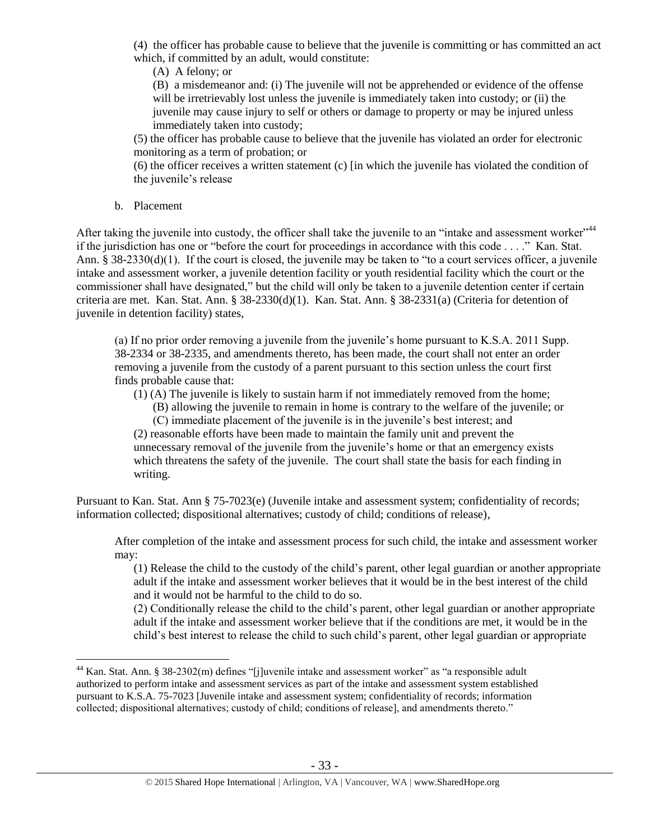(4) the officer has probable cause to believe that the juvenile is committing or has committed an act which, if committed by an adult, would constitute:

(A) A felony; or

(B) a misdemeanor and: (i) The juvenile will not be apprehended or evidence of the offense will be irretrievably lost unless the juvenile is immediately taken into custody; or (ii) the juvenile may cause injury to self or others or damage to property or may be injured unless immediately taken into custody;

(5) the officer has probable cause to believe that the juvenile has violated an order for electronic monitoring as a term of probation; or

(6) the officer receives a written statement (c) [in which the juvenile has violated the condition of the juvenile's release

b. Placement

 $\overline{a}$ 

After taking the juvenile into custody, the officer shall take the juvenile to an "intake and assessment worker"<sup>44</sup> if the jurisdiction has one or "before the court for proceedings in accordance with this code . . . ." Kan. Stat. Ann.  $\S 38-2330(d)(1)$ . If the court is closed, the juvenile may be taken to "to a court services officer, a juvenile intake and assessment worker, a juvenile detention facility or youth residential facility which the court or the commissioner shall have designated," but the child will only be taken to a juvenile detention center if certain criteria are met. Kan. Stat. Ann. § 38-2330(d)(1). Kan. Stat. Ann. § 38-2331(a) (Criteria for detention of juvenile in detention facility) states,

(a) If no prior order removing a juvenile from the juvenile's home pursuant to K.S.A. 2011 Supp. 38-2334 or 38-2335, and amendments thereto, has been made, the court shall not enter an order removing a juvenile from the custody of a parent pursuant to this section unless the court first finds probable cause that:

(1) (A) The juvenile is likely to sustain harm if not immediately removed from the home;

(B) allowing the juvenile to remain in home is contrary to the welfare of the juvenile; or (C) immediate placement of the juvenile is in the juvenile's best interest; and

(2) reasonable efforts have been made to maintain the family unit and prevent the unnecessary removal of the juvenile from the juvenile's home or that an emergency exists which threatens the safety of the juvenile. The court shall state the basis for each finding in writing.

Pursuant to Kan. Stat. Ann § 75-7023(e) (Juvenile intake and assessment system; confidentiality of records; information collected; dispositional alternatives; custody of child; conditions of release),

After completion of the intake and assessment process for such child, the intake and assessment worker may:

(1) Release the child to the custody of the child's parent, other legal guardian or another appropriate adult if the intake and assessment worker believes that it would be in the best interest of the child and it would not be harmful to the child to do so.

(2) Conditionally release the child to the child's parent, other legal guardian or another appropriate adult if the intake and assessment worker believe that if the conditions are met, it would be in the child's best interest to release the child to such child's parent, other legal guardian or appropriate

<sup>&</sup>lt;sup>44</sup> Kan. Stat. Ann. § 38-2302(m) defines "[j]uvenile intake and assessment worker" as "a responsible adult authorized to perform intake and assessment services as part of the intake and assessment system established pursuant to K.S.A. 75-7023 [Juvenile intake and assessment system; confidentiality of records; information collected; dispositional alternatives; custody of child; conditions of release], and amendments thereto."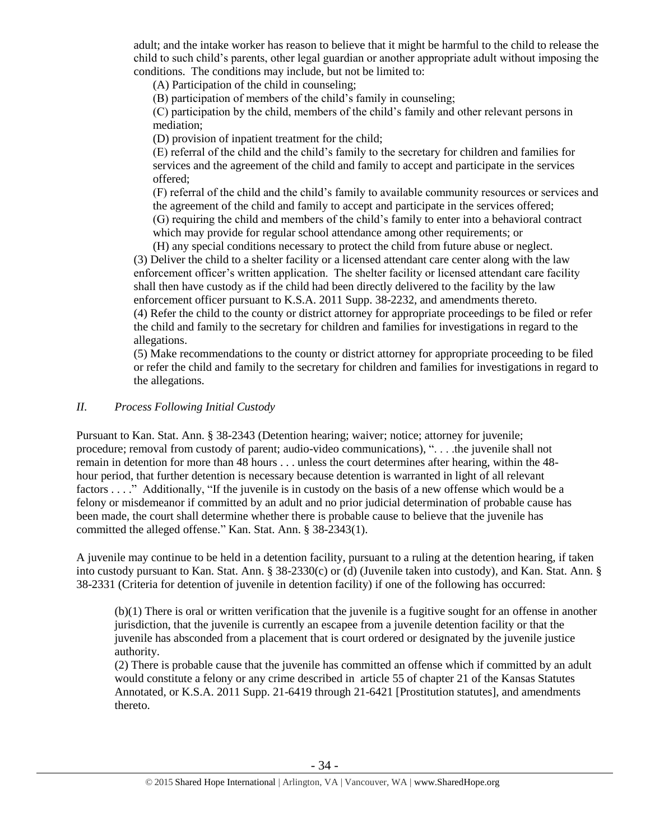adult; and the intake worker has reason to believe that it might be harmful to the child to release the child to such child's parents, other legal guardian or another appropriate adult without imposing the conditions. The conditions may include, but not be limited to:

(A) Participation of the child in counseling;

(B) participation of members of the child's family in counseling;

(C) participation by the child, members of the child's family and other relevant persons in mediation;

(D) provision of inpatient treatment for the child;

(E) referral of the child and the child's family to the secretary for children and families for services and the agreement of the child and family to accept and participate in the services offered;

(F) referral of the child and the child's family to available community resources or services and the agreement of the child and family to accept and participate in the services offered; (G) requiring the child and members of the child's family to enter into a behavioral contract

which may provide for regular school attendance among other requirements; or

(H) any special conditions necessary to protect the child from future abuse or neglect. (3) Deliver the child to a shelter facility or a licensed attendant care center along with the law enforcement officer's written application. The shelter facility or licensed attendant care facility shall then have custody as if the child had been directly delivered to the facility by the law enforcement officer pursuant to K.S.A. 2011 Supp. 38-2232, and amendments thereto. (4) Refer the child to the county or district attorney for appropriate proceedings to be filed or refer the child and family to the secretary for children and families for investigations in regard to the allegations.

(5) Make recommendations to the county or district attorney for appropriate proceeding to be filed or refer the child and family to the secretary for children and families for investigations in regard to the allegations.

# *II. Process Following Initial Custody*

Pursuant to Kan. Stat. Ann. § 38-2343 (Detention hearing; waiver; notice; attorney for juvenile; procedure; removal from custody of parent; audio-video communications), ". . . .the juvenile shall not remain in detention for more than 48 hours . . . unless the court determines after hearing, within the 48 hour period, that further detention is necessary because detention is warranted in light of all relevant factors . . . ." Additionally, "If the juvenile is in custody on the basis of a new offense which would be a felony or misdemeanor if committed by an adult and no prior judicial determination of probable cause has been made, the court shall determine whether there is probable cause to believe that the juvenile has committed the alleged offense." Kan. Stat. Ann. § 38-2343(1).

A juvenile may continue to be held in a detention facility, pursuant to a ruling at the detention hearing, if taken into custody pursuant to Kan. Stat. Ann. § 38-2330(c) or (d) (Juvenile taken into custody), and Kan. Stat. Ann. § 38-2331 (Criteria for detention of juvenile in detention facility) if one of the following has occurred:

(b)(1) There is oral or written verification that the juvenile is a fugitive sought for an offense in another jurisdiction, that the juvenile is currently an escapee from a juvenile detention facility or that the juvenile has absconded from a placement that is court ordered or designated by the juvenile justice authority.

(2) There is probable cause that the juvenile has committed an offense which if committed by an adult would constitute a felony or any crime described in article 55 of chapter 21 of the Kansas Statutes Annotated, or K.S.A. 2011 Supp. 21-6419 through 21-6421 [Prostitution statutes], and amendments thereto.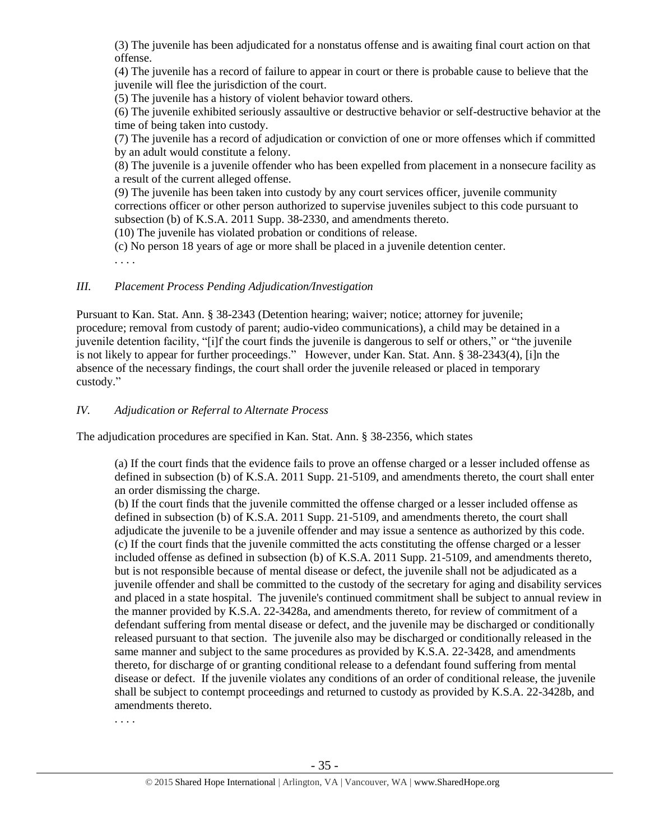(3) The juvenile has been adjudicated for a nonstatus offense and is awaiting final court action on that offense.

(4) The juvenile has a record of failure to appear in court or there is probable cause to believe that the juvenile will flee the jurisdiction of the court.

(5) The juvenile has a history of violent behavior toward others.

(6) The juvenile exhibited seriously assaultive or destructive behavior or self-destructive behavior at the time of being taken into custody.

(7) The juvenile has a record of adjudication or conviction of one or more offenses which if committed by an adult would constitute a felony.

(8) The juvenile is a juvenile offender who has been expelled from placement in a nonsecure facility as a result of the current alleged offense.

(9) The juvenile has been taken into custody by any court services officer, juvenile community corrections officer or other person authorized to supervise juveniles subject to this code pursuant to subsection (b) of K.S.A. 2011 Supp. 38-2330, and amendments thereto.

(10) The juvenile has violated probation or conditions of release.

(c) No person 18 years of age or more shall be placed in a juvenile detention center.

. . . .

# *III. Placement Process Pending Adjudication/Investigation*

Pursuant to Kan. Stat. Ann. § 38-2343 (Detention hearing; waiver; notice; attorney for juvenile; procedure; removal from custody of parent; audio-video communications), a child may be detained in a juvenile detention facility, "[i]f the court finds the juvenile is dangerous to self or others," or "the juvenile is not likely to appear for further proceedings." However, under Kan. Stat. Ann. § 38-2343(4), [i]n the absence of the necessary findings, the court shall order the juvenile released or placed in temporary custody."

*IV. Adjudication or Referral to Alternate Process*

The adjudication procedures are specified in Kan. Stat. Ann. § 38-2356, which states

(a) If the court finds that the evidence fails to prove an offense charged or a lesser included offense as defined in subsection (b) of K.S.A. 2011 Supp. 21-5109, and amendments thereto, the court shall enter an order dismissing the charge.

(b) If the court finds that the juvenile committed the offense charged or a lesser included offense as defined in subsection (b) of K.S.A. 2011 Supp. 21-5109, and amendments thereto, the court shall adjudicate the juvenile to be a juvenile offender and may issue a sentence as authorized by this code. (c) If the court finds that the juvenile committed the acts constituting the offense charged or a lesser included offense as defined in subsection (b) of K.S.A. 2011 Supp. 21-5109, and amendments thereto, but is not responsible because of mental disease or defect, the juvenile shall not be adjudicated as a juvenile offender and shall be committed to the custody of the secretary for aging and disability services and placed in a state hospital. The juvenile's continued commitment shall be subject to annual review in the manner provided by K.S.A. 22-3428a, and amendments thereto, for review of commitment of a defendant suffering from mental disease or defect, and the juvenile may be discharged or conditionally released pursuant to that section. The juvenile also may be discharged or conditionally released in the same manner and subject to the same procedures as provided by K.S.A. 22-3428, and amendments thereto, for discharge of or granting conditional release to a defendant found suffering from mental disease or defect. If the juvenile violates any conditions of an order of conditional release, the juvenile shall be subject to contempt proceedings and returned to custody as provided by K.S.A. 22-3428b, and amendments thereto.

. . . .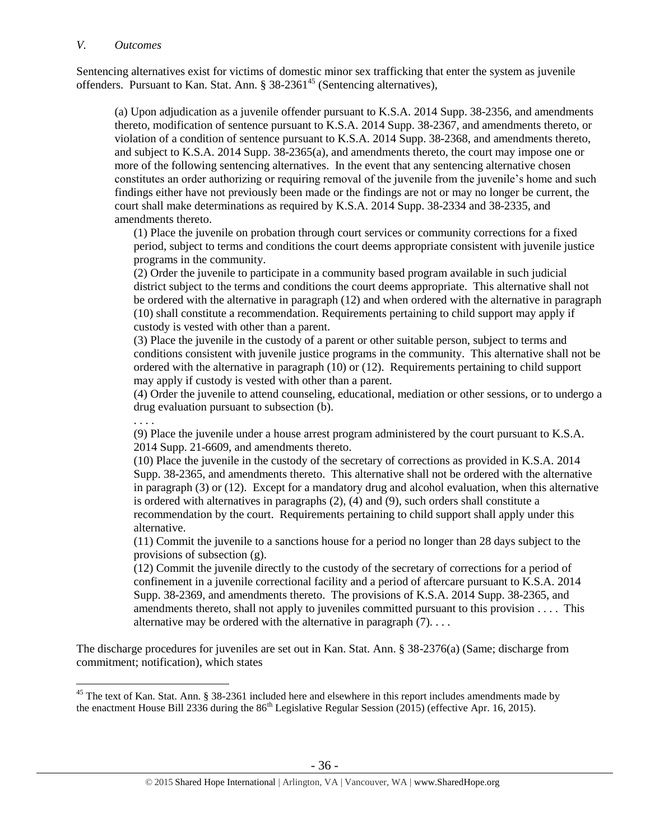### *V. Outcomes*

Sentencing alternatives exist for victims of domestic minor sex trafficking that enter the system as juvenile offenders. Pursuant to Kan. Stat. Ann. § 38-2361<sup>45</sup> (Sentencing alternatives),

(a) Upon adjudication as a juvenile offender pursuant to K.S.A. 2014 Supp. 38-2356, and amendments thereto, modification of sentence pursuant to K.S.A. 2014 Supp. 38-2367, and amendments thereto, or violation of a condition of sentence pursuant to K.S.A. 2014 Supp. 38-2368, and amendments thereto, and subject to K.S.A. 2014 Supp. 38-2365(a), and amendments thereto, the court may impose one or more of the following sentencing alternatives. In the event that any sentencing alternative chosen constitutes an order authorizing or requiring removal of the juvenile from the juvenile's home and such findings either have not previously been made or the findings are not or may no longer be current, the court shall make determinations as required by K.S.A. 2014 Supp. 38-2334 and 38-2335, and amendments thereto.

(1) Place the juvenile on probation through court services or community corrections for a fixed period, subject to terms and conditions the court deems appropriate consistent with juvenile justice programs in the community.

(2) Order the juvenile to participate in a community based program available in such judicial district subject to the terms and conditions the court deems appropriate. This alternative shall not be ordered with the alternative in paragraph (12) and when ordered with the alternative in paragraph (10) shall constitute a recommendation. Requirements pertaining to child support may apply if custody is vested with other than a parent.

(3) Place the juvenile in the custody of a parent or other suitable person, subject to terms and conditions consistent with juvenile justice programs in the community. This alternative shall not be ordered with the alternative in paragraph (10) or (12). Requirements pertaining to child support may apply if custody is vested with other than a parent.

(4) Order the juvenile to attend counseling, educational, mediation or other sessions, or to undergo a drug evaluation pursuant to subsection (b).

. . . .

 $\overline{a}$ 

(9) Place the juvenile under a house arrest program administered by the court pursuant to K.S.A. 2014 Supp. 21-6609, and amendments thereto.

(10) Place the juvenile in the custody of the secretary of corrections as provided in K.S.A. 2014 Supp. 38-2365, and amendments thereto. This alternative shall not be ordered with the alternative in paragraph (3) or (12). Except for a mandatory drug and alcohol evaluation, when this alternative is ordered with alternatives in paragraphs (2), (4) and (9), such orders shall constitute a recommendation by the court. Requirements pertaining to child support shall apply under this alternative.

(11) Commit the juvenile to a sanctions house for a period no longer than 28 days subject to the provisions of subsection (g).

(12) Commit the juvenile directly to the custody of the secretary of corrections for a period of confinement in a juvenile correctional facility and a period of aftercare pursuant to K.S.A. 2014 Supp. 38-2369, and amendments thereto. The provisions of K.S.A. 2014 Supp. 38-2365, and amendments thereto, shall not apply to juveniles committed pursuant to this provision . . . . This alternative may be ordered with the alternative in paragraph  $(7)$ ...

The discharge procedures for juveniles are set out in Kan. Stat. Ann. § 38-2376(a) (Same; discharge from commitment; notification), which states

 $45$  The text of Kan. Stat. Ann. § 38-2361 included here and elsewhere in this report includes amendments made by the enactment House Bill 2336 during the  $86<sup>th</sup>$  Legislative Regular Session (2015) (effective Apr. 16, 2015).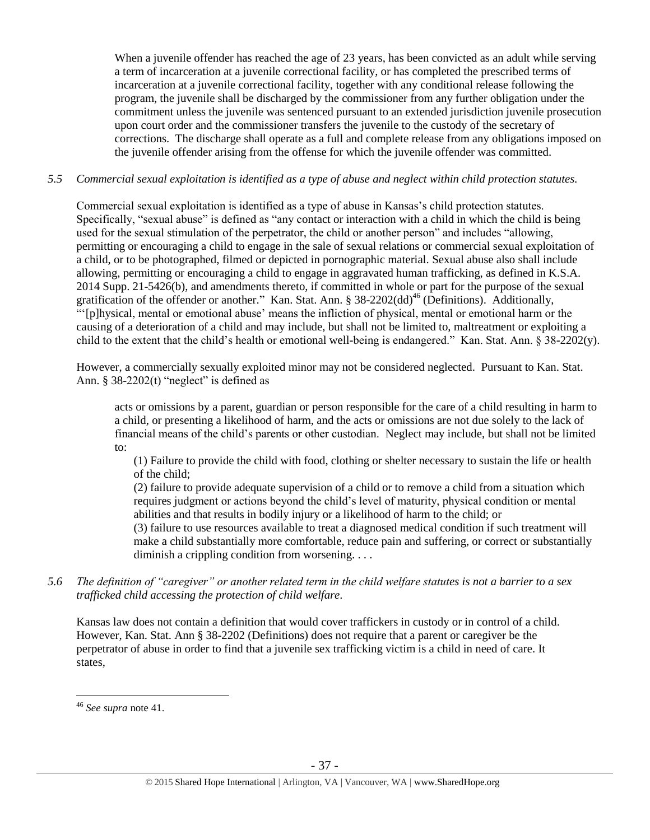When a juvenile offender has reached the age of 23 years, has been convicted as an adult while serving a term of incarceration at a juvenile correctional facility, or has completed the prescribed terms of incarceration at a juvenile correctional facility, together with any conditional release following the program, the juvenile shall be discharged by the commissioner from any further obligation under the commitment unless the juvenile was sentenced pursuant to an extended jurisdiction juvenile prosecution upon court order and the commissioner transfers the juvenile to the custody of the secretary of corrections. The discharge shall operate as a full and complete release from any obligations imposed on the juvenile offender arising from the offense for which the juvenile offender was committed.

### *5.5 Commercial sexual exploitation is identified as a type of abuse and neglect within child protection statutes.*

Commercial sexual exploitation is identified as a type of abuse in Kansas's child protection statutes. Specifically, "sexual abuse" is defined as "any contact or interaction with a child in which the child is being used for the sexual stimulation of the perpetrator, the child or another person" and includes "allowing, permitting or encouraging a child to engage in the sale of sexual relations or commercial sexual exploitation of a child, or to be photographed, filmed or depicted in pornographic material. Sexual abuse also shall include allowing, permitting or encouraging a child to engage in aggravated human trafficking, as defined in K.S.A. 2014 Supp. 21-5426(b), and amendments thereto, if committed in whole or part for the purpose of the sexual gratification of the offender or another." Kan. Stat. Ann. § 38-2202(dd)<sup>46</sup> (Definitions). Additionally, "'[p]hysical, mental or emotional abuse' means the infliction of physical, mental or emotional harm or the causing of a deterioration of a child and may include, but shall not be limited to, maltreatment or exploiting a child to the extent that the child's health or emotional well-being is endangered." Kan. Stat. Ann. § 38-2202(y).

However, a commercially sexually exploited minor may not be considered neglected. Pursuant to Kan. Stat. Ann.  $§$  38-2202(t) "neglect" is defined as

acts or omissions by a parent, guardian or person responsible for the care of a child resulting in harm to a child, or presenting a likelihood of harm, and the acts or omissions are not due solely to the lack of financial means of the child's parents or other custodian. Neglect may include, but shall not be limited to:

(1) Failure to provide the child with food, clothing or shelter necessary to sustain the life or health of the child;

(2) failure to provide adequate supervision of a child or to remove a child from a situation which requires judgment or actions beyond the child's level of maturity, physical condition or mental abilities and that results in bodily injury or a likelihood of harm to the child; or (3) failure to use resources available to treat a diagnosed medical condition if such treatment will make a child substantially more comfortable, reduce pain and suffering, or correct or substantially

diminish a crippling condition from worsening. . . .

*5.6 The definition of "caregiver" or another related term in the child welfare statutes is not a barrier to a sex trafficked child accessing the protection of child welfare.*

Kansas law does not contain a definition that would cover traffickers in custody or in control of a child. However, Kan. Stat. Ann § 38-2202 (Definitions) does not require that a parent or caregiver be the perpetrator of abuse in order to find that a juvenile sex trafficking victim is a child in need of care. It states,

<sup>46</sup> *See supra* note [41.](#page-26-0)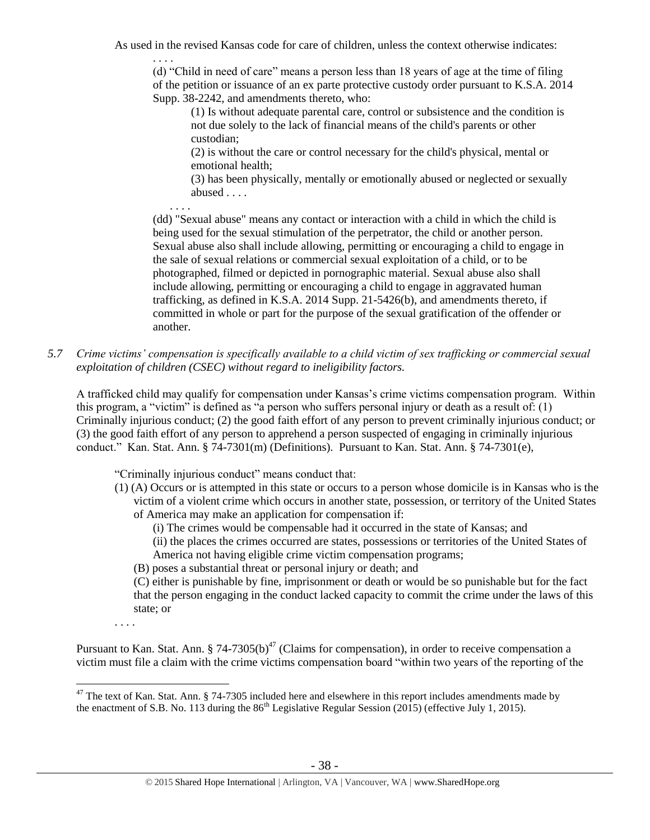As used in the revised Kansas code for care of children, unless the context otherwise indicates:

. . . . (d) "Child in need of care" means a person less than 18 years of age at the time of filing of the petition or issuance of an ex parte protective custody order pursuant to K.S.A. 2014 Supp. 38-2242, and amendments thereto, who:

(1) Is without adequate parental care, control or subsistence and the condition is not due solely to the lack of financial means of the child's parents or other custodian;

(2) is without the care or control necessary for the child's physical, mental or emotional health;

(3) has been physically, mentally or emotionally abused or neglected or sexually abused . . . .

 . . . . (dd) "Sexual abuse" means any contact or interaction with a child in which the child is being used for the sexual stimulation of the perpetrator, the child or another person. Sexual abuse also shall include allowing, permitting or encouraging a child to engage in the sale of sexual relations or commercial sexual exploitation of a child, or to be photographed, filmed or depicted in pornographic material. Sexual abuse also shall include allowing, permitting or encouraging a child to engage in aggravated human trafficking, as defined in K.S.A. 2014 Supp. 21-5426(b), and amendments thereto, if committed in whole or part for the purpose of the sexual gratification of the offender or another.

*5.7 Crime victims' compensation is specifically available to a child victim of sex trafficking or commercial sexual exploitation of children (CSEC) without regard to ineligibility factors.*

A trafficked child may qualify for compensation under Kansas's crime victims compensation program. Within this program, a "victim" is defined as "a person who suffers personal injury or death as a result of: (1) Criminally injurious conduct; (2) the good faith effort of any person to prevent criminally injurious conduct; or (3) the good faith effort of any person to apprehend a person suspected of engaging in criminally injurious conduct." Kan. Stat. Ann. § 74-7301(m) (Definitions). Pursuant to Kan. Stat. Ann. § 74-7301(e),

"Criminally injurious conduct" means conduct that:

- (1) (A) Occurs or is attempted in this state or occurs to a person whose domicile is in Kansas who is the victim of a violent crime which occurs in another state, possession, or territory of the United States of America may make an application for compensation if:
	- (i) The crimes would be compensable had it occurred in the state of Kansas; and
	- (ii) the places the crimes occurred are states, possessions or territories of the United States of America not having eligible crime victim compensation programs;
	- (B) poses a substantial threat or personal injury or death; and

(C) either is punishable by fine, imprisonment or death or would be so punishable but for the fact that the person engaging in the conduct lacked capacity to commit the crime under the laws of this state; or

. . . .

Pursuant to Kan. Stat. Ann. § 74-7305(b)<sup>47</sup> (Claims for compensation), in order to receive compensation a victim must file a claim with the crime victims compensation board "within two years of the reporting of the

 $\overline{a}$  $47$  The text of Kan. Stat. Ann. § 74-7305 included here and elsewhere in this report includes amendments made by the enactment of S.B. No. 113 during the  $86<sup>th</sup>$  Legislative Regular Session (2015) (effective July 1, 2015).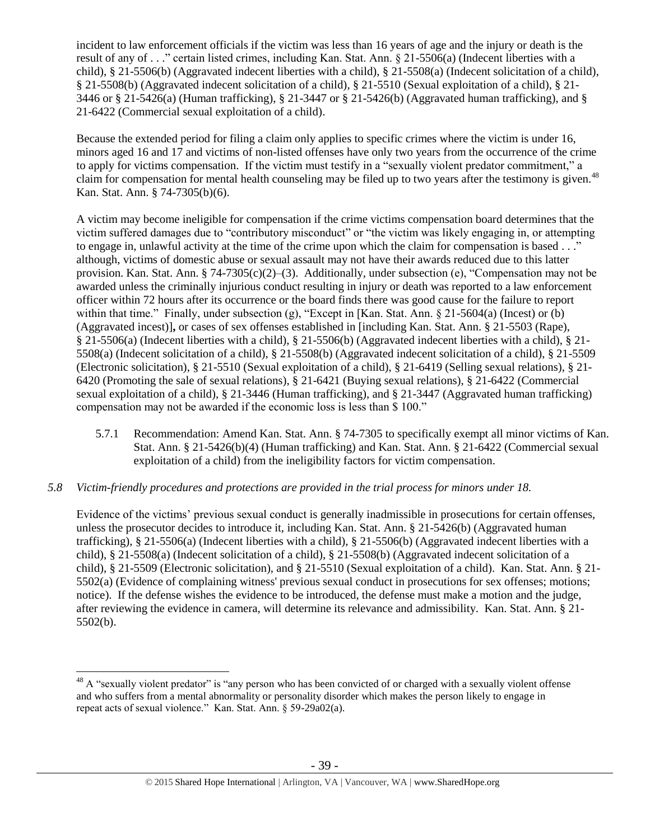incident to law enforcement officials if the victim was less than 16 years of age and the injury or death is the result of any of . . ." certain listed crimes, including Kan. Stat. Ann. § 21-5506(a) (Indecent liberties with a child), § 21-5506(b) (Aggravated indecent liberties with a child), § 21-5508(a) (Indecent solicitation of a child), § 21-5508(b) (Aggravated indecent solicitation of a child), § 21-5510 (Sexual exploitation of a child), § 21- 3446 or § 21-5426(a) (Human trafficking), § 21-3447 or § 21-5426(b) (Aggravated human trafficking), and § 21-6422 (Commercial sexual exploitation of a child).

Because the extended period for filing a claim only applies to specific crimes where the victim is under 16, minors aged 16 and 17 and victims of non-listed offenses have only two years from the occurrence of the crime to apply for victims compensation. If the victim must testify in a "sexually violent predator commitment," a claim for compensation for mental health counseling may be filed up to two years after the testimony is given.<sup>48</sup> Kan. Stat. Ann. § 74-7305(b)(6).

A victim may become ineligible for compensation if the crime victims compensation board determines that the victim suffered damages due to "contributory misconduct" or "the victim was likely engaging in, or attempting to engage in, unlawful activity at the time of the crime upon which the claim for compensation is based . . ." although, victims of domestic abuse or sexual assault may not have their awards reduced due to this latter provision. Kan. Stat. Ann. § 74-7305(c)(2)–(3). Additionally, under subsection (e), "Compensation may not be awarded unless the criminally injurious conduct resulting in injury or death was reported to a law enforcement officer within 72 hours after its occurrence or the board finds there was good cause for the failure to report within that time." Finally, under subsection (g), "Except in [Kan. Stat. Ann. § 21-5604(a) (Incest) or (b) (Aggravated incest)]**,** or cases of sex offenses established in [including Kan. Stat. Ann. § 21-5503 (Rape), § 21-5506(a) (Indecent liberties with a child), § 21-5506(b) (Aggravated indecent liberties with a child), § 21- 5508(a) (Indecent solicitation of a child), § 21-5508(b) (Aggravated indecent solicitation of a child), § 21-5509 (Electronic solicitation), § 21-5510 (Sexual exploitation of a child), § 21-6419 (Selling sexual relations), § 21- 6420 (Promoting the sale of sexual relations), § 21-6421 (Buying sexual relations), § 21-6422 (Commercial sexual exploitation of a child), § 21-3446 (Human trafficking), and § 21-3447 (Aggravated human trafficking) compensation may not be awarded if the economic loss is less than \$ 100."

- 5.7.1 Recommendation: Amend Kan. Stat. Ann. § 74-7305 to specifically exempt all minor victims of Kan. Stat. Ann. § 21-5426(b)(4) (Human trafficking) and Kan. Stat. Ann. § 21-6422 (Commercial sexual exploitation of a child) from the ineligibility factors for victim compensation.
- *5.8 Victim-friendly procedures and protections are provided in the trial process for minors under 18.*

 $\overline{a}$ 

Evidence of the victims' previous sexual conduct is generally inadmissible in prosecutions for certain offenses, unless the prosecutor decides to introduce it, including Kan. Stat. Ann. § 21-5426(b) (Aggravated human trafficking), § 21-5506(a) (Indecent liberties with a child), § 21-5506(b) (Aggravated indecent liberties with a child), § 21-5508(a) (Indecent solicitation of a child), § 21-5508(b) (Aggravated indecent solicitation of a child), § 21-5509 (Electronic solicitation), and § 21-5510 (Sexual exploitation of a child). Kan. Stat. Ann. § 21- 5502(a) (Evidence of complaining witness' previous sexual conduct in prosecutions for sex offenses; motions; notice). If the defense wishes the evidence to be introduced, the defense must make a motion and the judge, after reviewing the evidence in camera, will determine its relevance and admissibility. Kan. Stat. Ann. § 21- 5502(b).

 $48$  A "sexually violent predator" is "any person who has been convicted of or charged with a sexually violent offense and who suffers from a mental abnormality or personality disorder which makes the person likely to engage in repeat acts of sexual violence." Kan. Stat. Ann. § 59-29a02(a).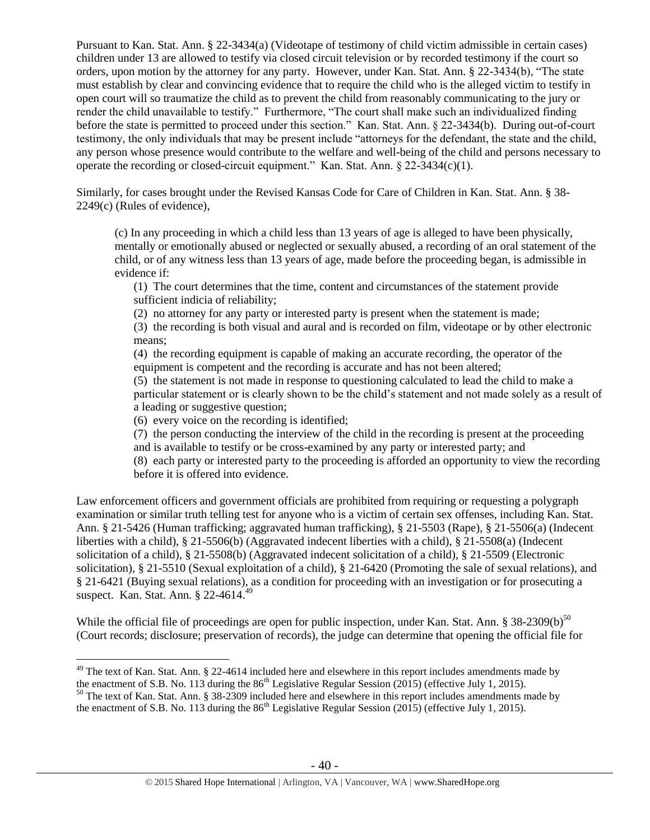Pursuant to Kan. Stat. Ann. § 22-3434(a) (Videotape of testimony of child victim admissible in certain cases) children under 13 are allowed to testify via closed circuit television or by recorded testimony if the court so orders, upon motion by the attorney for any party. However, under Kan. Stat. Ann. § 22-3434(b), "The state must establish by clear and convincing evidence that to require the child who is the alleged victim to testify in open court will so traumatize the child as to prevent the child from reasonably communicating to the jury or render the child unavailable to testify." Furthermore, "The court shall make such an individualized finding before the state is permitted to proceed under this section." Kan. Stat. Ann. § 22-3434(b). During out-of-court testimony, the only individuals that may be present include "attorneys for the defendant, the state and the child, any person whose presence would contribute to the welfare and well-being of the child and persons necessary to operate the recording or closed-circuit equipment." Kan. Stat. Ann.  $\frac{822-3434(c)(1)}{2}$ .

Similarly, for cases brought under the Revised Kansas Code for Care of Children in Kan. Stat. Ann. § 38- 2249(c) (Rules of evidence),

(c) In any proceeding in which a child less than 13 years of age is alleged to have been physically, mentally or emotionally abused or neglected or sexually abused, a recording of an oral statement of the child, or of any witness less than 13 years of age, made before the proceeding began, is admissible in evidence if:

(1) The court determines that the time, content and circumstances of the statement provide sufficient indicia of reliability;

(2) no attorney for any party or interested party is present when the statement is made;

(3) the recording is both visual and aural and is recorded on film, videotape or by other electronic means;

(4) the recording equipment is capable of making an accurate recording, the operator of the equipment is competent and the recording is accurate and has not been altered;

(5) the statement is not made in response to questioning calculated to lead the child to make a particular statement or is clearly shown to be the child's statement and not made solely as a result of a leading or suggestive question;

(6) every voice on the recording is identified;

 $\overline{a}$ 

(7) the person conducting the interview of the child in the recording is present at the proceeding and is available to testify or be cross-examined by any party or interested party; and

(8) each party or interested party to the proceeding is afforded an opportunity to view the recording before it is offered into evidence.

Law enforcement officers and government officials are prohibited from requiring or requesting a polygraph examination or similar truth telling test for anyone who is a victim of certain sex offenses, including Kan. Stat. Ann. § 21-5426 (Human trafficking; aggravated human trafficking), § 21-5503 (Rape), § 21-5506(a) (Indecent liberties with a child), § 21-5506(b) (Aggravated indecent liberties with a child), § 21-5508(a) (Indecent solicitation of a child), § 21-5508(b) (Aggravated indecent solicitation of a child), § 21-5509 (Electronic solicitation), § 21-5510 (Sexual exploitation of a child), § 21-6420 (Promoting the sale of sexual relations), and § 21-6421 (Buying sexual relations), as a condition for proceeding with an investigation or for prosecuting a suspect. Kan. Stat. Ann. § 22-4614.<sup>49</sup>

While the official file of proceedings are open for public inspection, under Kan. Stat. Ann. § 38-2309(b)<sup>50</sup> (Court records; disclosure; preservation of records), the judge can determine that opening the official file for

 $49$  The text of Kan. Stat. Ann. § 22-4614 included here and elsewhere in this report includes amendments made by the enactment of S.B. No. 113 during the 86<sup>th</sup> Legislative Regular Session (2015) (effective July 1, 2015).

<sup>&</sup>lt;sup>50</sup> The text of Kan. Stat. Ann. § 38-2309 included here and elsewhere in this report includes amendments made by the enactment of S.B. No. 113 during the  $86<sup>th</sup>$  Legislative Regular Session (2015) (effective July 1, 2015).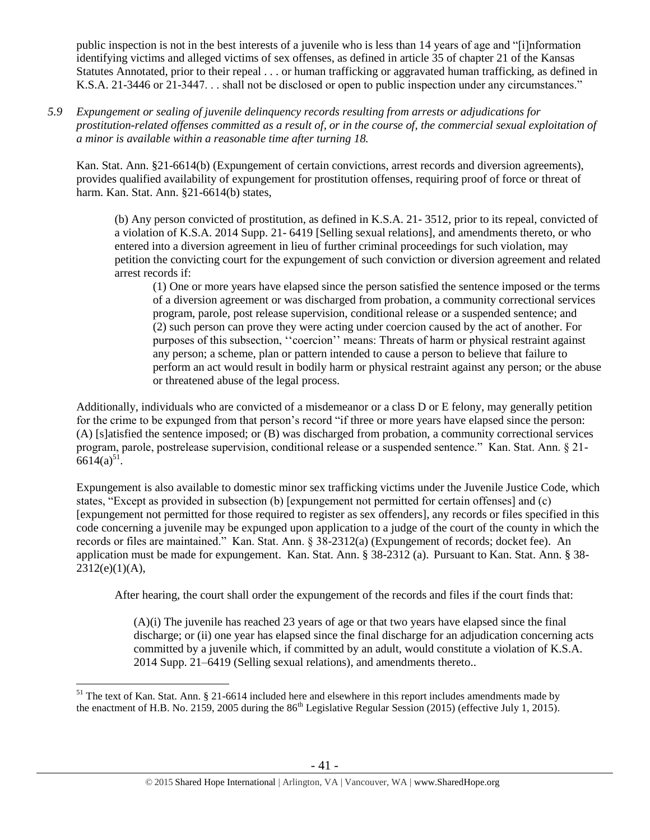public inspection is not in the best interests of a juvenile who is less than 14 years of age and "[i]nformation identifying victims and alleged victims of sex offenses, as defined in article 35 of chapter 21 of the Kansas Statutes Annotated, prior to their repeal . . . or human trafficking or aggravated human trafficking, as defined in K.S.A. 21-3446 or 21-3447. . . shall not be disclosed or open to public inspection under any circumstances."

*5.9 Expungement or sealing of juvenile delinquency records resulting from arrests or adjudications for prostitution-related offenses committed as a result of, or in the course of, the commercial sexual exploitation of a minor is available within a reasonable time after turning 18.*

Kan. Stat. Ann. §21-6614(b) (Expungement of certain convictions, arrest records and diversion agreements), provides qualified availability of expungement for prostitution offenses, requiring proof of force or threat of harm. Kan. Stat. Ann. §21-6614(b) states,

(b) Any person convicted of prostitution, as defined in K.S.A. 21- 3512, prior to its repeal, convicted of a violation of K.S.A. 2014 Supp. 21- 6419 [Selling sexual relations], and amendments thereto, or who entered into a diversion agreement in lieu of further criminal proceedings for such violation, may petition the convicting court for the expungement of such conviction or diversion agreement and related arrest records if:

(1) One or more years have elapsed since the person satisfied the sentence imposed or the terms of a diversion agreement or was discharged from probation, a community correctional services program, parole, post release supervision, conditional release or a suspended sentence; and (2) such person can prove they were acting under coercion caused by the act of another. For purposes of this subsection, ''coercion'' means: Threats of harm or physical restraint against any person; a scheme, plan or pattern intended to cause a person to believe that failure to perform an act would result in bodily harm or physical restraint against any person; or the abuse or threatened abuse of the legal process.

Additionally, individuals who are convicted of a misdemeanor or a class D or E felony, may generally petition for the crime to be expunged from that person's record "if three or more years have elapsed since the person: (A) [s]atisfied the sentence imposed; or (B) was discharged from probation, a community correctional services program, parole, postrelease supervision, conditional release or a suspended sentence." Kan. Stat. Ann. § 21-  $6614(a)^{51}$ .

Expungement is also available to domestic minor sex trafficking victims under the Juvenile Justice Code, which states, "Except as provided in subsection (b) [expungement not permitted for certain offenses] and (c) [expungement not permitted for those required to register as sex offenders], any records or files specified in this code concerning a juvenile may be expunged upon application to a judge of the court of the county in which the records or files are maintained." Kan. Stat. Ann. § 38-2312(a) (Expungement of records; docket fee). An application must be made for expungement. Kan. Stat. Ann. § 38-2312 (a). Pursuant to Kan. Stat. Ann. § 38-  $2312(e)(1)(A),$ 

After hearing, the court shall order the expungement of the records and files if the court finds that:

(A)(i) The juvenile has reached 23 years of age or that two years have elapsed since the final discharge; or (ii) one year has elapsed since the final discharge for an adjudication concerning acts committed by a juvenile which, if committed by an adult, would constitute a violation of K.S.A. 2014 Supp. 21–6419 (Selling sexual relations), and amendments thereto..

 $\overline{a}$  $51$  The text of Kan. Stat. Ann. § 21-6614 included here and elsewhere in this report includes amendments made by the enactment of H.B. No. 2159, 2005 during the  $86<sup>th</sup>$  Legislative Regular Session (2015) (effective July 1, 2015).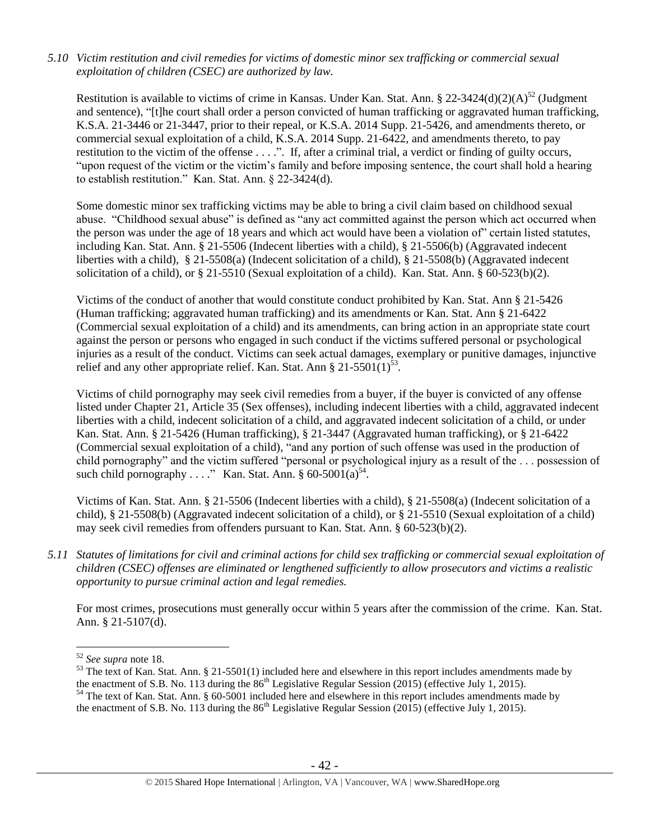## *5.10 Victim restitution and civil remedies for victims of domestic minor sex trafficking or commercial sexual exploitation of children (CSEC) are authorized by law.*

Restitution is available to victims of crime in Kansas. Under Kan. Stat. Ann. § 22-3424(d)(2)(A)<sup>52</sup> (Judgment and sentence), "[t]he court shall order a person convicted of human trafficking or aggravated human trafficking, K.S.A. 21-3446 or 21-3447, prior to their repeal, or K.S.A. 2014 Supp. 21-5426, and amendments thereto, or commercial sexual exploitation of a child, K.S.A. 2014 Supp. 21-6422, and amendments thereto, to pay restitution to the victim of the offense . . . .". If, after a criminal trial, a verdict or finding of guilty occurs, "upon request of the victim or the victim's family and before imposing sentence, the court shall hold a hearing to establish restitution." Kan. Stat. Ann. § 22-3424(d).

Some domestic minor sex trafficking victims may be able to bring a civil claim based on childhood sexual abuse. "Childhood sexual abuse" is defined as "any act committed against the person which act occurred when the person was under the age of 18 years and which act would have been a violation of" certain listed statutes, including Kan. Stat. Ann. § 21-5506 (Indecent liberties with a child), § 21-5506(b) (Aggravated indecent liberties with a child), § 21-5508(a) (Indecent solicitation of a child), § 21-5508(b) (Aggravated indecent solicitation of a child), or § 21-5510 (Sexual exploitation of a child). Kan. Stat. Ann. § 60-523(b)(2).

Victims of the conduct of another that would constitute conduct prohibited by Kan. Stat. Ann § 21-5426 (Human trafficking; aggravated human trafficking) and its amendments or Kan. Stat. Ann § 21-6422 (Commercial sexual exploitation of a child) and its amendments, can bring action in an appropriate state court against the person or persons who engaged in such conduct if the victims suffered personal or psychological injuries as a result of the conduct. Victims can seek actual damages, exemplary or punitive damages, injunctive relief and any other appropriate relief. Kan. Stat. Ann § 21-5501(1)<sup>53</sup>.

<span id="page-41-0"></span>Victims of child pornography may seek civil remedies from a buyer, if the buyer is convicted of any offense listed under Chapter 21, Article 35 (Sex offenses), including indecent liberties with a child, aggravated indecent liberties with a child, indecent solicitation of a child, and aggravated indecent solicitation of a child, or under Kan. Stat. Ann. § 21-5426 (Human trafficking), § 21-3447 (Aggravated human trafficking), or § 21-6422 (Commercial sexual exploitation of a child), "and any portion of such offense was used in the production of child pornography" and the victim suffered "personal or psychological injury as a result of the . . . possession of such child pornography . . . ." Kan. Stat. Ann. §  $60-5001(a)^{54}$ .

Victims of Kan. Stat. Ann. § 21-5506 (Indecent liberties with a child), § 21-5508(a) (Indecent solicitation of a child), § 21-5508(b) (Aggravated indecent solicitation of a child), or § 21-5510 (Sexual exploitation of a child) may seek civil remedies from offenders pursuant to Kan. Stat. Ann. § 60-523(b)(2).

*5.11 Statutes of limitations for civil and criminal actions for child sex trafficking or commercial sexual exploitation of children (CSEC) offenses are eliminated or lengthened sufficiently to allow prosecutors and victims a realistic opportunity to pursue criminal action and legal remedies.*

For most crimes, prosecutions must generally occur within 5 years after the commission of the crime. Kan. Stat. Ann. § 21-5107(d).

<sup>52</sup> *See supra* note [18.](#page-12-0)

 $\frac{53}{10}$  The text of Kan. Stat. Ann. § 21-5501(1) included here and elsewhere in this report includes amendments made by the enactment of S.B. No. 113 during the 86<sup>th</sup> Legislative Regular Session (2015) (effective July 1, 2015).

<sup>54</sup> The text of Kan. Stat. Ann. § 60-5001 included here and elsewhere in this report includes amendments made by the enactment of S.B. No. 113 during the  $86<sup>th</sup>$  Legislative Regular Session (2015) (effective July 1, 2015).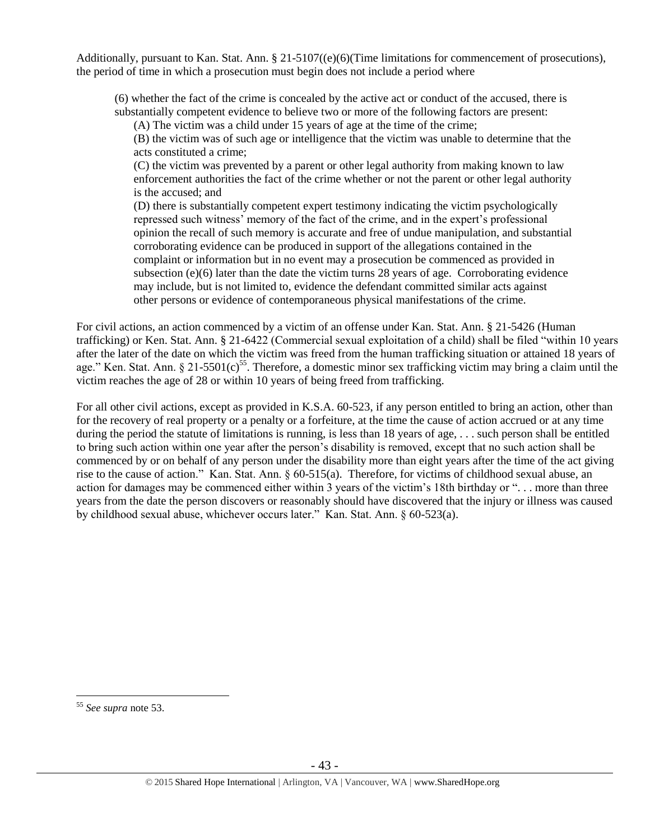Additionally, pursuant to Kan. Stat. Ann. § 21-5107((e)(6)(Time limitations for commencement of prosecutions), the period of time in which a prosecution must begin does not include a period where

(6) whether the fact of the crime is concealed by the active act or conduct of the accused, there is substantially competent evidence to believe two or more of the following factors are present:

(A) The victim was a child under 15 years of age at the time of the crime;

(B) the victim was of such age or intelligence that the victim was unable to determine that the acts constituted a crime;

(C) the victim was prevented by a parent or other legal authority from making known to law enforcement authorities the fact of the crime whether or not the parent or other legal authority is the accused; and

(D) there is substantially competent expert testimony indicating the victim psychologically repressed such witness' memory of the fact of the crime, and in the expert's professional opinion the recall of such memory is accurate and free of undue manipulation, and substantial corroborating evidence can be produced in support of the allegations contained in the complaint or information but in no event may a prosecution be commenced as provided in subsection  $(e)(6)$  later than the date the victim turns 28 years of age. Corroborating evidence may include, but is not limited to, evidence the defendant committed similar acts against other persons or evidence of contemporaneous physical manifestations of the crime.

For civil actions, an action commenced by a victim of an offense under Kan. Stat. Ann. § 21-5426 (Human trafficking) or Ken. Stat. Ann. § 21-6422 (Commercial sexual exploitation of a child) shall be filed "within 10 years after the later of the date on which the victim was freed from the human trafficking situation or attained 18 years of age." Ken. Stat. Ann. § 21-5501(c)<sup>55</sup>. Therefore, a domestic minor sex trafficking victim may bring a claim until the victim reaches the age of 28 or within 10 years of being freed from trafficking.

For all other civil actions, except as provided in K.S.A. 60-523, if any person entitled to bring an action, other than for the recovery of real property or a penalty or a forfeiture, at the time the cause of action accrued or at any time during the period the statute of limitations is running, is less than 18 years of age,  $\ldots$  such person shall be entitled to bring such action within one year after the person's disability is removed, except that no such action shall be commenced by or on behalf of any person under the disability more than eight years after the time of the act giving rise to the cause of action." Kan. Stat. Ann. § 60-515(a). Therefore, for victims of childhood sexual abuse, an action for damages may be commenced either within 3 years of the victim's 18th birthday or ". . . more than three years from the date the person discovers or reasonably should have discovered that the injury or illness was caused by childhood sexual abuse, whichever occurs later." Kan. Stat. Ann. § 60-523(a).

<sup>55</sup> *See supra* note [53.](#page-41-0)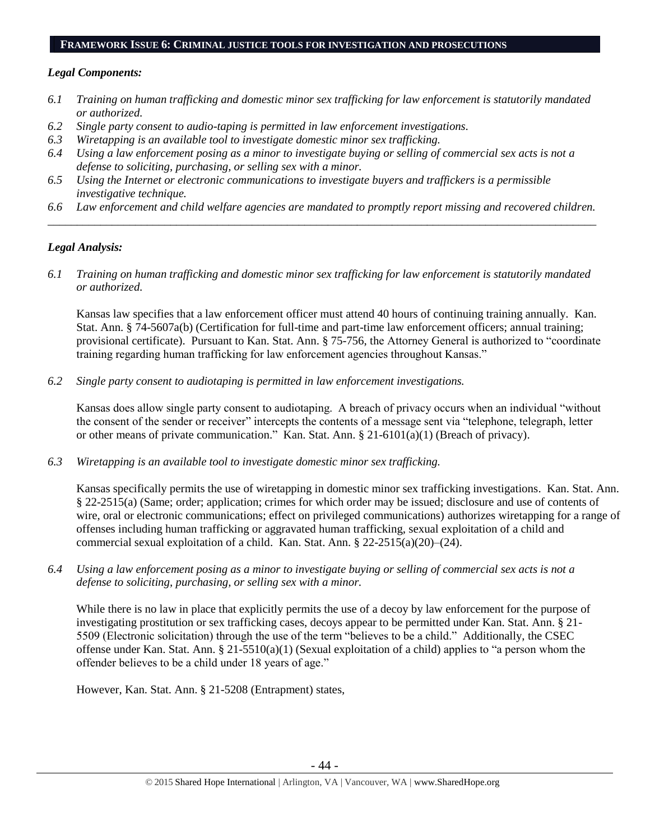### **FRAMEWORK ISSUE 6: CRIMINAL JUSTICE TOOLS FOR INVESTIGATION AND PROSECUTIONS**

### *Legal Components:*

- *6.1 Training on human trafficking and domestic minor sex trafficking for law enforcement is statutorily mandated or authorized.*
- *6.2 Single party consent to audio-taping is permitted in law enforcement investigations.*
- *6.3 Wiretapping is an available tool to investigate domestic minor sex trafficking.*
- *6.4 Using a law enforcement posing as a minor to investigate buying or selling of commercial sex acts is not a defense to soliciting, purchasing, or selling sex with a minor.*
- *6.5 Using the Internet or electronic communications to investigate buyers and traffickers is a permissible investigative technique.*
- *6.6 Law enforcement and child welfare agencies are mandated to promptly report missing and recovered children. \_\_\_\_\_\_\_\_\_\_\_\_\_\_\_\_\_\_\_\_\_\_\_\_\_\_\_\_\_\_\_\_\_\_\_\_\_\_\_\_\_\_\_\_\_\_\_\_\_\_\_\_\_\_\_\_\_\_\_\_\_\_\_\_\_\_\_\_\_\_\_\_\_\_\_\_\_\_\_\_\_\_\_\_\_\_\_\_\_\_\_\_\_\_*

# *Legal Analysis:*

*6.1 Training on human trafficking and domestic minor sex trafficking for law enforcement is statutorily mandated or authorized.*

Kansas law specifies that a law enforcement officer must attend 40 hours of continuing training annually. Kan. Stat. Ann. § 74-5607a(b) (Certification for full-time and part-time law enforcement officers; annual training; provisional certificate). Pursuant to Kan. Stat. Ann. § 75-756, the Attorney General is authorized to "coordinate training regarding human trafficking for law enforcement agencies throughout Kansas."

*6.2 Single party consent to audiotaping is permitted in law enforcement investigations.*

Kansas does allow single party consent to audiotaping. A breach of privacy occurs when an individual "without the consent of the sender or receiver" intercepts the contents of a message sent via "telephone, telegraph, letter or other means of private communication." Kan. Stat. Ann. § 21-6101(a)(1) (Breach of privacy).

*6.3 Wiretapping is an available tool to investigate domestic minor sex trafficking.* 

Kansas specifically permits the use of wiretapping in domestic minor sex trafficking investigations. Kan. Stat. Ann. § 22-2515(a) (Same; order; application; crimes for which order may be issued; disclosure and use of contents of wire, oral or electronic communications; effect on privileged communications) authorizes wiretapping for a range of offenses including human trafficking or aggravated human trafficking, sexual exploitation of a child and commercial sexual exploitation of a child. Kan. Stat. Ann. § 22-2515(a)(20)–(24).

*6.4 Using a law enforcement posing as a minor to investigate buying or selling of commercial sex acts is not a defense to soliciting, purchasing, or selling sex with a minor.*

While there is no law in place that explicitly permits the use of a decoy by law enforcement for the purpose of investigating prostitution or sex trafficking cases, decoys appear to be permitted under Kan. Stat. Ann. § 21- 5509 (Electronic solicitation) through the use of the term "believes to be a child." Additionally, the CSEC offense under Kan. Stat. Ann. § 21-5510(a)(1) (Sexual exploitation of a child) applies to "a person whom the offender believes to be a child under 18 years of age."

However, Kan. Stat. Ann. § 21-5208 (Entrapment) states,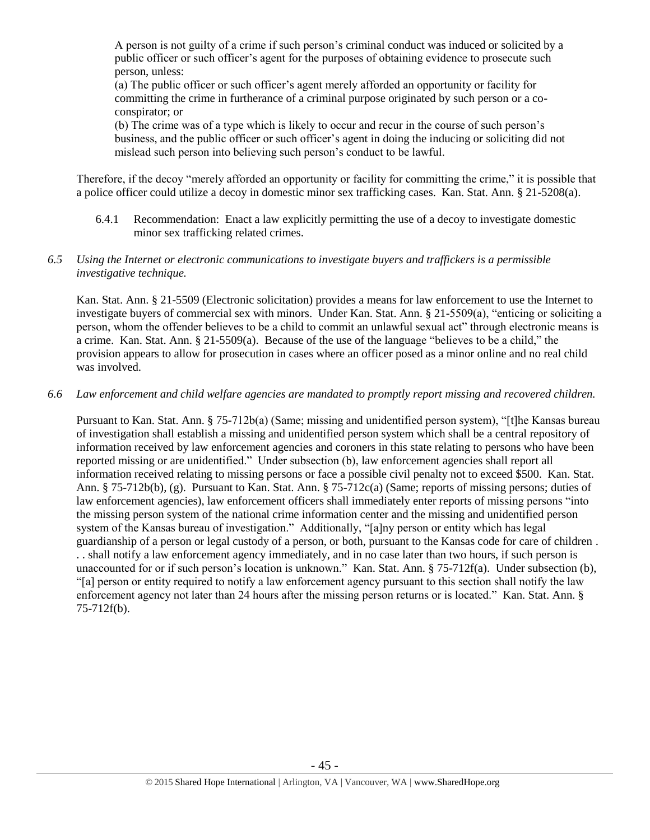A person is not guilty of a crime if such person's criminal conduct was induced or solicited by a public officer or such officer's agent for the purposes of obtaining evidence to prosecute such person, unless:

(a) The public officer or such officer's agent merely afforded an opportunity or facility for committing the crime in furtherance of a criminal purpose originated by such person or a coconspirator; or

(b) The crime was of a type which is likely to occur and recur in the course of such person's business, and the public officer or such officer's agent in doing the inducing or soliciting did not mislead such person into believing such person's conduct to be lawful.

Therefore, if the decoy "merely afforded an opportunity or facility for committing the crime," it is possible that a police officer could utilize a decoy in domestic minor sex trafficking cases. Kan. Stat. Ann. § 21-5208(a).

6.4.1 Recommendation: Enact a law explicitly permitting the use of a decoy to investigate domestic minor sex trafficking related crimes.

# *6.5 Using the Internet or electronic communications to investigate buyers and traffickers is a permissible investigative technique.*

Kan. Stat. Ann. § 21-5509 (Electronic solicitation) provides a means for law enforcement to use the Internet to investigate buyers of commercial sex with minors. Under Kan. Stat. Ann. § 21-5509(a), "enticing or soliciting a person, whom the offender believes to be a child to commit an unlawful sexual act" through electronic means is a crime. Kan. Stat. Ann. § 21-5509(a). Because of the use of the language "believes to be a child," the provision appears to allow for prosecution in cases where an officer posed as a minor online and no real child was involved.

# *6.6 Law enforcement and child welfare agencies are mandated to promptly report missing and recovered children.*

Pursuant to Kan. Stat. Ann. § 75-712b(a) (Same; missing and unidentified person system), "[t]he Kansas bureau of investigation shall establish a missing and unidentified person system which shall be a central repository of information received by law enforcement agencies and coroners in this state relating to persons who have been reported missing or are unidentified." Under subsection (b), law enforcement agencies shall report all information received relating to missing persons or face a possible civil penalty not to exceed \$500. Kan. Stat. Ann. § 75-712b(b), (g). Pursuant to Kan. Stat. Ann. § 75-712c(a) (Same; reports of missing persons; duties of law enforcement agencies), law enforcement officers shall immediately enter reports of missing persons "into the missing person system of the national crime information center and the missing and unidentified person system of the Kansas bureau of investigation." Additionally, "[a]ny person or entity which has legal guardianship of a person or legal custody of a person, or both, pursuant to the Kansas code for care of children . . . shall notify a law enforcement agency immediately, and in no case later than two hours, if such person is unaccounted for or if such person's location is unknown." Kan. Stat. Ann. § 75-712f(a). Under subsection (b), "[a] person or entity required to notify a law enforcement agency pursuant to this section shall notify the law enforcement agency not later than 24 hours after the missing person returns or is located." Kan. Stat. Ann. § 75-712f(b).